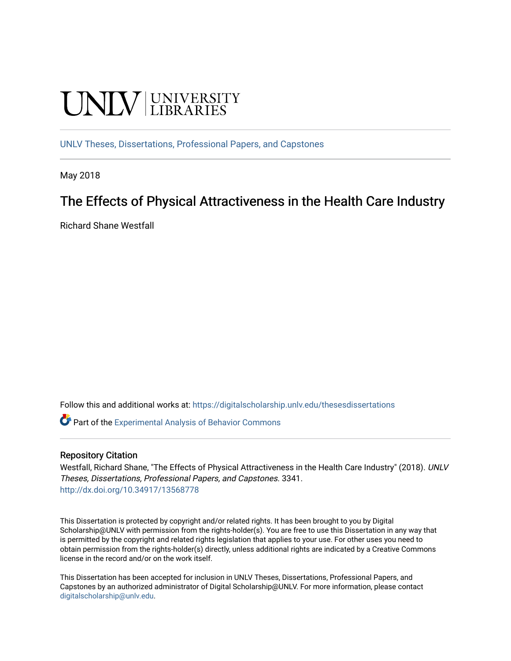# **UNIVERSITY**

[UNLV Theses, Dissertations, Professional Papers, and Capstones](https://digitalscholarship.unlv.edu/thesesdissertations)

May 2018

# The Effects of Physical Attractiveness in the Health Care Industry

Richard Shane Westfall

Follow this and additional works at: [https://digitalscholarship.unlv.edu/thesesdissertations](https://digitalscholarship.unlv.edu/thesesdissertations?utm_source=digitalscholarship.unlv.edu%2Fthesesdissertations%2F3341&utm_medium=PDF&utm_campaign=PDFCoverPages)

Part of the [Experimental Analysis of Behavior Commons](http://network.bepress.com/hgg/discipline/1236?utm_source=digitalscholarship.unlv.edu%2Fthesesdissertations%2F3341&utm_medium=PDF&utm_campaign=PDFCoverPages) 

## Repository Citation

Westfall, Richard Shane, "The Effects of Physical Attractiveness in the Health Care Industry" (2018). UNLV Theses, Dissertations, Professional Papers, and Capstones. 3341. <http://dx.doi.org/10.34917/13568778>

This Dissertation is protected by copyright and/or related rights. It has been brought to you by Digital Scholarship@UNLV with permission from the rights-holder(s). You are free to use this Dissertation in any way that is permitted by the copyright and related rights legislation that applies to your use. For other uses you need to obtain permission from the rights-holder(s) directly, unless additional rights are indicated by a Creative Commons license in the record and/or on the work itself.

This Dissertation has been accepted for inclusion in UNLV Theses, Dissertations, Professional Papers, and Capstones by an authorized administrator of Digital Scholarship@UNLV. For more information, please contact [digitalscholarship@unlv.edu](mailto:digitalscholarship@unlv.edu).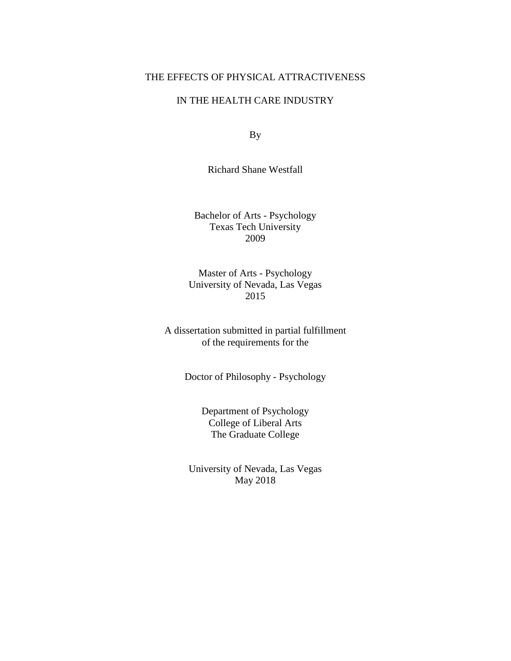## THE EFFECTS OF PHYSICAL ATTRACTIVENESS

## IN THE HEALTH CARE INDUSTRY

By

Richard Shane Westfall

Bachelor of Arts - Psychology Texas Tech University 2009

Master of Arts - Psychology University of Nevada, Las Vegas 2015

A dissertation submitted in partial fulfillment of the requirements for the

Doctor of Philosophy - Psychology

Department of Psychology College of Liberal Arts The Graduate College

University of Nevada, Las Vegas May 2018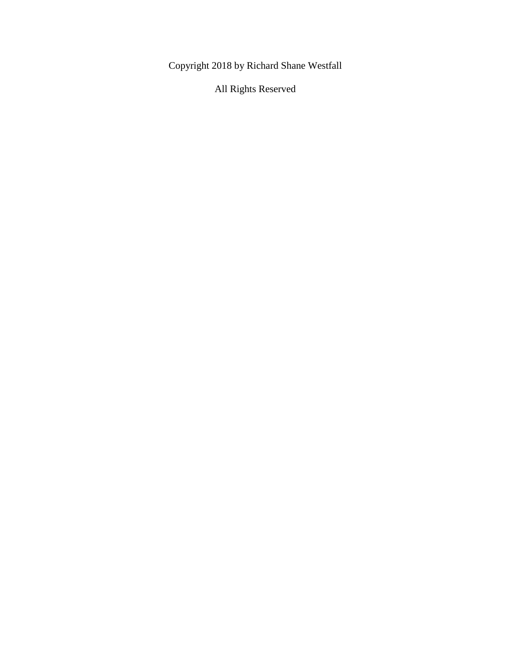Copyright 2018 by Richard Shane Westfall

All Rights Reserved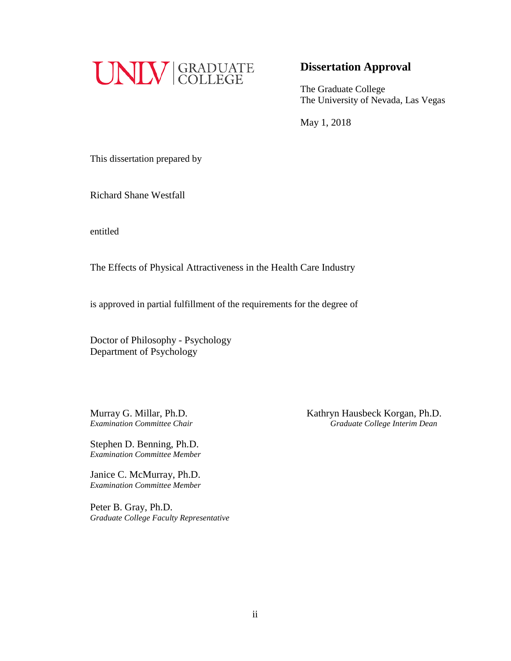

## **Dissertation Approval**

The Graduate College The University of Nevada, Las Vegas

May 1, 2018

This dissertation prepared by

Richard Shane Westfall

entitled

The Effects of Physical Attractiveness in the Health Care Industry

is approved in partial fulfillment of the requirements for the degree of

Doctor of Philosophy - Psychology Department of Psychology

Stephen D. Benning, Ph.D. *Examination Committee Member*

Janice C. McMurray, Ph.D. *Examination Committee Member*

Peter B. Gray, Ph.D. *Graduate College Faculty Representative*

Murray G. Millar, Ph.D.<br> *Examination Committee Chair*<br> *Craduate College Interim Dean Examination Committee Chair Graduate College Interim Dean*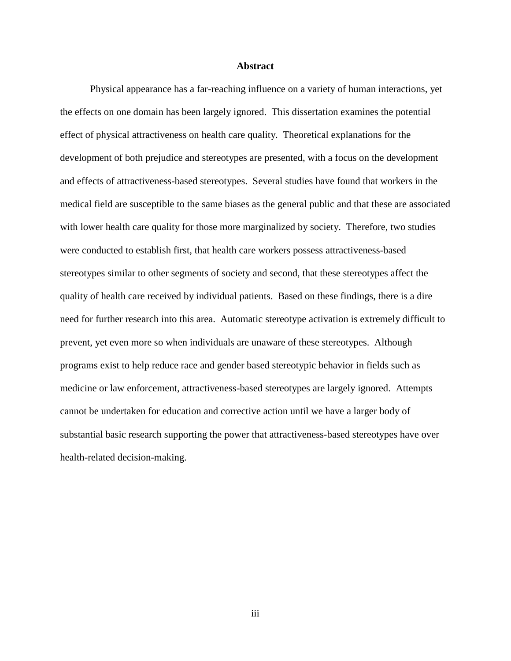## **Abstract**

<span id="page-4-0"></span>Physical appearance has a far-reaching influence on a variety of human interactions, yet the effects on one domain has been largely ignored. This dissertation examines the potential effect of physical attractiveness on health care quality. Theoretical explanations for the development of both prejudice and stereotypes are presented, with a focus on the development and effects of attractiveness-based stereotypes. Several studies have found that workers in the medical field are susceptible to the same biases as the general public and that these are associated with lower health care quality for those more marginalized by society. Therefore, two studies were conducted to establish first, that health care workers possess attractiveness-based stereotypes similar to other segments of society and second, that these stereotypes affect the quality of health care received by individual patients. Based on these findings, there is a dire need for further research into this area. Automatic stereotype activation is extremely difficult to prevent, yet even more so when individuals are unaware of these stereotypes. Although programs exist to help reduce race and gender based stereotypic behavior in fields such as medicine or law enforcement, attractiveness-based stereotypes are largely ignored. Attempts cannot be undertaken for education and corrective action until we have a larger body of substantial basic research supporting the power that attractiveness-based stereotypes have over health-related decision-making.

iii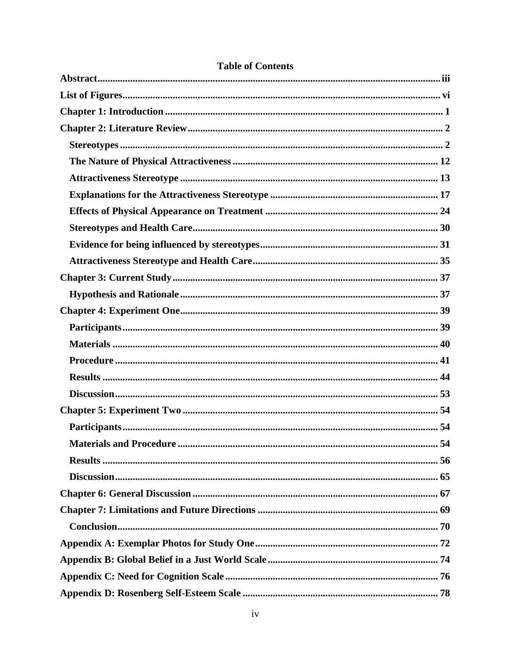| <b>Materials and Procedure </b><br>54 |
|---------------------------------------|
|                                       |
|                                       |
|                                       |
|                                       |
|                                       |
|                                       |
|                                       |
|                                       |
|                                       |

## **Table of Contents**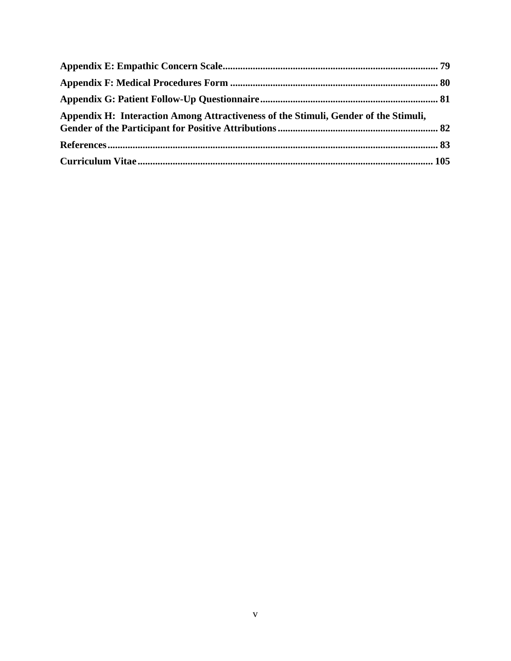| Appendix H: Interaction Among Attractiveness of the Stimuli, Gender of the Stimuli, |  |
|-------------------------------------------------------------------------------------|--|
|                                                                                     |  |
|                                                                                     |  |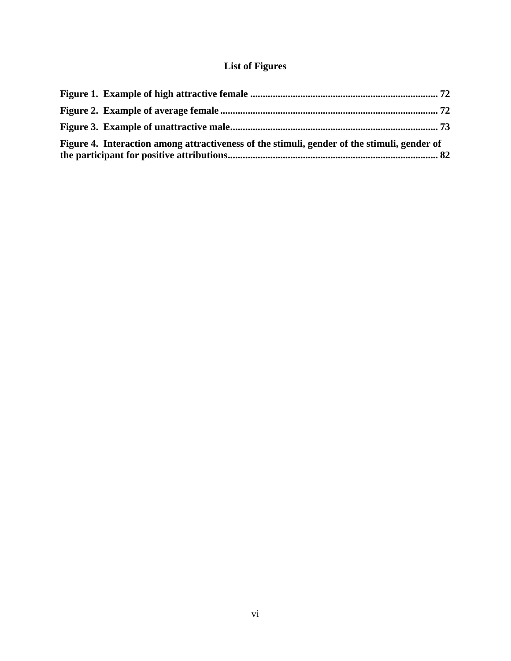## **List of Figures**

<span id="page-7-0"></span>

| Figure 4. Interaction among attractiveness of the stimuli, gender of the stimuli, gender of |  |
|---------------------------------------------------------------------------------------------|--|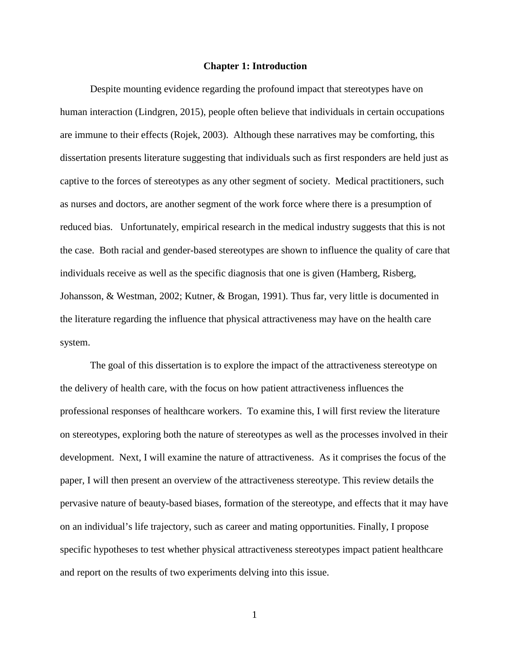#### **Chapter 1: Introduction**

<span id="page-8-0"></span>Despite mounting evidence regarding the profound impact that stereotypes have on human interaction (Lindgren, 2015), people often believe that individuals in certain occupations are immune to their effects (Rojek, 2003). Although these narratives may be comforting, this dissertation presents literature suggesting that individuals such as first responders are held just as captive to the forces of stereotypes as any other segment of society. Medical practitioners, such as nurses and doctors, are another segment of the work force where there is a presumption of reduced bias. Unfortunately, empirical research in the medical industry suggests that this is not the case. Both racial and gender-based stereotypes are shown to influence the quality of care that individuals receive as well as the specific diagnosis that one is given (Hamberg, Risberg, Johansson, & Westman, 2002; Kutner, & Brogan, 1991). Thus far, very little is documented in the literature regarding the influence that physical attractiveness may have on the health care system.

The goal of this dissertation is to explore the impact of the attractiveness stereotype on the delivery of health care, with the focus on how patient attractiveness influences the professional responses of healthcare workers. To examine this, I will first review the literature on stereotypes, exploring both the nature of stereotypes as well as the processes involved in their development. Next, I will examine the nature of attractiveness. As it comprises the focus of the paper, I will then present an overview of the attractiveness stereotype. This review details the pervasive nature of beauty-based biases, formation of the stereotype, and effects that it may have on an individual's life trajectory, such as career and mating opportunities. Finally, I propose specific hypotheses to test whether physical attractiveness stereotypes impact patient healthcare and report on the results of two experiments delving into this issue.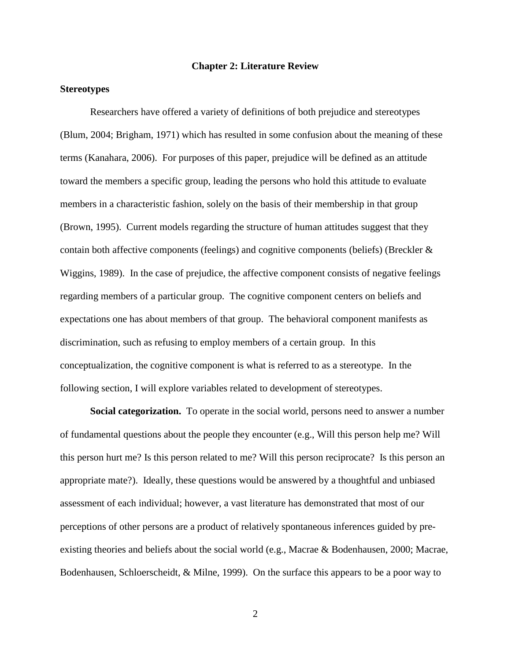## **Chapter 2: Literature Review**

## <span id="page-9-1"></span><span id="page-9-0"></span>**Stereotypes**

Researchers have offered a variety of definitions of both prejudice and stereotypes (Blum, 2004; Brigham, 1971) which has resulted in some confusion about the meaning of these terms (Kanahara, 2006). For purposes of this paper, prejudice will be defined as an attitude toward the members a specific group, leading the persons who hold this attitude to evaluate members in a characteristic fashion, solely on the basis of their membership in that group (Brown, 1995). Current models regarding the structure of human attitudes suggest that they contain both affective components (feelings) and cognitive components (beliefs) (Breckler & Wiggins, 1989). In the case of prejudice, the affective component consists of negative feelings regarding members of a particular group. The cognitive component centers on beliefs and expectations one has about members of that group. The behavioral component manifests as discrimination, such as refusing to employ members of a certain group. In this conceptualization, the cognitive component is what is referred to as a stereotype. In the following section, I will explore variables related to development of stereotypes.

**Social categorization.** To operate in the social world, persons need to answer a number of fundamental questions about the people they encounter (e.g., Will this person help me? Will this person hurt me? Is this person related to me? Will this person reciprocate? Is this person an appropriate mate?). Ideally, these questions would be answered by a thoughtful and unbiased assessment of each individual; however, a vast literature has demonstrated that most of our perceptions of other persons are a product of relatively spontaneous inferences guided by preexisting theories and beliefs about the social world (e.g., Macrae & Bodenhausen, 2000; Macrae, Bodenhausen, Schloerscheidt, & Milne, 1999). On the surface this appears to be a poor way to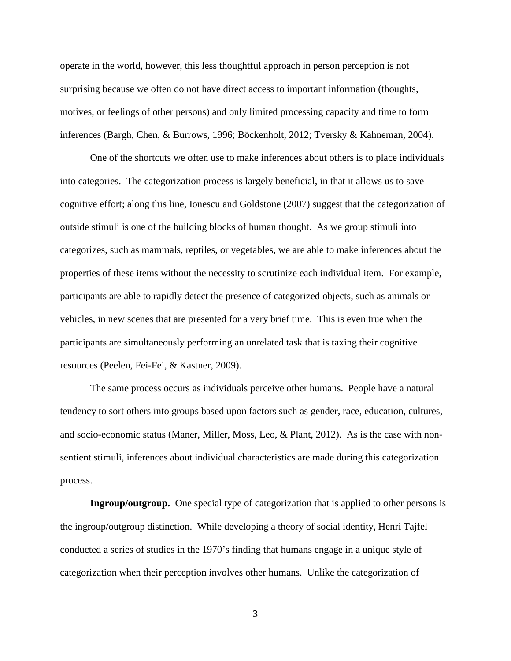operate in the world, however, this less thoughtful approach in person perception is not surprising because we often do not have direct access to important information (thoughts, motives, or feelings of other persons) and only limited processing capacity and time to form inferences (Bargh, Chen, & Burrows, 1996; Böckenholt, 2012; Tversky & Kahneman, 2004).

One of the shortcuts we often use to make inferences about others is to place individuals into categories. The categorization process is largely beneficial, in that it allows us to save cognitive effort; along this line, Ionescu and Goldstone (2007) suggest that the categorization of outside stimuli is one of the building blocks of human thought. As we group stimuli into categorizes, such as mammals, reptiles, or vegetables, we are able to make inferences about the properties of these items without the necessity to scrutinize each individual item. For example, participants are able to rapidly detect the presence of categorized objects, such as animals or vehicles, in new scenes that are presented for a very brief time. This is even true when the participants are simultaneously performing an unrelated task that is taxing their cognitive resources (Peelen, Fei-Fei, & Kastner, 2009).

The same process occurs as individuals perceive other humans. People have a natural tendency to sort others into groups based upon factors such as gender, race, education, cultures, and socio-economic status (Maner, Miller, Moss, Leo, & Plant, 2012). As is the case with nonsentient stimuli, inferences about individual characteristics are made during this categorization process.

**Ingroup/outgroup.** One special type of categorization that is applied to other persons is the ingroup/outgroup distinction. While developing a theory of social identity, Henri Tajfel conducted a series of studies in the 1970's finding that humans engage in a unique style of categorization when their perception involves other humans. Unlike the categorization of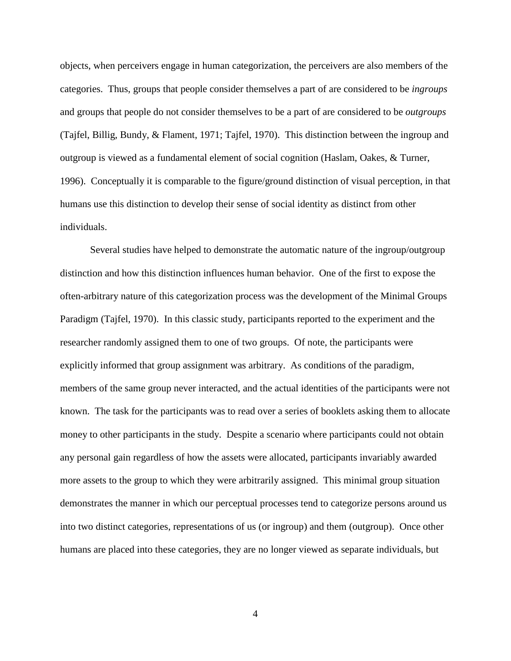objects, when perceivers engage in human categorization, the perceivers are also members of the categories. Thus, groups that people consider themselves a part of are considered to be *ingroups* and groups that people do not consider themselves to be a part of are considered to be *outgroups* (Tajfel, Billig, Bundy, & Flament, 1971; Tajfel, 1970). This distinction between the ingroup and outgroup is viewed as a fundamental element of social cognition (Haslam, Oakes, & Turner, 1996). Conceptually it is comparable to the figure/ground distinction of visual perception, in that humans use this distinction to develop their sense of social identity as distinct from other individuals.

Several studies have helped to demonstrate the automatic nature of the ingroup/outgroup distinction and how this distinction influences human behavior. One of the first to expose the often-arbitrary nature of this categorization process was the development of the Minimal Groups Paradigm (Tajfel, 1970). In this classic study, participants reported to the experiment and the researcher randomly assigned them to one of two groups. Of note, the participants were explicitly informed that group assignment was arbitrary. As conditions of the paradigm, members of the same group never interacted, and the actual identities of the participants were not known. The task for the participants was to read over a series of booklets asking them to allocate money to other participants in the study. Despite a scenario where participants could not obtain any personal gain regardless of how the assets were allocated, participants invariably awarded more assets to the group to which they were arbitrarily assigned. This minimal group situation demonstrates the manner in which our perceptual processes tend to categorize persons around us into two distinct categories, representations of us (or ingroup) and them (outgroup). Once other humans are placed into these categories, they are no longer viewed as separate individuals, but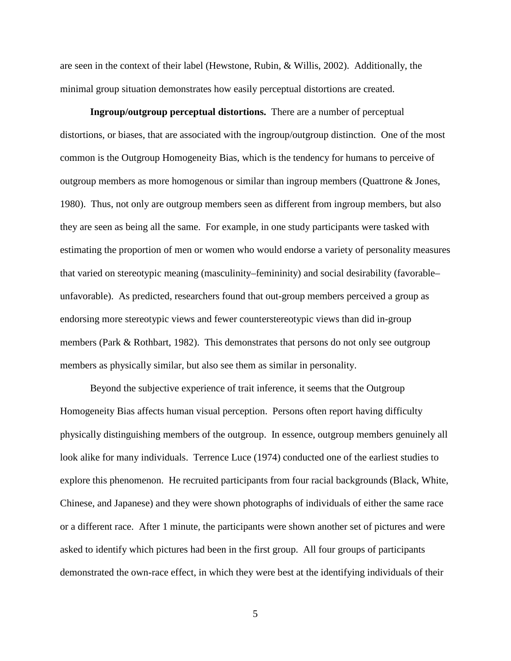are seen in the context of their label (Hewstone, Rubin, & Willis, 2002). Additionally, the minimal group situation demonstrates how easily perceptual distortions are created.

**Ingroup/outgroup perceptual distortions.** There are a number of perceptual distortions, or biases, that are associated with the ingroup/outgroup distinction. One of the most common is the Outgroup Homogeneity Bias, which is the tendency for humans to perceive of outgroup members as more homogenous or similar than ingroup members (Quattrone & Jones, 1980). Thus, not only are outgroup members seen as different from ingroup members, but also they are seen as being all the same. For example, in one study participants were tasked with estimating the proportion of men or women who would endorse a variety of personality measures that varied on stereotypic meaning (masculinity–femininity) and social desirability (favorable– unfavorable). As predicted, researchers found that out-group members perceived a group as endorsing more stereotypic views and fewer counterstereotypic views than did in-group members (Park & Rothbart, 1982). This demonstrates that persons do not only see outgroup members as physically similar, but also see them as similar in personality.

Beyond the subjective experience of trait inference, it seems that the Outgroup Homogeneity Bias affects human visual perception. Persons often report having difficulty physically distinguishing members of the outgroup. In essence, outgroup members genuinely all look alike for many individuals. Terrence Luce (1974) conducted one of the earliest studies to explore this phenomenon. He recruited participants from four racial backgrounds (Black, White, Chinese, and Japanese) and they were shown photographs of individuals of either the same race or a different race. After 1 minute, the participants were shown another set of pictures and were asked to identify which pictures had been in the first group. All four groups of participants demonstrated the own-race effect, in which they were best at the identifying individuals of their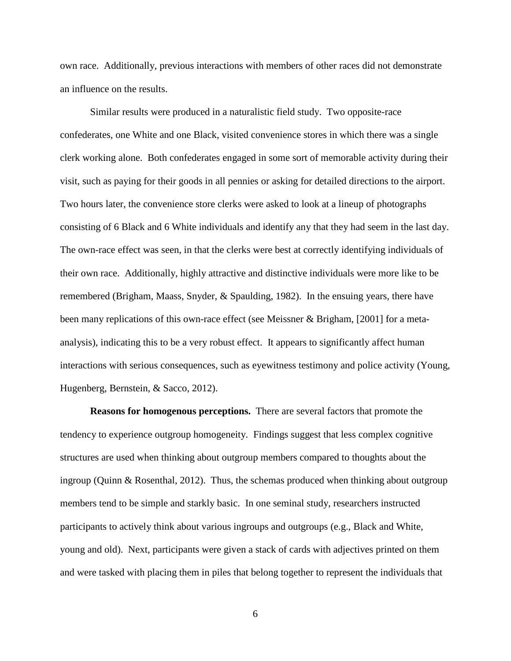own race. Additionally, previous interactions with members of other races did not demonstrate an influence on the results.

Similar results were produced in a naturalistic field study. Two opposite-race confederates, one White and one Black, visited convenience stores in which there was a single clerk working alone. Both confederates engaged in some sort of memorable activity during their visit, such as paying for their goods in all pennies or asking for detailed directions to the airport. Two hours later, the convenience store clerks were asked to look at a lineup of photographs consisting of 6 Black and 6 White individuals and identify any that they had seem in the last day. The own-race effect was seen, in that the clerks were best at correctly identifying individuals of their own race. Additionally, highly attractive and distinctive individuals were more like to be remembered (Brigham, Maass, Snyder, & Spaulding, 1982). In the ensuing years, there have been many replications of this own-race effect (see Meissner & Brigham, [2001] for a metaanalysis), indicating this to be a very robust effect. It appears to significantly affect human interactions with serious consequences, such as eyewitness testimony and police activity (Young, Hugenberg, Bernstein, & Sacco, 2012).

**Reasons for homogenous perceptions.** There are several factors that promote the tendency to experience outgroup homogeneity. Findings suggest that less complex cognitive structures are used when thinking about outgroup members compared to thoughts about the ingroup (Quinn & Rosenthal, 2012). Thus, the schemas produced when thinking about outgroup members tend to be simple and starkly basic. In one seminal study, researchers instructed participants to actively think about various ingroups and outgroups (e.g., Black and White, young and old). Next, participants were given a stack of cards with adjectives printed on them and were tasked with placing them in piles that belong together to represent the individuals that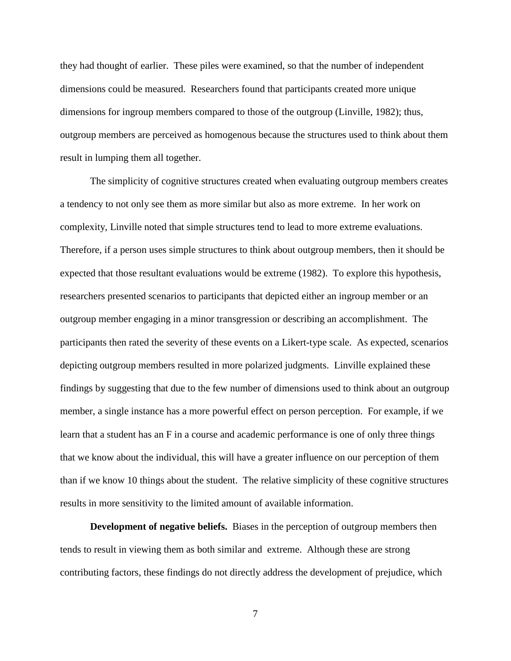they had thought of earlier. These piles were examined, so that the number of independent dimensions could be measured. Researchers found that participants created more unique dimensions for ingroup members compared to those of the outgroup (Linville, 1982); thus, outgroup members are perceived as homogenous because the structures used to think about them result in lumping them all together.

The simplicity of cognitive structures created when evaluating outgroup members creates a tendency to not only see them as more similar but also as more extreme. In her work on complexity, Linville noted that simple structures tend to lead to more extreme evaluations. Therefore, if a person uses simple structures to think about outgroup members, then it should be expected that those resultant evaluations would be extreme (1982). To explore this hypothesis, researchers presented scenarios to participants that depicted either an ingroup member or an outgroup member engaging in a minor transgression or describing an accomplishment. The participants then rated the severity of these events on a Likert-type scale. As expected, scenarios depicting outgroup members resulted in more polarized judgments. Linville explained these findings by suggesting that due to the few number of dimensions used to think about an outgroup member, a single instance has a more powerful effect on person perception. For example, if we learn that a student has an F in a course and academic performance is one of only three things that we know about the individual, this will have a greater influence on our perception of them than if we know 10 things about the student. The relative simplicity of these cognitive structures results in more sensitivity to the limited amount of available information.

**Development of negative beliefs.** Biases in the perception of outgroup members then tends to result in viewing them as both similar and extreme. Although these are strong contributing factors, these findings do not directly address the development of prejudice, which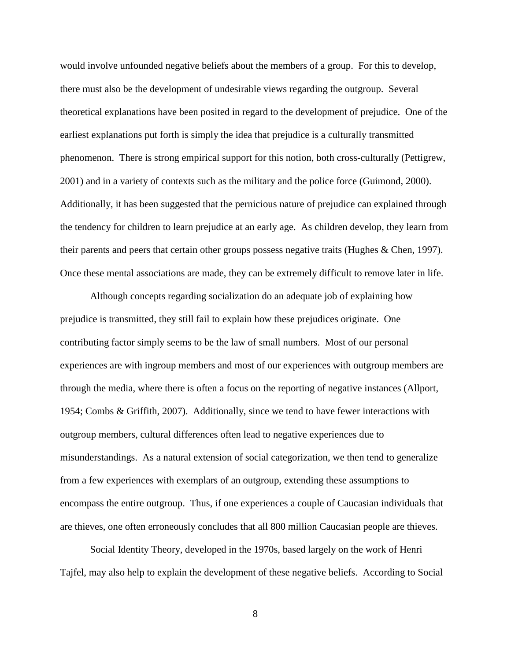would involve unfounded negative beliefs about the members of a group. For this to develop, there must also be the development of undesirable views regarding the outgroup. Several theoretical explanations have been posited in regard to the development of prejudice. One of the earliest explanations put forth is simply the idea that prejudice is a culturally transmitted phenomenon. There is strong empirical support for this notion, both cross-culturally (Pettigrew, 2001) and in a variety of contexts such as the military and the police force (Guimond, 2000). Additionally, it has been suggested that the pernicious nature of prejudice can explained through the tendency for children to learn prejudice at an early age. As children develop, they learn from their parents and peers that certain other groups possess negative traits (Hughes & Chen, 1997). Once these mental associations are made, they can be extremely difficult to remove later in life.

Although concepts regarding socialization do an adequate job of explaining how prejudice is transmitted, they still fail to explain how these prejudices originate. One contributing factor simply seems to be the law of small numbers. Most of our personal experiences are with ingroup members and most of our experiences with outgroup members are through the media, where there is often a focus on the reporting of negative instances (Allport, 1954; Combs & Griffith, 2007). Additionally, since we tend to have fewer interactions with outgroup members, cultural differences often lead to negative experiences due to misunderstandings. As a natural extension of social categorization, we then tend to generalize from a few experiences with exemplars of an outgroup, extending these assumptions to encompass the entire outgroup. Thus, if one experiences a couple of Caucasian individuals that are thieves, one often erroneously concludes that all 800 million Caucasian people are thieves.

Social Identity Theory, developed in the 1970s, based largely on the work of Henri Tajfel, may also help to explain the development of these negative beliefs. According to Social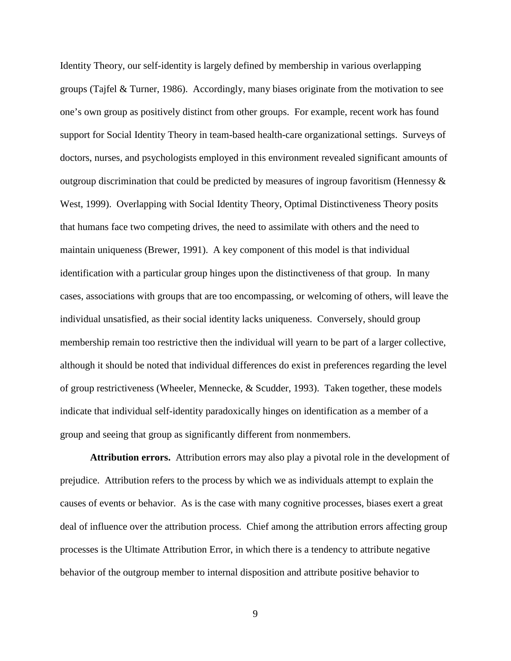Identity Theory, our self-identity is largely defined by membership in various overlapping groups (Tajfel & Turner, 1986). Accordingly, many biases originate from the motivation to see one's own group as positively distinct from other groups. For example, recent work has found support for Social Identity Theory in team-based health-care organizational settings. Surveys of doctors, nurses, and psychologists employed in this environment revealed significant amounts of outgroup discrimination that could be predicted by measures of ingroup favoritism (Hennessy & West, 1999). Overlapping with Social Identity Theory, Optimal Distinctiveness Theory posits that humans face two competing drives, the need to assimilate with others and the need to maintain uniqueness (Brewer, 1991). A key component of this model is that individual identification with a particular group hinges upon the distinctiveness of that group. In many cases, associations with groups that are too encompassing, or welcoming of others, will leave the individual unsatisfied, as their social identity lacks uniqueness. Conversely, should group membership remain too restrictive then the individual will yearn to be part of a larger collective, although it should be noted that individual differences do exist in preferences regarding the level of group restrictiveness (Wheeler, Mennecke, & Scudder, 1993). Taken together, these models indicate that individual self-identity paradoxically hinges on identification as a member of a group and seeing that group as significantly different from nonmembers.

**Attribution errors.** Attribution errors may also play a pivotal role in the development of prejudice. Attribution refers to the process by which we as individuals attempt to explain the causes of events or behavior. As is the case with many cognitive processes, biases exert a great deal of influence over the attribution process. Chief among the attribution errors affecting group processes is the Ultimate Attribution Error, in which there is a tendency to attribute negative behavior of the outgroup member to internal disposition and attribute positive behavior to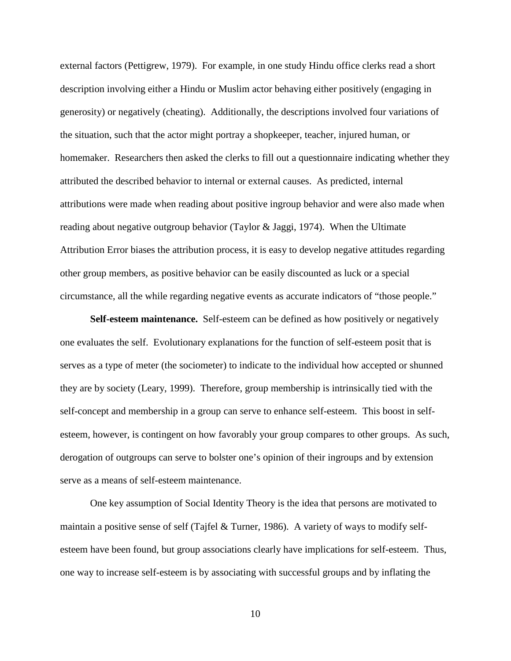external factors (Pettigrew, 1979). For example, in one study Hindu office clerks read a short description involving either a Hindu or Muslim actor behaving either positively (engaging in generosity) or negatively (cheating). Additionally, the descriptions involved four variations of the situation, such that the actor might portray a shopkeeper, teacher, injured human, or homemaker. Researchers then asked the clerks to fill out a questionnaire indicating whether they attributed the described behavior to internal or external causes. As predicted, internal attributions were made when reading about positive ingroup behavior and were also made when reading about negative outgroup behavior (Taylor & Jaggi, 1974). When the Ultimate Attribution Error biases the attribution process, it is easy to develop negative attitudes regarding other group members, as positive behavior can be easily discounted as luck or a special circumstance, all the while regarding negative events as accurate indicators of "those people."

**Self-esteem maintenance.** Self-esteem can be defined as how positively or negatively one evaluates the self. Evolutionary explanations for the function of self-esteem posit that is serves as a type of meter (the sociometer) to indicate to the individual how accepted or shunned they are by society (Leary, 1999). Therefore, group membership is intrinsically tied with the self-concept and membership in a group can serve to enhance self-esteem. This boost in selfesteem, however, is contingent on how favorably your group compares to other groups. As such, derogation of outgroups can serve to bolster one's opinion of their ingroups and by extension serve as a means of self-esteem maintenance.

One key assumption of Social Identity Theory is the idea that persons are motivated to maintain a positive sense of self (Tajfel & Turner, 1986). A variety of ways to modify selfesteem have been found, but group associations clearly have implications for self-esteem. Thus, one way to increase self-esteem is by associating with successful groups and by inflating the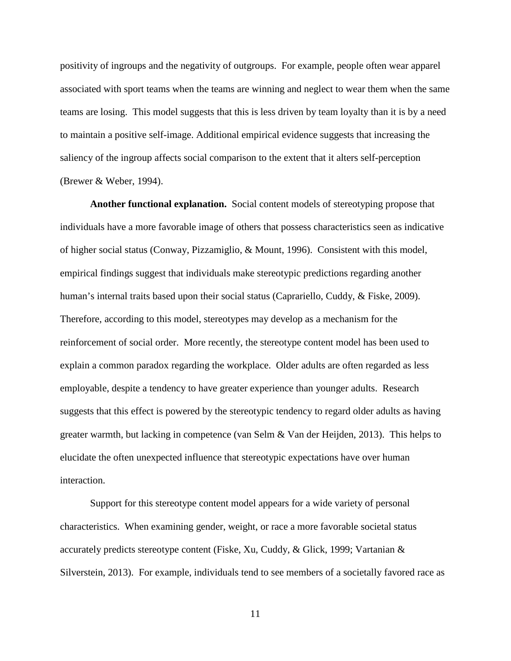positivity of ingroups and the negativity of outgroups. For example, people often wear apparel associated with sport teams when the teams are winning and neglect to wear them when the same teams are losing. This model suggests that this is less driven by team loyalty than it is by a need to maintain a positive self-image. Additional empirical evidence suggests that increasing the saliency of the ingroup affects social comparison to the extent that it alters self-perception (Brewer & Weber, 1994).

**Another functional explanation.** Social content models of stereotyping propose that individuals have a more favorable image of others that possess characteristics seen as indicative of higher social status (Conway, Pizzamiglio, & Mount, 1996). Consistent with this model, empirical findings suggest that individuals make stereotypic predictions regarding another human's internal traits based upon their social status (Caprariello, Cuddy, & Fiske, 2009). Therefore, according to this model, stereotypes may develop as a mechanism for the reinforcement of social order. More recently, the stereotype content model has been used to explain a common paradox regarding the workplace. Older adults are often regarded as less employable, despite a tendency to have greater experience than younger adults. Research suggests that this effect is powered by the stereotypic tendency to regard older adults as having greater warmth, but lacking in competence (van Selm & Van der Heijden, 2013). This helps to elucidate the often unexpected influence that stereotypic expectations have over human interaction.

Support for this stereotype content model appears for a wide variety of personal characteristics. When examining gender, weight, or race a more favorable societal status accurately predicts stereotype content (Fiske, Xu, Cuddy, & Glick, 1999; Vartanian & Silverstein, 2013). For example, individuals tend to see members of a societally favored race as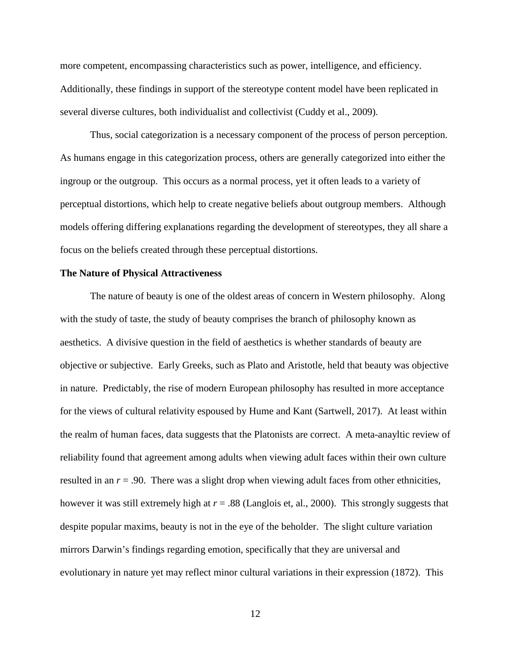more competent, encompassing characteristics such as power, intelligence, and efficiency. Additionally, these findings in support of the stereotype content model have been replicated in several diverse cultures, both individualist and collectivist (Cuddy et al., 2009).

Thus, social categorization is a necessary component of the process of person perception. As humans engage in this categorization process, others are generally categorized into either the ingroup or the outgroup. This occurs as a normal process, yet it often leads to a variety of perceptual distortions, which help to create negative beliefs about outgroup members. Although models offering differing explanations regarding the development of stereotypes, they all share a focus on the beliefs created through these perceptual distortions.

## <span id="page-19-0"></span>**The Nature of Physical Attractiveness**

The nature of beauty is one of the oldest areas of concern in Western philosophy. Along with the study of taste, the study of beauty comprises the branch of philosophy known as aesthetics. A divisive question in the field of aesthetics is whether standards of beauty are objective or subjective. Early Greeks, such as Plato and Aristotle, held that beauty was objective in nature. Predictably, the rise of modern European philosophy has resulted in more acceptance for the views of cultural relativity espoused by Hume and Kant (Sartwell, 2017). At least within the realm of human faces, data suggests that the Platonists are correct. A meta-anayltic review of reliability found that agreement among adults when viewing adult faces within their own culture resulted in an  $r = .90$ . There was a slight drop when viewing adult faces from other ethnicities, however it was still extremely high at *r* = .88 (Langlois et, al., 2000). This strongly suggests that despite popular maxims, beauty is not in the eye of the beholder. The slight culture variation mirrors Darwin's findings regarding emotion, specifically that they are universal and evolutionary in nature yet may reflect minor cultural variations in their expression (1872). This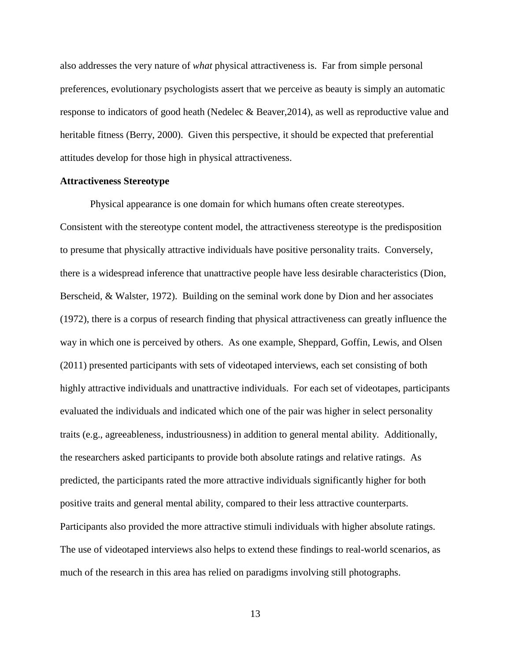also addresses the very nature of *what* physical attractiveness is. Far from simple personal preferences, evolutionary psychologists assert that we perceive as beauty is simply an automatic response to indicators of good heath (Nedelec & Beaver,2014), as well as reproductive value and heritable fitness (Berry, 2000). Given this perspective, it should be expected that preferential attitudes develop for those high in physical attractiveness.

## <span id="page-20-0"></span>**Attractiveness Stereotype**

Physical appearance is one domain for which humans often create stereotypes. Consistent with the stereotype content model, the attractiveness stereotype is the predisposition to presume that physically attractive individuals have positive personality traits. Conversely, there is a widespread inference that unattractive people have less desirable characteristics (Dion, Berscheid, & Walster, 1972). Building on the seminal work done by Dion and her associates (1972), there is a corpus of research finding that physical attractiveness can greatly influence the way in which one is perceived by others. As one example, Sheppard, Goffin, Lewis, and Olsen (2011) presented participants with sets of videotaped interviews, each set consisting of both highly attractive individuals and unattractive individuals. For each set of videotapes, participants evaluated the individuals and indicated which one of the pair was higher in select personality traits (e.g., agreeableness, industriousness) in addition to general mental ability. Additionally, the researchers asked participants to provide both absolute ratings and relative ratings. As predicted, the participants rated the more attractive individuals significantly higher for both positive traits and general mental ability, compared to their less attractive counterparts. Participants also provided the more attractive stimuli individuals with higher absolute ratings. The use of videotaped interviews also helps to extend these findings to real-world scenarios, as much of the research in this area has relied on paradigms involving still photographs.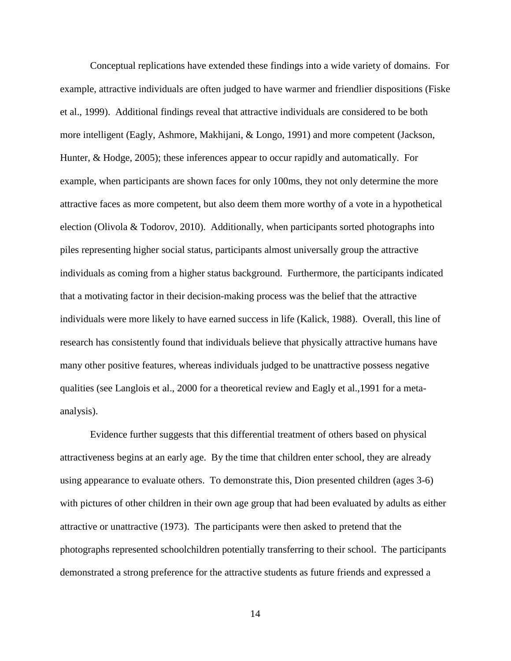Conceptual replications have extended these findings into a wide variety of domains. For example, attractive individuals are often judged to have warmer and friendlier dispositions (Fiske et al., 1999). Additional findings reveal that attractive individuals are considered to be both more intelligent (Eagly, Ashmore, Makhijani, & Longo, 1991) and more competent (Jackson, Hunter, & Hodge, 2005); these inferences appear to occur rapidly and automatically. For example, when participants are shown faces for only 100ms, they not only determine the more attractive faces as more competent, but also deem them more worthy of a vote in a hypothetical election (Olivola & Todorov, 2010). Additionally, when participants sorted photographs into piles representing higher social status, participants almost universally group the attractive individuals as coming from a higher status background. Furthermore, the participants indicated that a motivating factor in their decision-making process was the belief that the attractive individuals were more likely to have earned success in life (Kalick, 1988). Overall, this line of research has consistently found that individuals believe that physically attractive humans have many other positive features, whereas individuals judged to be unattractive possess negative qualities (see Langlois et al., 2000 for a theoretical review and Eagly et al.,1991 for a metaanalysis).

Evidence further suggests that this differential treatment of others based on physical attractiveness begins at an early age. By the time that children enter school, they are already using appearance to evaluate others. To demonstrate this, Dion presented children (ages 3-6) with pictures of other children in their own age group that had been evaluated by adults as either attractive or unattractive (1973). The participants were then asked to pretend that the photographs represented schoolchildren potentially transferring to their school. The participants demonstrated a strong preference for the attractive students as future friends and expressed a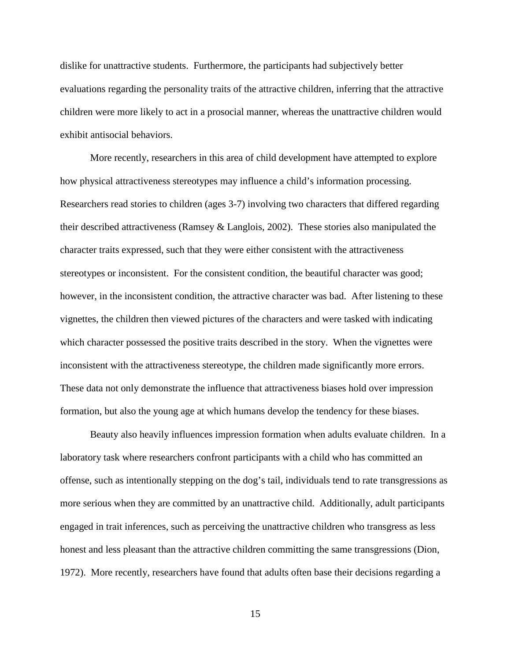dislike for unattractive students. Furthermore, the participants had subjectively better evaluations regarding the personality traits of the attractive children, inferring that the attractive children were more likely to act in a prosocial manner, whereas the unattractive children would exhibit antisocial behaviors.

More recently, researchers in this area of child development have attempted to explore how physical attractiveness stereotypes may influence a child's information processing. Researchers read stories to children (ages 3-7) involving two characters that differed regarding their described attractiveness (Ramsey & Langlois, 2002). These stories also manipulated the character traits expressed, such that they were either consistent with the attractiveness stereotypes or inconsistent. For the consistent condition, the beautiful character was good; however, in the inconsistent condition, the attractive character was bad. After listening to these vignettes, the children then viewed pictures of the characters and were tasked with indicating which character possessed the positive traits described in the story. When the vignettes were inconsistent with the attractiveness stereotype, the children made significantly more errors. These data not only demonstrate the influence that attractiveness biases hold over impression formation, but also the young age at which humans develop the tendency for these biases.

Beauty also heavily influences impression formation when adults evaluate children. In a laboratory task where researchers confront participants with a child who has committed an offense, such as intentionally stepping on the dog's tail, individuals tend to rate transgressions as more serious when they are committed by an unattractive child. Additionally, adult participants engaged in trait inferences, such as perceiving the unattractive children who transgress as less honest and less pleasant than the attractive children committing the same transgressions (Dion, 1972). More recently, researchers have found that adults often base their decisions regarding a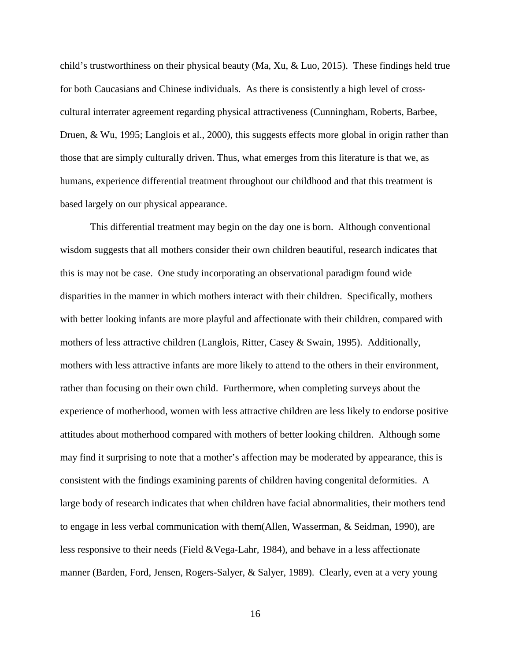child's trustworthiness on their physical beauty (Ma, Xu, & Luo, 2015). These findings held true for both Caucasians and Chinese individuals. As there is consistently a high level of crosscultural interrater agreement regarding physical attractiveness (Cunningham, Roberts, Barbee, Druen, & Wu, 1995; Langlois et al., 2000), this suggests effects more global in origin rather than those that are simply culturally driven. Thus, what emerges from this literature is that we, as humans, experience differential treatment throughout our childhood and that this treatment is based largely on our physical appearance.

This differential treatment may begin on the day one is born. Although conventional wisdom suggests that all mothers consider their own children beautiful, research indicates that this is may not be case. One study incorporating an observational paradigm found wide disparities in the manner in which mothers interact with their children. Specifically, mothers with better looking infants are more playful and affectionate with their children, compared with mothers of less attractive children (Langlois, Ritter, Casey & Swain, 1995). Additionally, mothers with less attractive infants are more likely to attend to the others in their environment, rather than focusing on their own child. Furthermore, when completing surveys about the experience of motherhood, women with less attractive children are less likely to endorse positive attitudes about motherhood compared with mothers of better looking children. Although some may find it surprising to note that a mother's affection may be moderated by appearance, this is consistent with the findings examining parents of children having congenital deformities. A large body of research indicates that when children have facial abnormalities, their mothers tend to engage in less verbal communication with them(Allen, Wasserman, & Seidman, 1990), are less responsive to their needs (Field &Vega-Lahr, 1984), and behave in a less affectionate manner (Barden, Ford, Jensen, Rogers-Salyer, & Salyer, 1989). Clearly, even at a very young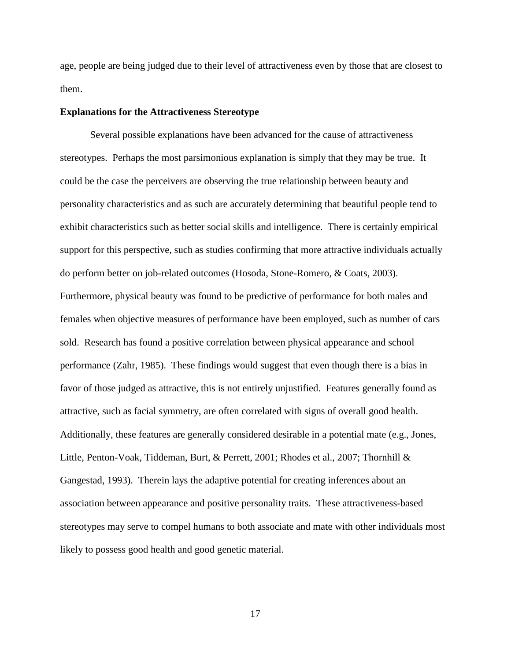age, people are being judged due to their level of attractiveness even by those that are closest to them.

## <span id="page-24-0"></span>**Explanations for the Attractiveness Stereotype**

Several possible explanations have been advanced for the cause of attractiveness stereotypes. Perhaps the most parsimonious explanation is simply that they may be true. It could be the case the perceivers are observing the true relationship between beauty and personality characteristics and as such are accurately determining that beautiful people tend to exhibit characteristics such as better social skills and intelligence. There is certainly empirical support for this perspective, such as studies confirming that more attractive individuals actually do perform better on job-related outcomes (Hosoda, Stone-Romero, & Coats, 2003). Furthermore, physical beauty was found to be predictive of performance for both males and females when objective measures of performance have been employed, such as number of cars sold. Research has found a positive correlation between physical appearance and school performance (Zahr, 1985). These findings would suggest that even though there is a bias in favor of those judged as attractive, this is not entirely unjustified. Features generally found as attractive, such as facial symmetry, are often correlated with signs of overall good health. Additionally, these features are generally considered desirable in a potential mate (e.g., Jones, Little, Penton-Voak, Tiddeman, Burt, & Perrett, 2001; Rhodes et al., 2007; Thornhill & Gangestad, 1993). Therein lays the adaptive potential for creating inferences about an association between appearance and positive personality traits. These attractiveness-based stereotypes may serve to compel humans to both associate and mate with other individuals most likely to possess good health and good genetic material.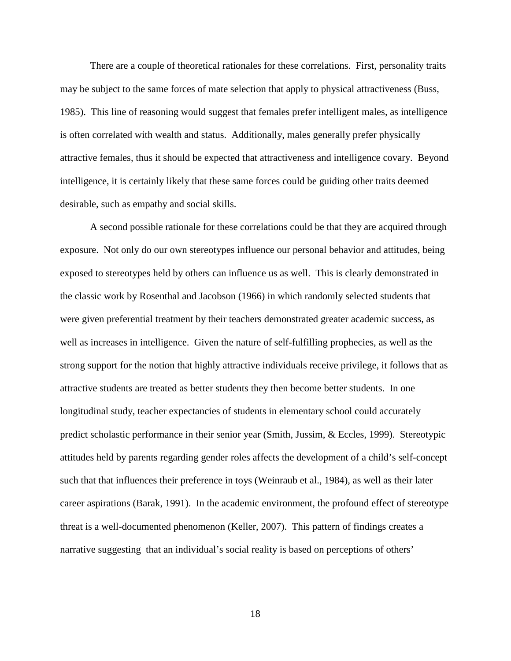There are a couple of theoretical rationales for these correlations. First, personality traits may be subject to the same forces of mate selection that apply to physical attractiveness (Buss, 1985). This line of reasoning would suggest that females prefer intelligent males, as intelligence is often correlated with wealth and status. Additionally, males generally prefer physically attractive females, thus it should be expected that attractiveness and intelligence covary. Beyond intelligence, it is certainly likely that these same forces could be guiding other traits deemed desirable, such as empathy and social skills.

A second possible rationale for these correlations could be that they are acquired through exposure. Not only do our own stereotypes influence our personal behavior and attitudes, being exposed to stereotypes held by others can influence us as well. This is clearly demonstrated in the classic work by Rosenthal and Jacobson (1966) in which randomly selected students that were given preferential treatment by their teachers demonstrated greater academic success, as well as increases in intelligence. Given the nature of self-fulfilling prophecies, as well as the strong support for the notion that highly attractive individuals receive privilege, it follows that as attractive students are treated as better students they then become better students. In one longitudinal study, teacher expectancies of students in elementary school could accurately predict scholastic performance in their senior year (Smith, Jussim, & Eccles, 1999). Stereotypic attitudes held by parents regarding gender roles affects the development of a child's self-concept such that that influences their preference in toys (Weinraub et al., 1984), as well as their later career aspirations (Barak, 1991). In the academic environment, the profound effect of stereotype threat is a well-documented phenomenon (Keller, 2007). This pattern of findings creates a narrative suggesting that an individual's social reality is based on perceptions of others'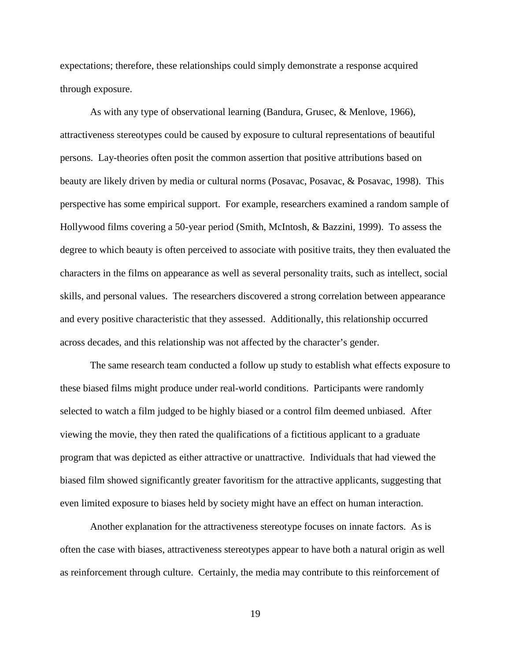expectations; therefore, these relationships could simply demonstrate a response acquired through exposure.

As with any type of observational learning (Bandura, Grusec, & Menlove, 1966), attractiveness stereotypes could be caused by exposure to cultural representations of beautiful persons. Lay-theories often posit the common assertion that positive attributions based on beauty are likely driven by media or cultural norms (Posavac, Posavac, & Posavac, 1998). This perspective has some empirical support. For example, researchers examined a random sample of Hollywood films covering a 50-year period (Smith, McIntosh, & Bazzini, 1999). To assess the degree to which beauty is often perceived to associate with positive traits, they then evaluated the characters in the films on appearance as well as several personality traits, such as intellect, social skills, and personal values. The researchers discovered a strong correlation between appearance and every positive characteristic that they assessed. Additionally, this relationship occurred across decades, and this relationship was not affected by the character's gender.

The same research team conducted a follow up study to establish what effects exposure to these biased films might produce under real-world conditions. Participants were randomly selected to watch a film judged to be highly biased or a control film deemed unbiased. After viewing the movie, they then rated the qualifications of a fictitious applicant to a graduate program that was depicted as either attractive or unattractive. Individuals that had viewed the biased film showed significantly greater favoritism for the attractive applicants, suggesting that even limited exposure to biases held by society might have an effect on human interaction.

Another explanation for the attractiveness stereotype focuses on innate factors. As is often the case with biases, attractiveness stereotypes appear to have both a natural origin as well as reinforcement through culture. Certainly, the media may contribute to this reinforcement of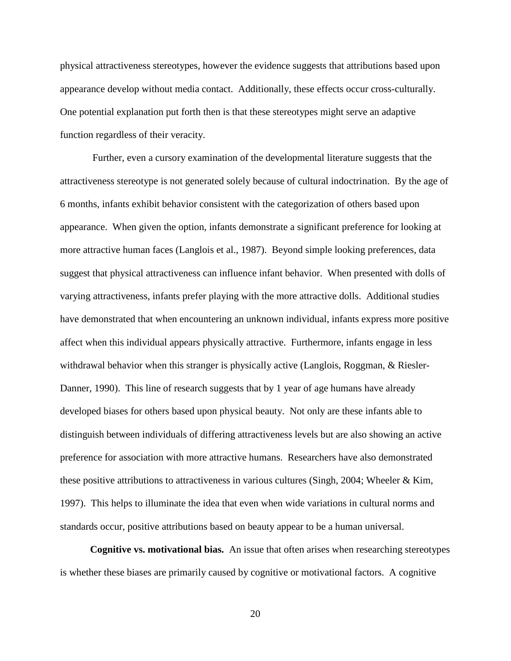physical attractiveness stereotypes, however the evidence suggests that attributions based upon appearance develop without media contact. Additionally, these effects occur cross-culturally. One potential explanation put forth then is that these stereotypes might serve an adaptive function regardless of their veracity.

Further, even a cursory examination of the developmental literature suggests that the attractiveness stereotype is not generated solely because of cultural indoctrination. By the age of 6 months, infants exhibit behavior consistent with the categorization of others based upon appearance. When given the option, infants demonstrate a significant preference for looking at more attractive human faces (Langlois et al., 1987). Beyond simple looking preferences, data suggest that physical attractiveness can influence infant behavior. When presented with dolls of varying attractiveness, infants prefer playing with the more attractive dolls. Additional studies have demonstrated that when encountering an unknown individual, infants express more positive affect when this individual appears physically attractive. Furthermore, infants engage in less withdrawal behavior when this stranger is physically active (Langlois, Roggman, & Riesler-Danner, 1990). This line of research suggests that by 1 year of age humans have already developed biases for others based upon physical beauty. Not only are these infants able to distinguish between individuals of differing attractiveness levels but are also showing an active preference for association with more attractive humans. Researchers have also demonstrated these positive attributions to attractiveness in various cultures (Singh, 2004; Wheeler  $\&$  Kim, 1997). This helps to illuminate the idea that even when wide variations in cultural norms and standards occur, positive attributions based on beauty appear to be a human universal.

**Cognitive vs. motivational bias.** An issue that often arises when researching stereotypes is whether these biases are primarily caused by cognitive or motivational factors. A cognitive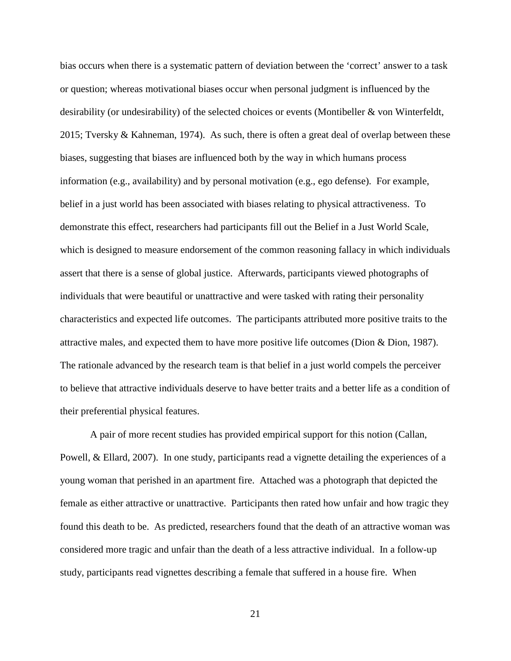bias occurs when there is a systematic pattern of deviation between the 'correct' answer to a task or question; whereas motivational biases occur when personal judgment is influenced by the desirability (or undesirability) of the selected choices or events (Montibeller & von Winterfeldt, 2015; Tversky & Kahneman, 1974). As such, there is often a great deal of overlap between these biases, suggesting that biases are influenced both by the way in which humans process information (e.g., availability) and by personal motivation (e.g., ego defense). For example, belief in a just world has been associated with biases relating to physical attractiveness. To demonstrate this effect, researchers had participants fill out the Belief in a Just World Scale, which is designed to measure endorsement of the common reasoning fallacy in which individuals assert that there is a sense of global justice. Afterwards, participants viewed photographs of individuals that were beautiful or unattractive and were tasked with rating their personality characteristics and expected life outcomes. The participants attributed more positive traits to the attractive males, and expected them to have more positive life outcomes (Dion & Dion, 1987). The rationale advanced by the research team is that belief in a just world compels the perceiver to believe that attractive individuals deserve to have better traits and a better life as a condition of their preferential physical features.

A pair of more recent studies has provided empirical support for this notion (Callan, Powell, & Ellard, 2007). In one study, participants read a vignette detailing the experiences of a young woman that perished in an apartment fire. Attached was a photograph that depicted the female as either attractive or unattractive. Participants then rated how unfair and how tragic they found this death to be. As predicted, researchers found that the death of an attractive woman was considered more tragic and unfair than the death of a less attractive individual. In a follow-up study, participants read vignettes describing a female that suffered in a house fire. When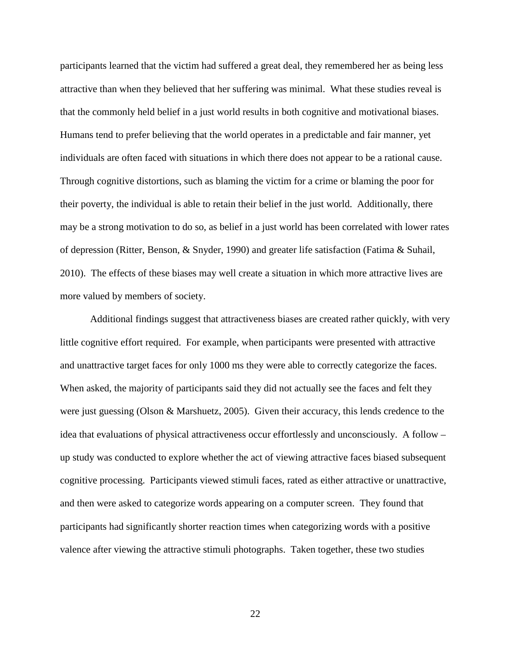participants learned that the victim had suffered a great deal, they remembered her as being less attractive than when they believed that her suffering was minimal. What these studies reveal is that the commonly held belief in a just world results in both cognitive and motivational biases. Humans tend to prefer believing that the world operates in a predictable and fair manner, yet individuals are often faced with situations in which there does not appear to be a rational cause. Through cognitive distortions, such as blaming the victim for a crime or blaming the poor for their poverty, the individual is able to retain their belief in the just world. Additionally, there may be a strong motivation to do so, as belief in a just world has been correlated with lower rates of depression (Ritter, Benson, & Snyder, 1990) and greater life satisfaction (Fatima & Suhail, 2010). The effects of these biases may well create a situation in which more attractive lives are more valued by members of society.

Additional findings suggest that attractiveness biases are created rather quickly, with very little cognitive effort required. For example, when participants were presented with attractive and unattractive target faces for only 1000 ms they were able to correctly categorize the faces. When asked, the majority of participants said they did not actually see the faces and felt they were just guessing (Olson & Marshuetz, 2005). Given their accuracy, this lends credence to the idea that evaluations of physical attractiveness occur effortlessly and unconsciously. A follow – up study was conducted to explore whether the act of viewing attractive faces biased subsequent cognitive processing. Participants viewed stimuli faces, rated as either attractive or unattractive, and then were asked to categorize words appearing on a computer screen. They found that participants had significantly shorter reaction times when categorizing words with a positive valence after viewing the attractive stimuli photographs. Taken together, these two studies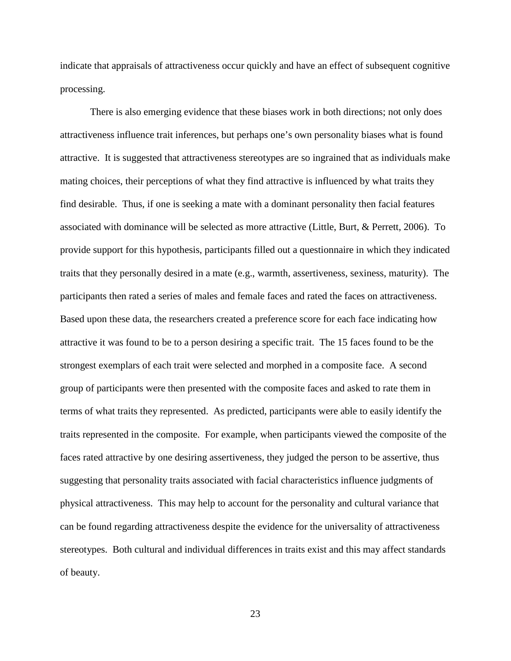indicate that appraisals of attractiveness occur quickly and have an effect of subsequent cognitive processing.

There is also emerging evidence that these biases work in both directions; not only does attractiveness influence trait inferences, but perhaps one's own personality biases what is found attractive. It is suggested that attractiveness stereotypes are so ingrained that as individuals make mating choices, their perceptions of what they find attractive is influenced by what traits they find desirable. Thus, if one is seeking a mate with a dominant personality then facial features associated with dominance will be selected as more attractive (Little, Burt, & Perrett, 2006). To provide support for this hypothesis, participants filled out a questionnaire in which they indicated traits that they personally desired in a mate (e.g., warmth, assertiveness, sexiness, maturity). The participants then rated a series of males and female faces and rated the faces on attractiveness. Based upon these data, the researchers created a preference score for each face indicating how attractive it was found to be to a person desiring a specific trait. The 15 faces found to be the strongest exemplars of each trait were selected and morphed in a composite face. A second group of participants were then presented with the composite faces and asked to rate them in terms of what traits they represented. As predicted, participants were able to easily identify the traits represented in the composite. For example, when participants viewed the composite of the faces rated attractive by one desiring assertiveness, they judged the person to be assertive, thus suggesting that personality traits associated with facial characteristics influence judgments of physical attractiveness. This may help to account for the personality and cultural variance that can be found regarding attractiveness despite the evidence for the universality of attractiveness stereotypes. Both cultural and individual differences in traits exist and this may affect standards of beauty.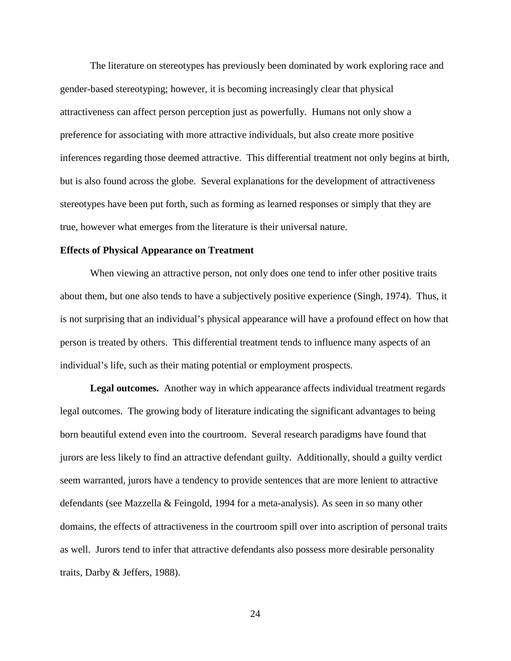The literature on stereotypes has previously been dominated by work exploring race and gender-based stereotyping; however, it is becoming increasingly clear that physical attractiveness can affect person perception just as powerfully. Humans not only show a preference for associating with more attractive individuals, but also create more positive inferences regarding those deemed attractive. This differential treatment not only begins at birth, but is also found across the globe. Several explanations for the development of attractiveness stereotypes have been put forth, such as forming as learned responses or simply that they are true, however what emerges from the literature is their universal nature.

#### <span id="page-31-0"></span>**Effects of Physical Appearance on Treatment**

When viewing an attractive person, not only does one tend to infer other positive traits about them, but one also tends to have a subjectively positive experience (Singh, 1974). Thus, it is not surprising that an individual's physical appearance will have a profound effect on how that person is treated by others. This differential treatment tends to influence many aspects of an individual's life, such as their mating potential or employment prospects.

**Legal outcomes.** Another way in which appearance affects individual treatment regards legal outcomes. The growing body of literature indicating the significant advantages to being born beautiful extend even into the courtroom. Several research paradigms have found that jurors are less likely to find an attractive defendant guilty. Additionally, should a guilty verdict seem warranted, jurors have a tendency to provide sentences that are more lenient to attractive defendants (see Mazzella & Feingold, 1994 for a meta-analysis). As seen in so many other domains, the effects of attractiveness in the courtroom spill over into ascription of personal traits as well. Jurors tend to infer that attractive defendants also possess more desirable personality traits, Darby & Jeffers, 1988).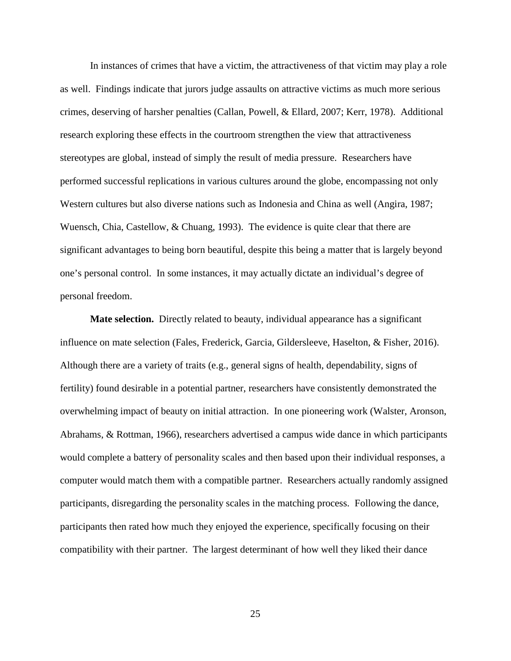In instances of crimes that have a victim, the attractiveness of that victim may play a role as well. Findings indicate that jurors judge assaults on attractive victims as much more serious crimes, deserving of harsher penalties (Callan, Powell, & Ellard, 2007; Kerr, 1978). Additional research exploring these effects in the courtroom strengthen the view that attractiveness stereotypes are global, instead of simply the result of media pressure. Researchers have performed successful replications in various cultures around the globe, encompassing not only Western cultures but also diverse nations such as Indonesia and China as well (Angira, 1987; Wuensch, Chia, Castellow, & Chuang, 1993). The evidence is quite clear that there are significant advantages to being born beautiful, despite this being a matter that is largely beyond one's personal control. In some instances, it may actually dictate an individual's degree of personal freedom.

**Mate selection.** Directly related to beauty, individual appearance has a significant influence on mate selection (Fales, Frederick, Garcia, Gildersleeve, Haselton, & Fisher, 2016). Although there are a variety of traits (e.g., general signs of health, dependability, signs of fertility) found desirable in a potential partner, researchers have consistently demonstrated the overwhelming impact of beauty on initial attraction. In one pioneering work (Walster, Aronson, Abrahams, & Rottman, 1966), researchers advertised a campus wide dance in which participants would complete a battery of personality scales and then based upon their individual responses, a computer would match them with a compatible partner. Researchers actually randomly assigned participants, disregarding the personality scales in the matching process. Following the dance, participants then rated how much they enjoyed the experience, specifically focusing on their compatibility with their partner. The largest determinant of how well they liked their dance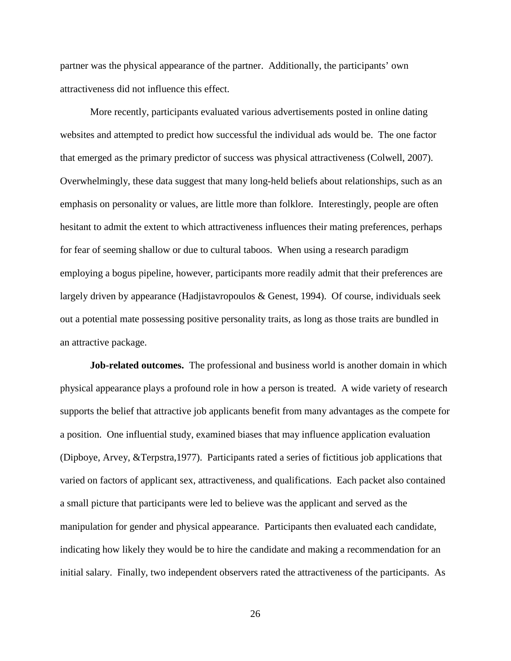partner was the physical appearance of the partner. Additionally, the participants' own attractiveness did not influence this effect.

More recently, participants evaluated various advertisements posted in online dating websites and attempted to predict how successful the individual ads would be. The one factor that emerged as the primary predictor of success was physical attractiveness (Colwell, 2007). Overwhelmingly, these data suggest that many long-held beliefs about relationships, such as an emphasis on personality or values, are little more than folklore. Interestingly, people are often hesitant to admit the extent to which attractiveness influences their mating preferences, perhaps for fear of seeming shallow or due to cultural taboos. When using a research paradigm employing a bogus pipeline, however, participants more readily admit that their preferences are largely driven by appearance (Hadjistavropoulos & Genest, 1994). Of course, individuals seek out a potential mate possessing positive personality traits, as long as those traits are bundled in an attractive package.

**Job-related outcomes.** The professional and business world is another domain in which physical appearance plays a profound role in how a person is treated. A wide variety of research supports the belief that attractive job applicants benefit from many advantages as the compete for a position. One influential study, examined biases that may influence application evaluation (Dipboye, Arvey, &Terpstra,1977). Participants rated a series of fictitious job applications that varied on factors of applicant sex, attractiveness, and qualifications. Each packet also contained a small picture that participants were led to believe was the applicant and served as the manipulation for gender and physical appearance. Participants then evaluated each candidate, indicating how likely they would be to hire the candidate and making a recommendation for an initial salary. Finally, two independent observers rated the attractiveness of the participants. As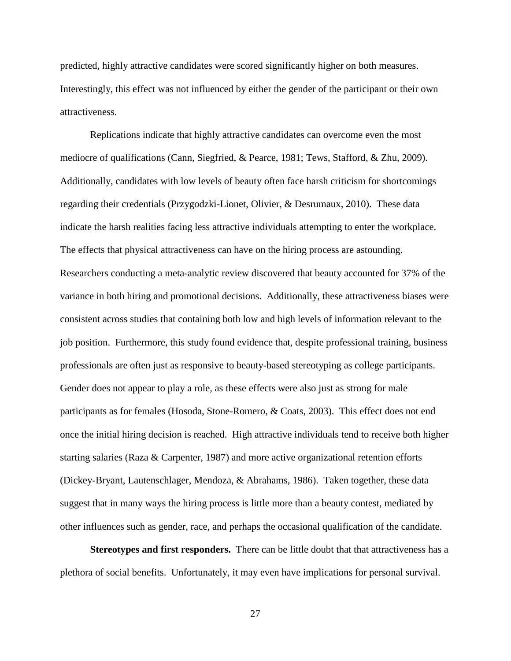predicted, highly attractive candidates were scored significantly higher on both measures. Interestingly, this effect was not influenced by either the gender of the participant or their own attractiveness.

Replications indicate that highly attractive candidates can overcome even the most mediocre of qualifications (Cann, Siegfried, & Pearce, 1981; Tews, Stafford, & Zhu, 2009). Additionally, candidates with low levels of beauty often face harsh criticism for shortcomings regarding their credentials (Przygodzki-Lionet, Olivier, & Desrumaux, 2010). These data indicate the harsh realities facing less attractive individuals attempting to enter the workplace. The effects that physical attractiveness can have on the hiring process are astounding. Researchers conducting a meta-analytic review discovered that beauty accounted for 37% of the variance in both hiring and promotional decisions. Additionally, these attractiveness biases were consistent across studies that containing both low and high levels of information relevant to the job position. Furthermore, this study found evidence that, despite professional training, business professionals are often just as responsive to beauty-based stereotyping as college participants. Gender does not appear to play a role, as these effects were also just as strong for male participants as for females (Hosoda, Stone-Romero, & Coats, 2003). This effect does not end once the initial hiring decision is reached. High attractive individuals tend to receive both higher starting salaries (Raza & Carpenter, 1987) and more active organizational retention efforts (Dickey-Bryant, Lautenschlager, Mendoza, & Abrahams, 1986). Taken together, these data suggest that in many ways the hiring process is little more than a beauty contest, mediated by other influences such as gender, race, and perhaps the occasional qualification of the candidate.

**Stereotypes and first responders.** There can be little doubt that that attractiveness has a plethora of social benefits. Unfortunately, it may even have implications for personal survival.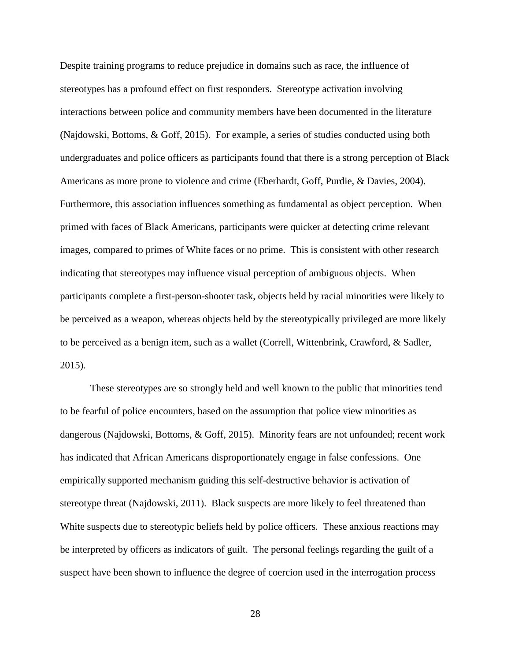Despite training programs to reduce prejudice in domains such as race, the influence of stereotypes has a profound effect on first responders. Stereotype activation involving interactions between police and community members have been documented in the literature (Najdowski, Bottoms, & Goff, 2015). For example, a series of studies conducted using both undergraduates and police officers as participants found that there is a strong perception of Black Americans as more prone to violence and crime (Eberhardt, Goff, Purdie, & Davies, 2004). Furthermore, this association influences something as fundamental as object perception. When primed with faces of Black Americans, participants were quicker at detecting crime relevant images, compared to primes of White faces or no prime. This is consistent with other research indicating that stereotypes may influence visual perception of ambiguous objects. When participants complete a first-person-shooter task, objects held by racial minorities were likely to be perceived as a weapon, whereas objects held by the stereotypically privileged are more likely to be perceived as a benign item, such as a wallet (Correll, Wittenbrink, Crawford, & Sadler, 2015).

These stereotypes are so strongly held and well known to the public that minorities tend to be fearful of police encounters, based on the assumption that police view minorities as dangerous (Najdowski, Bottoms, & Goff, 2015). Minority fears are not unfounded; recent work has indicated that African Americans disproportionately engage in false confessions. One empirically supported mechanism guiding this self-destructive behavior is activation of stereotype threat (Najdowski, 2011). Black suspects are more likely to feel threatened than White suspects due to stereotypic beliefs held by police officers. These anxious reactions may be interpreted by officers as indicators of guilt. The personal feelings regarding the guilt of a suspect have been shown to influence the degree of coercion used in the interrogation process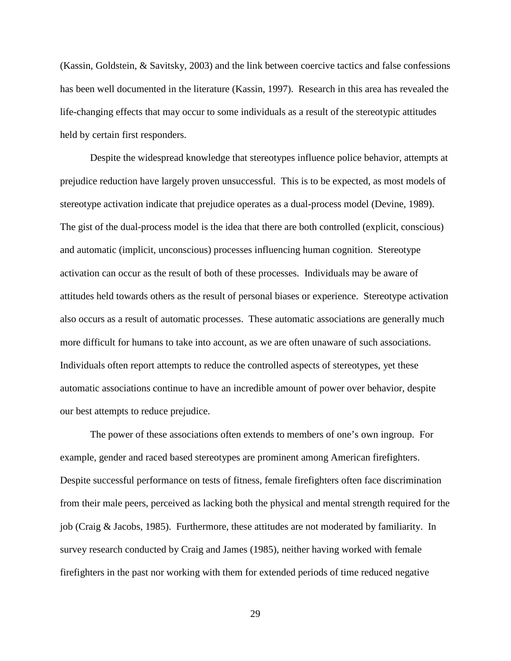(Kassin, Goldstein, & Savitsky, 2003) and the link between coercive tactics and false confessions has been well documented in the literature (Kassin, 1997). Research in this area has revealed the life-changing effects that may occur to some individuals as a result of the stereotypic attitudes held by certain first responders.

Despite the widespread knowledge that stereotypes influence police behavior, attempts at prejudice reduction have largely proven unsuccessful. This is to be expected, as most models of stereotype activation indicate that prejudice operates as a dual-process model (Devine, 1989). The gist of the dual-process model is the idea that there are both controlled (explicit, conscious) and automatic (implicit, unconscious) processes influencing human cognition. Stereotype activation can occur as the result of both of these processes. Individuals may be aware of attitudes held towards others as the result of personal biases or experience. Stereotype activation also occurs as a result of automatic processes. These automatic associations are generally much more difficult for humans to take into account, as we are often unaware of such associations. Individuals often report attempts to reduce the controlled aspects of stereotypes, yet these automatic associations continue to have an incredible amount of power over behavior, despite our best attempts to reduce prejudice.

The power of these associations often extends to members of one's own ingroup. For example, gender and raced based stereotypes are prominent among American firefighters. Despite successful performance on tests of fitness, female firefighters often face discrimination from their male peers, perceived as lacking both the physical and mental strength required for the job (Craig & Jacobs, 1985). Furthermore, these attitudes are not moderated by familiarity. In survey research conducted by Craig and James (1985), neither having worked with female firefighters in the past nor working with them for extended periods of time reduced negative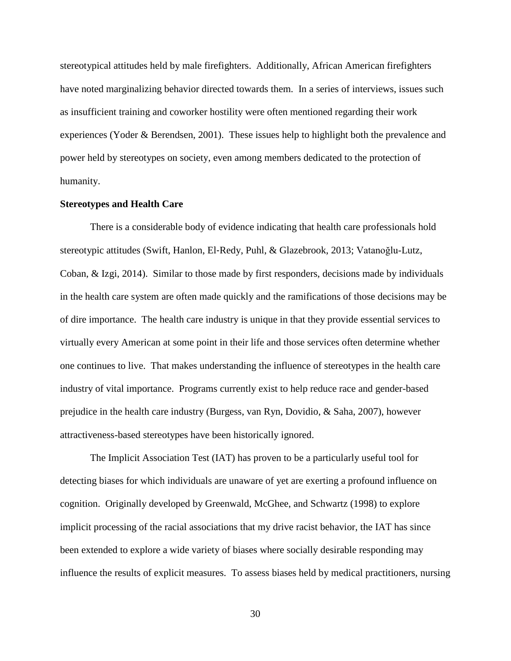stereotypical attitudes held by male firefighters. Additionally, African American firefighters have noted marginalizing behavior directed towards them. In a series of interviews, issues such as insufficient training and coworker hostility were often mentioned regarding their work experiences (Yoder & Berendsen, 2001). These issues help to highlight both the prevalence and power held by stereotypes on society, even among members dedicated to the protection of humanity.

#### **Stereotypes and Health Care**

There is a considerable body of evidence indicating that health care professionals hold stereotypic attitudes (Swift, Hanlon, El‐Redy, Puhl, & Glazebrook, 2013; Vatanoğlu-Lutz, Coban, & Izgi, 2014). Similar to those made by first responders, decisions made by individuals in the health care system are often made quickly and the ramifications of those decisions may be of dire importance. The health care industry is unique in that they provide essential services to virtually every American at some point in their life and those services often determine whether one continues to live. That makes understanding the influence of stereotypes in the health care industry of vital importance. Programs currently exist to help reduce race and gender-based prejudice in the health care industry (Burgess, van Ryn, Dovidio, & Saha, 2007), however attractiveness-based stereotypes have been historically ignored.

The Implicit Association Test (IAT) has proven to be a particularly useful tool for detecting biases for which individuals are unaware of yet are exerting a profound influence on cognition. Originally developed by Greenwald, McGhee, and Schwartz (1998) to explore implicit processing of the racial associations that my drive racist behavior, the IAT has since been extended to explore a wide variety of biases where socially desirable responding may influence the results of explicit measures. To assess biases held by medical practitioners, nursing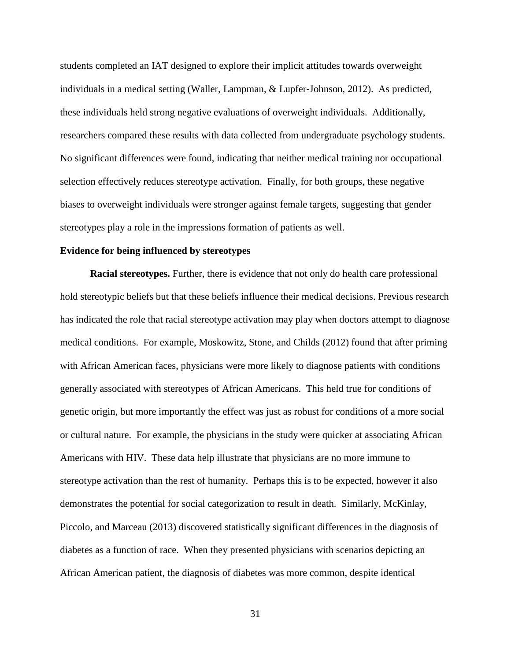students completed an IAT designed to explore their implicit attitudes towards overweight individuals in a medical setting (Waller, Lampman, & Lupfer‐Johnson, 2012). As predicted, these individuals held strong negative evaluations of overweight individuals. Additionally, researchers compared these results with data collected from undergraduate psychology students. No significant differences were found, indicating that neither medical training nor occupational selection effectively reduces stereotype activation. Finally, for both groups, these negative biases to overweight individuals were stronger against female targets, suggesting that gender stereotypes play a role in the impressions formation of patients as well.

### **Evidence for being influenced by stereotypes**

**Racial stereotypes.** Further, there is evidence that not only do health care professional hold stereotypic beliefs but that these beliefs influence their medical decisions. Previous research has indicated the role that racial stereotype activation may play when doctors attempt to diagnose medical conditions. For example, Moskowitz, Stone, and Childs (2012) found that after priming with African American faces, physicians were more likely to diagnose patients with conditions generally associated with stereotypes of African Americans. This held true for conditions of genetic origin, but more importantly the effect was just as robust for conditions of a more social or cultural nature. For example, the physicians in the study were quicker at associating African Americans with HIV. These data help illustrate that physicians are no more immune to stereotype activation than the rest of humanity. Perhaps this is to be expected, however it also demonstrates the potential for social categorization to result in death. Similarly, McKinlay, Piccolo, and Marceau (2013) discovered statistically significant differences in the diagnosis of diabetes as a function of race. When they presented physicians with scenarios depicting an African American patient, the diagnosis of diabetes was more common, despite identical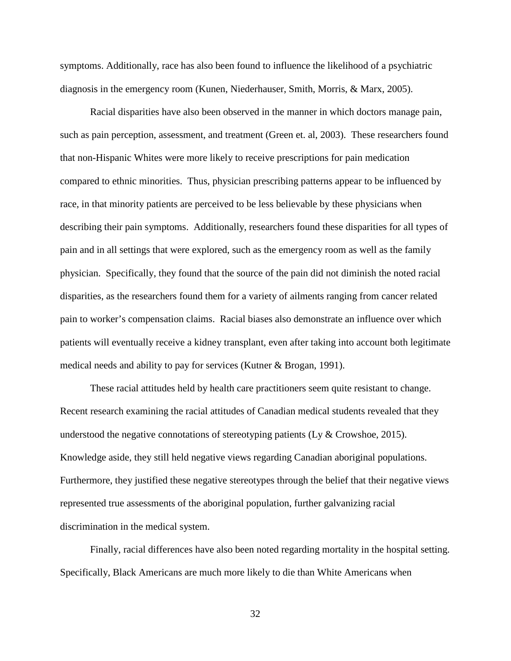symptoms. Additionally, race has also been found to influence the likelihood of a psychiatric diagnosis in the emergency room (Kunen, Niederhauser, Smith, Morris, & Marx, 2005).

Racial disparities have also been observed in the manner in which doctors manage pain, such as pain perception, assessment, and treatment (Green et. al, 2003). These researchers found that non-Hispanic Whites were more likely to receive prescriptions for pain medication compared to ethnic minorities. Thus, physician prescribing patterns appear to be influenced by race, in that minority patients are perceived to be less believable by these physicians when describing their pain symptoms. Additionally, researchers found these disparities for all types of pain and in all settings that were explored, such as the emergency room as well as the family physician. Specifically, they found that the source of the pain did not diminish the noted racial disparities, as the researchers found them for a variety of ailments ranging from cancer related pain to worker's compensation claims. Racial biases also demonstrate an influence over which patients will eventually receive a kidney transplant, even after taking into account both legitimate medical needs and ability to pay for services (Kutner & Brogan, 1991).

These racial attitudes held by health care practitioners seem quite resistant to change. Recent research examining the racial attitudes of Canadian medical students revealed that they understood the negative connotations of stereotyping patients (Ly  $\&$  Crowshoe, 2015). Knowledge aside, they still held negative views regarding Canadian aboriginal populations. Furthermore, they justified these negative stereotypes through the belief that their negative views represented true assessments of the aboriginal population, further galvanizing racial discrimination in the medical system.

Finally, racial differences have also been noted regarding mortality in the hospital setting. Specifically, Black Americans are much more likely to die than White Americans when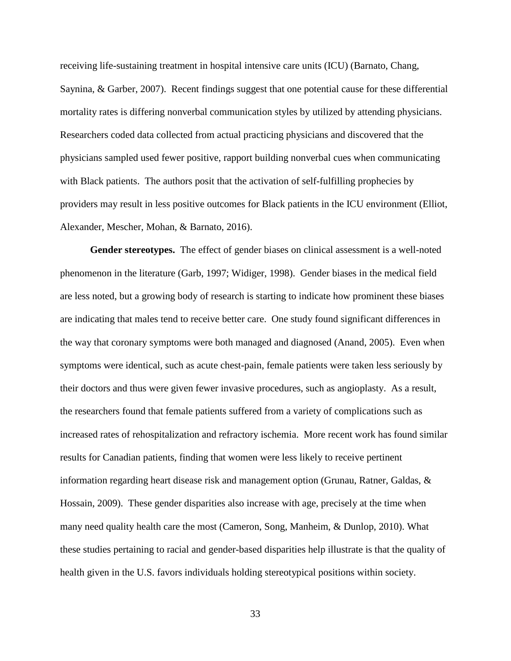receiving life-sustaining treatment in hospital intensive care units (ICU) (Barnato, Chang, Saynina, & Garber, 2007). Recent findings suggest that one potential cause for these differential mortality rates is differing nonverbal communication styles by utilized by attending physicians. Researchers coded data collected from actual practicing physicians and discovered that the physicians sampled used fewer positive, rapport building nonverbal cues when communicating with Black patients. The authors posit that the activation of self-fulfilling prophecies by providers may result in less positive outcomes for Black patients in the ICU environment (Elliot, Alexander, Mescher, Mohan, & Barnato, 2016).

**Gender stereotypes.** The effect of gender biases on clinical assessment is a well-noted phenomenon in the literature (Garb, 1997; Widiger, 1998). Gender biases in the medical field are less noted, but a growing body of research is starting to indicate how prominent these biases are indicating that males tend to receive better care. One study found significant differences in the way that coronary symptoms were both managed and diagnosed (Anand, 2005). Even when symptoms were identical, such as acute chest-pain, female patients were taken less seriously by their doctors and thus were given fewer invasive procedures, such as angioplasty. As a result, the researchers found that female patients suffered from a variety of complications such as increased rates of rehospitalization and refractory ischemia. More recent work has found similar results for Canadian patients, finding that women were less likely to receive pertinent information regarding heart disease risk and management option (Grunau, Ratner, Galdas, & Hossain, 2009). These gender disparities also increase with age, precisely at the time when many need quality health care the most (Cameron, Song, Manheim, & Dunlop, 2010). What these studies pertaining to racial and gender-based disparities help illustrate is that the quality of health given in the U.S. favors individuals holding stereotypical positions within society.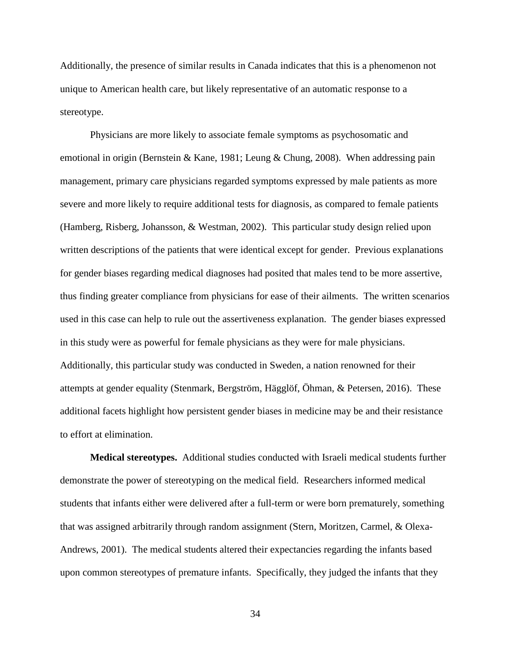Additionally, the presence of similar results in Canada indicates that this is a phenomenon not unique to American health care, but likely representative of an automatic response to a stereotype.

Physicians are more likely to associate female symptoms as psychosomatic and emotional in origin (Bernstein & Kane, 1981; Leung & Chung, 2008). When addressing pain management, primary care physicians regarded symptoms expressed by male patients as more severe and more likely to require additional tests for diagnosis, as compared to female patients (Hamberg, Risberg, Johansson, & Westman, 2002). This particular study design relied upon written descriptions of the patients that were identical except for gender. Previous explanations for gender biases regarding medical diagnoses had posited that males tend to be more assertive, thus finding greater compliance from physicians for ease of their ailments. The written scenarios used in this case can help to rule out the assertiveness explanation. The gender biases expressed in this study were as powerful for female physicians as they were for male physicians. Additionally, this particular study was conducted in Sweden, a nation renowned for their attempts at gender equality (Stenmark, Bergström, Hägglöf, Öhman, & Petersen, 2016). These additional facets highlight how persistent gender biases in medicine may be and their resistance to effort at elimination.

**Medical stereotypes.** Additional studies conducted with Israeli medical students further demonstrate the power of stereotyping on the medical field. Researchers informed medical students that infants either were delivered after a full-term or were born prematurely, something that was assigned arbitrarily through random assignment (Stern, Moritzen, Carmel, & Olexa-Andrews, 2001). The medical students altered their expectancies regarding the infants based upon common stereotypes of premature infants. Specifically, they judged the infants that they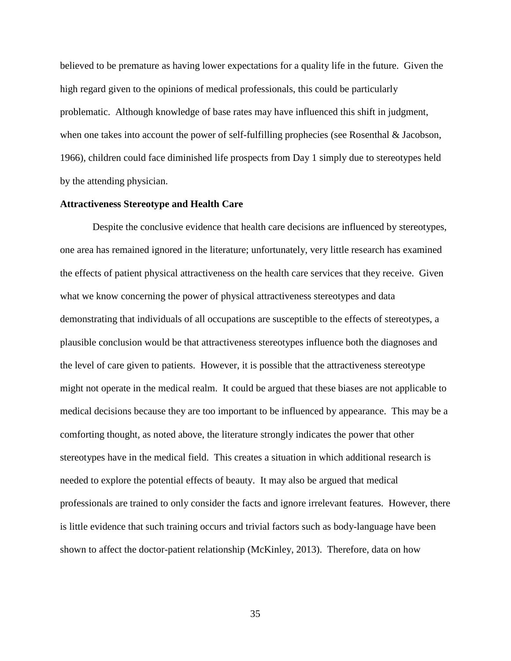believed to be premature as having lower expectations for a quality life in the future. Given the high regard given to the opinions of medical professionals, this could be particularly problematic. Although knowledge of base rates may have influenced this shift in judgment, when one takes into account the power of self-fulfilling prophecies (see Rosenthal & Jacobson, 1966), children could face diminished life prospects from Day 1 simply due to stereotypes held by the attending physician.

## **Attractiveness Stereotype and Health Care**

Despite the conclusive evidence that health care decisions are influenced by stereotypes, one area has remained ignored in the literature; unfortunately, very little research has examined the effects of patient physical attractiveness on the health care services that they receive. Given what we know concerning the power of physical attractiveness stereotypes and data demonstrating that individuals of all occupations are susceptible to the effects of stereotypes, a plausible conclusion would be that attractiveness stereotypes influence both the diagnoses and the level of care given to patients. However, it is possible that the attractiveness stereotype might not operate in the medical realm. It could be argued that these biases are not applicable to medical decisions because they are too important to be influenced by appearance. This may be a comforting thought, as noted above, the literature strongly indicates the power that other stereotypes have in the medical field. This creates a situation in which additional research is needed to explore the potential effects of beauty. It may also be argued that medical professionals are trained to only consider the facts and ignore irrelevant features. However, there is little evidence that such training occurs and trivial factors such as body-language have been shown to affect the doctor-patient relationship (McKinley, 2013). Therefore, data on how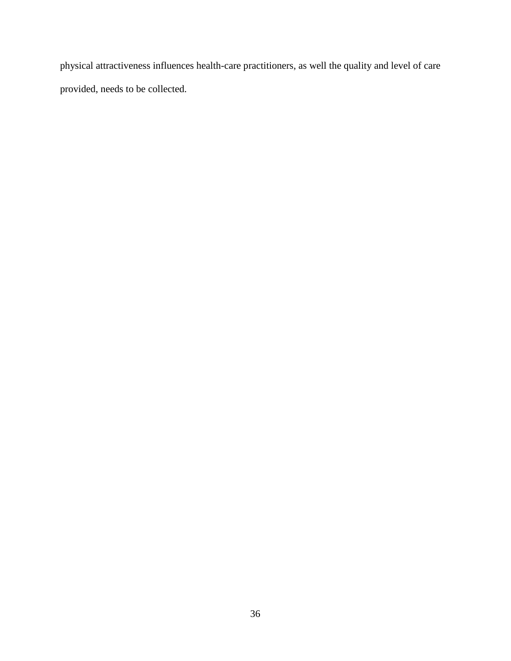physical attractiveness influences health-care practitioners, as well the quality and level of care provided, needs to be collected.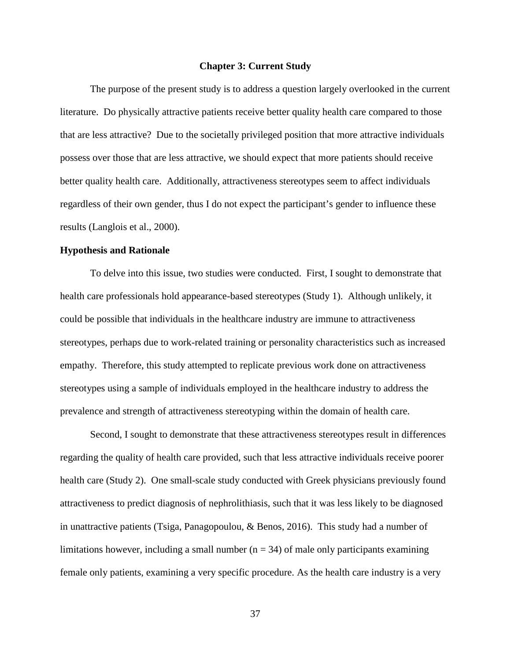#### **Chapter 3: Current Study**

The purpose of the present study is to address a question largely overlooked in the current literature. Do physically attractive patients receive better quality health care compared to those that are less attractive? Due to the societally privileged position that more attractive individuals possess over those that are less attractive, we should expect that more patients should receive better quality health care. Additionally, attractiveness stereotypes seem to affect individuals regardless of their own gender, thus I do not expect the participant's gender to influence these results (Langlois et al., 2000).

#### **Hypothesis and Rationale**

To delve into this issue, two studies were conducted. First, I sought to demonstrate that health care professionals hold appearance-based stereotypes (Study 1). Although unlikely, it could be possible that individuals in the healthcare industry are immune to attractiveness stereotypes, perhaps due to work-related training or personality characteristics such as increased empathy. Therefore, this study attempted to replicate previous work done on attractiveness stereotypes using a sample of individuals employed in the healthcare industry to address the prevalence and strength of attractiveness stereotyping within the domain of health care.

Second, I sought to demonstrate that these attractiveness stereotypes result in differences regarding the quality of health care provided, such that less attractive individuals receive poorer health care (Study 2). One small-scale study conducted with Greek physicians previously found attractiveness to predict diagnosis of nephrolithiasis, such that it was less likely to be diagnosed in unattractive patients (Tsiga, Panagopoulou, & Benos, 2016). This study had a number of limitations however, including a small number ( $n = 34$ ) of male only participants examining female only patients, examining a very specific procedure. As the health care industry is a very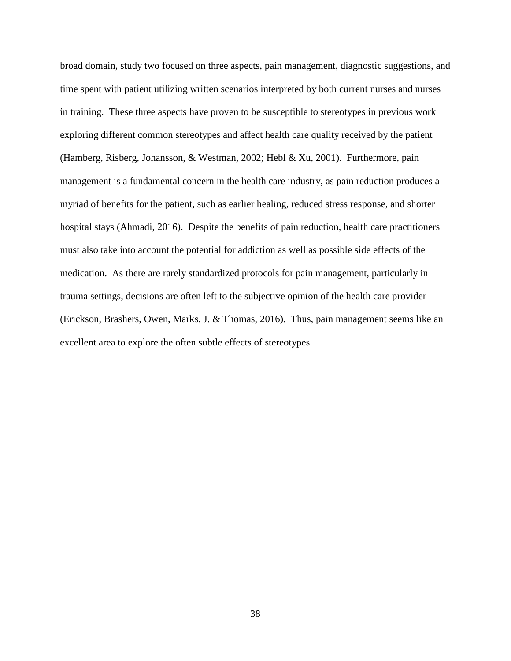broad domain, study two focused on three aspects, pain management, diagnostic suggestions, and time spent with patient utilizing written scenarios interpreted by both current nurses and nurses in training. These three aspects have proven to be susceptible to stereotypes in previous work exploring different common stereotypes and affect health care quality received by the patient (Hamberg, Risberg, Johansson, & Westman, 2002; Hebl & Xu, 2001). Furthermore, pain management is a fundamental concern in the health care industry, as pain reduction produces a myriad of benefits for the patient, such as earlier healing, reduced stress response, and shorter hospital stays (Ahmadi, 2016). Despite the benefits of pain reduction, health care practitioners must also take into account the potential for addiction as well as possible side effects of the medication. As there are rarely standardized protocols for pain management, particularly in trauma settings, decisions are often left to the subjective opinion of the health care provider (Erickson, Brashers, Owen, Marks, J. & Thomas, 2016). Thus, pain management seems like an excellent area to explore the often subtle effects of stereotypes.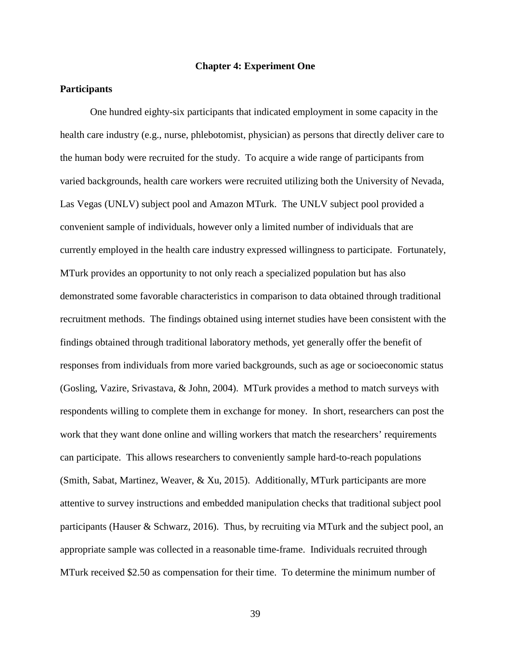### **Chapter 4: Experiment One**

## **Participants**

One hundred eighty-six participants that indicated employment in some capacity in the health care industry (e.g., nurse, phlebotomist, physician) as persons that directly deliver care to the human body were recruited for the study. To acquire a wide range of participants from varied backgrounds, health care workers were recruited utilizing both the University of Nevada, Las Vegas (UNLV) subject pool and Amazon MTurk. The UNLV subject pool provided a convenient sample of individuals, however only a limited number of individuals that are currently employed in the health care industry expressed willingness to participate. Fortunately, MTurk provides an opportunity to not only reach a specialized population but has also demonstrated some favorable characteristics in comparison to data obtained through traditional recruitment methods. The findings obtained using internet studies have been consistent with the findings obtained through traditional laboratory methods, yet generally offer the benefit of responses from individuals from more varied backgrounds, such as age or socioeconomic status (Gosling, Vazire, Srivastava, & John, 2004). MTurk provides a method to match surveys with respondents willing to complete them in exchange for money. In short, researchers can post the work that they want done online and willing workers that match the researchers' requirements can participate. This allows researchers to conveniently sample hard-to-reach populations (Smith, Sabat, Martinez, Weaver, & Xu, 2015). Additionally, MTurk participants are more attentive to survey instructions and embedded manipulation checks that traditional subject pool participants (Hauser & Schwarz, 2016). Thus, by recruiting via MTurk and the subject pool, an appropriate sample was collected in a reasonable time-frame. Individuals recruited through MTurk received \$2.50 as compensation for their time. To determine the minimum number of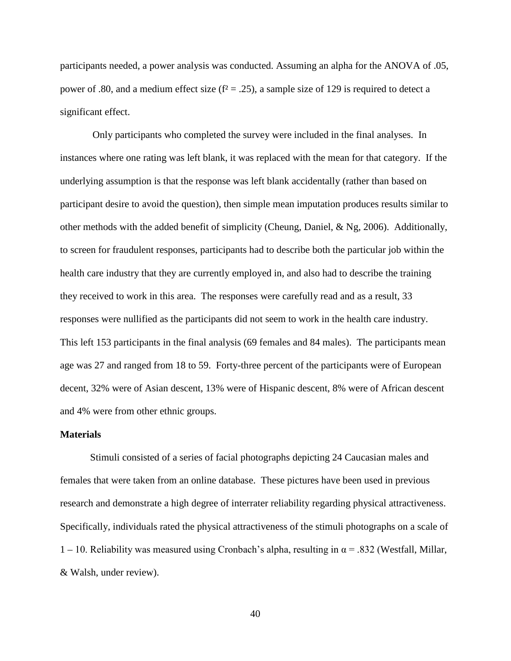participants needed, a power analysis was conducted. Assuming an alpha for the ANOVA of .05, power of .80, and a medium effect size ( $f^2 = .25$ ), a sample size of 129 is required to detect a significant effect.

Only participants who completed the survey were included in the final analyses. In instances where one rating was left blank, it was replaced with the mean for that category. If the underlying assumption is that the response was left blank accidentally (rather than based on participant desire to avoid the question), then simple mean imputation produces results similar to other methods with the added benefit of simplicity (Cheung, Daniel, & Ng, 2006). Additionally, to screen for fraudulent responses, participants had to describe both the particular job within the health care industry that they are currently employed in, and also had to describe the training they received to work in this area. The responses were carefully read and as a result, 33 responses were nullified as the participants did not seem to work in the health care industry. This left 153 participants in the final analysis (69 females and 84 males). The participants mean age was 27 and ranged from 18 to 59. Forty-three percent of the participants were of European decent, 32% were of Asian descent, 13% were of Hispanic descent, 8% were of African descent and 4% were from other ethnic groups.

#### **Materials**

Stimuli consisted of a series of facial photographs depicting 24 Caucasian males and females that were taken from an online database. These pictures have been used in previous research and demonstrate a high degree of interrater reliability regarding physical attractiveness. Specifically, individuals rated the physical attractiveness of the stimuli photographs on a scale of 1 – 10. Reliability was measured using Cronbach's alpha, resulting in  $\alpha$  = .832 (Westfall, Millar, & Walsh, under review).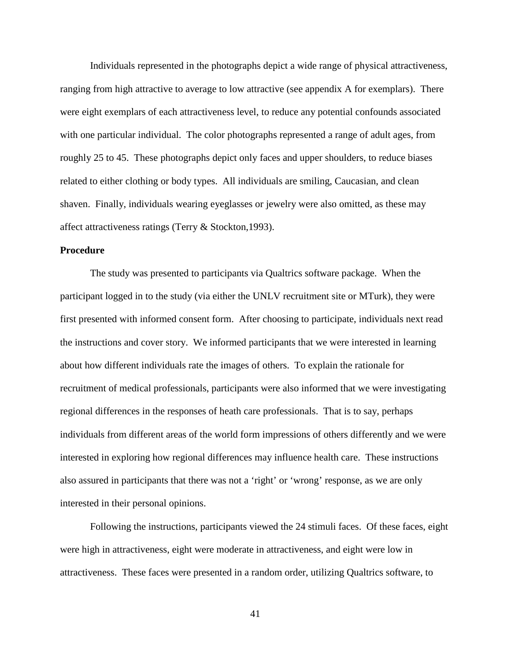Individuals represented in the photographs depict a wide range of physical attractiveness, ranging from high attractive to average to low attractive (see appendix A for exemplars). There were eight exemplars of each attractiveness level, to reduce any potential confounds associated with one particular individual. The color photographs represented a range of adult ages, from roughly 25 to 45. These photographs depict only faces and upper shoulders, to reduce biases related to either clothing or body types. All individuals are smiling, Caucasian, and clean shaven. Finally, individuals wearing eyeglasses or jewelry were also omitted, as these may affect attractiveness ratings (Terry & Stockton,1993).

## **Procedure**

The study was presented to participants via Qualtrics software package. When the participant logged in to the study (via either the UNLV recruitment site or MTurk), they were first presented with informed consent form. After choosing to participate, individuals next read the instructions and cover story. We informed participants that we were interested in learning about how different individuals rate the images of others. To explain the rationale for recruitment of medical professionals, participants were also informed that we were investigating regional differences in the responses of heath care professionals. That is to say, perhaps individuals from different areas of the world form impressions of others differently and we were interested in exploring how regional differences may influence health care. These instructions also assured in participants that there was not a 'right' or 'wrong' response, as we are only interested in their personal opinions.

Following the instructions, participants viewed the 24 stimuli faces. Of these faces, eight were high in attractiveness, eight were moderate in attractiveness, and eight were low in attractiveness. These faces were presented in a random order, utilizing Qualtrics software, to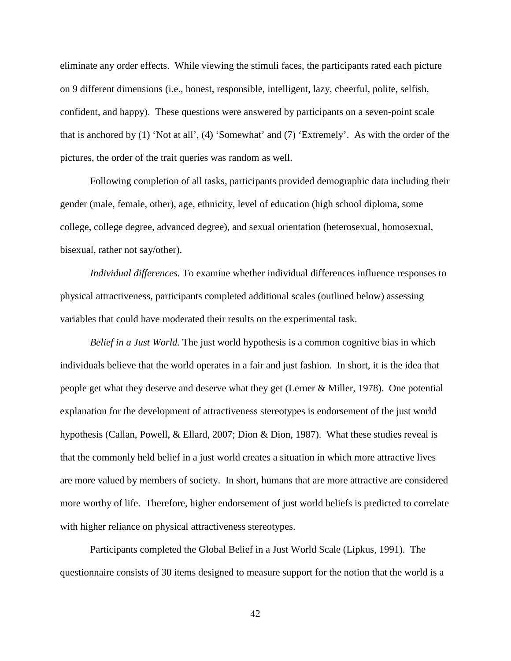eliminate any order effects. While viewing the stimuli faces, the participants rated each picture on 9 different dimensions (i.e., honest, responsible, intelligent, lazy, cheerful, polite, selfish, confident, and happy). These questions were answered by participants on a seven-point scale that is anchored by (1) 'Not at all', (4) 'Somewhat' and (7) 'Extremely'. As with the order of the pictures, the order of the trait queries was random as well.

Following completion of all tasks, participants provided demographic data including their gender (male, female, other), age, ethnicity, level of education (high school diploma, some college, college degree, advanced degree), and sexual orientation (heterosexual, homosexual, bisexual, rather not say/other).

 *Individual differences.* To examine whether individual differences influence responses to physical attractiveness, participants completed additional scales (outlined below) assessing variables that could have moderated their results on the experimental task.

*Belief in a Just World.* The just world hypothesis is a common cognitive bias in which individuals believe that the world operates in a fair and just fashion. In short, it is the idea that people get what they deserve and deserve what they get (Lerner & Miller, 1978). One potential explanation for the development of attractiveness stereotypes is endorsement of the just world hypothesis (Callan, Powell, & Ellard, 2007; Dion & Dion, 1987). What these studies reveal is that the commonly held belief in a just world creates a situation in which more attractive lives are more valued by members of society. In short, humans that are more attractive are considered more worthy of life. Therefore, higher endorsement of just world beliefs is predicted to correlate with higher reliance on physical attractiveness stereotypes.

Participants completed the Global Belief in a Just World Scale (Lipkus, 1991). The questionnaire consists of 30 items designed to measure support for the notion that the world is a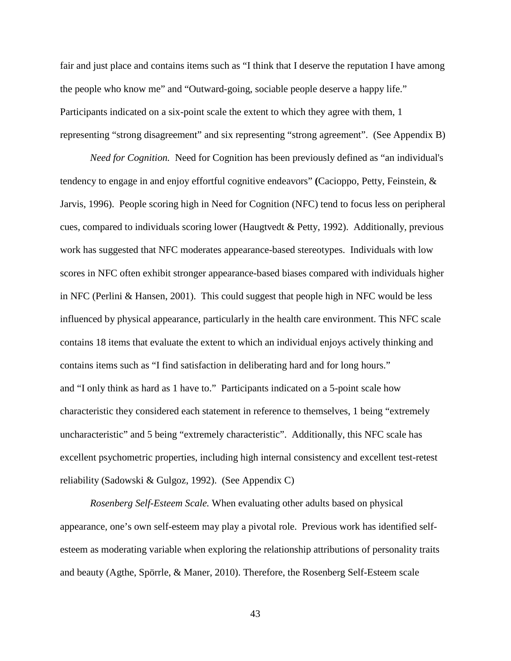fair and just place and contains items such as "I think that I deserve the reputation I have among the people who know me" and "Outward-going, sociable people deserve a happy life." Participants indicated on a six-point scale the extent to which they agree with them, 1 representing "strong disagreement" and six representing "strong agreement". (See Appendix B)

*Need for Cognition.* Need for Cognition has been previously defined as "an individual's tendency to engage in and enjoy effortful cognitive endeavors" **(**Cacioppo, Petty, Feinstein, & Jarvis, 1996). People scoring high in Need for Cognition (NFC) tend to focus less on peripheral cues, compared to individuals scoring lower (Haugtvedt & Petty, 1992). Additionally, previous work has suggested that NFC moderates appearance-based stereotypes. Individuals with low scores in NFC often exhibit stronger appearance-based biases compared with individuals higher in NFC (Perlini & Hansen, 2001). This could suggest that people high in NFC would be less influenced by physical appearance, particularly in the health care environment. This NFC scale contains 18 items that evaluate the extent to which an individual enjoys actively thinking and contains items such as "I find satisfaction in deliberating hard and for long hours." and "I only think as hard as 1 have to." Participants indicated on a 5-point scale how characteristic they considered each statement in reference to themselves, 1 being "extremely uncharacteristic" and 5 being "extremely characteristic". Additionally, this NFC scale has excellent psychometric properties, including high internal consistency and excellent test-retest reliability (Sadowski & Gulgoz, 1992). (See Appendix C)

*Rosenberg Self-Esteem Scale.* When evaluating other adults based on physical appearance, one's own self-esteem may play a pivotal role. Previous work has identified selfesteem as moderating variable when exploring the relationship attributions of personality traits and beauty (Agthe, Spörrle, & Maner, 2010). Therefore, the Rosenberg Self-Esteem scale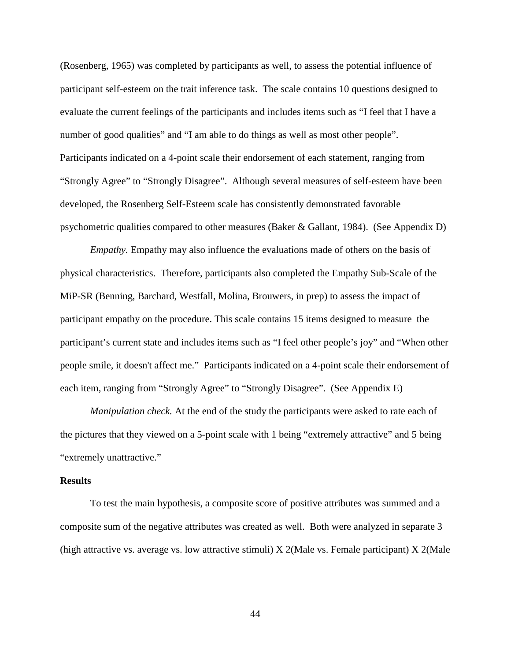(Rosenberg, 1965) was completed by participants as well, to assess the potential influence of participant self-esteem on the trait inference task. The scale contains 10 questions designed to evaluate the current feelings of the participants and includes items such as "I feel that I have a number of good qualities" and "I am able to do things as well as most other people". Participants indicated on a 4-point scale their endorsement of each statement, ranging from "Strongly Agree" to "Strongly Disagree". Although several measures of self-esteem have been developed, the Rosenberg Self-Esteem scale has consistently demonstrated favorable psychometric qualities compared to other measures (Baker & Gallant, 1984). (See Appendix D)

*Empathy.* Empathy may also influence the evaluations made of others on the basis of physical characteristics. Therefore, participants also completed the Empathy Sub-Scale of the MiP-SR (Benning, Barchard, Westfall, Molina, Brouwers, in prep) to assess the impact of participant empathy on the procedure. This scale contains 15 items designed to measure the participant's current state and includes items such as "I feel other people's joy" and "When other people smile, it doesn't affect me." Participants indicated on a 4-point scale their endorsement of each item, ranging from "Strongly Agree" to "Strongly Disagree". (See Appendix E)

*Manipulation check.* At the end of the study the participants were asked to rate each of the pictures that they viewed on a 5-point scale with 1 being "extremely attractive" and 5 being "extremely unattractive."

#### **Results**

To test the main hypothesis, a composite score of positive attributes was summed and a composite sum of the negative attributes was created as well. Both were analyzed in separate 3 (high attractive vs. average vs. low attractive stimuli) X 2(Male vs. Female participant) X 2(Male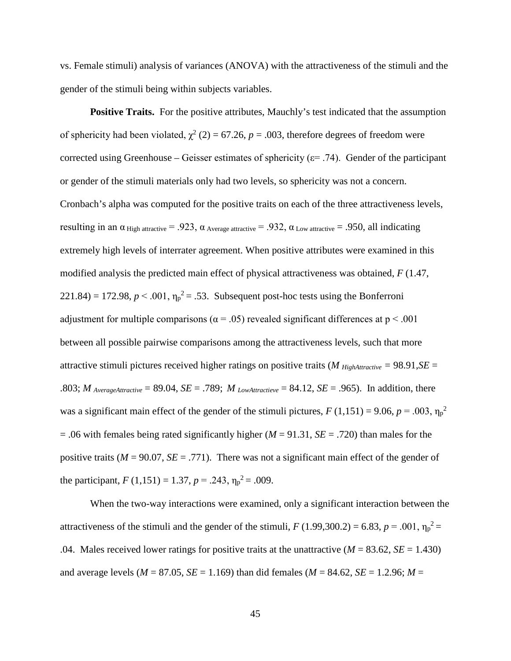vs. Female stimuli) analysis of variances (ANOVA) with the attractiveness of the stimuli and the gender of the stimuli being within subjects variables.

**Positive Traits.** For the positive attributes, Mauchly's test indicated that the assumption of sphericity had been violated,  $\chi^2$  (2) = 67.26, *p* = .003, therefore degrees of freedom were corrected using Greenhouse – Geisser estimates of sphericity ( $\varepsilon$ = .74). Gender of the participant or gender of the stimuli materials only had two levels, so sphericity was not a concern. Cronbach's alpha was computed for the positive traits on each of the three attractiveness levels, resulting in an α High attractive = .923, α Average attractive = .932, α Low attractive = .950, all indicating extremely high levels of interrater agreement. When positive attributes were examined in this modified analysis the predicted main effect of physical attractiveness was obtained, *F* (1.47,  $221.84$ ) = 172.98,  $p < .001$ ,  $\eta_p^2 = .53$ . Subsequent post-hoc tests using the Bonferroni adjustment for multiple comparisons ( $\alpha$  = .05) revealed significant differences at p < .001 between all possible pairwise comparisons among the attractiveness levels, such that more attractive stimuli pictures received higher ratings on positive traits (*M HighAttractive =* 98.91,*SE* = .803; *M* AverageAttractive = 89.04, *SE* = .789; *M* LowAttractieve = 84.12, *SE* = .965). In addition, there was a significant main effect of the gender of the stimuli pictures,  $F(1,151) = 9.06$ ,  $p = .003$ ,  $\eta_p^2$ = .06 with females being rated significantly higher (*M* = 91.31, *SE* = .720) than males for the positive traits ( $M = 90.07$ ,  $SE = .771$ ). There was not a significant main effect of the gender of the participant,  $F(1,151) = 1.37, p = .243, \eta_p^2 = .009$ .

When the two-way interactions were examined, only a significant interaction between the attractiveness of the stimuli and the gender of the stimuli,  $F(1.99,300.2) = 6.83$ ,  $p = .001$ ,  $\eta_p^2 =$ .04. Males received lower ratings for positive traits at the unattractive  $(M = 83.62, SE = 1.430)$ and average levels ( $M = 87.05$ ,  $SE = 1.169$ ) than did females ( $M = 84.62$ ,  $SE = 1.2.96$ ;  $M =$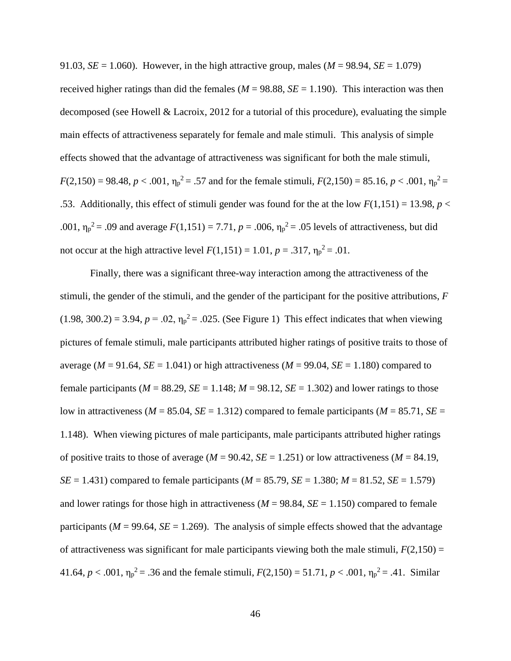91.03, *SE* = 1.060). However, in the high attractive group, males ( $M = 98.94$ , *SE* = 1.079) received higher ratings than did the females ( $M = 98.88$ ,  $SE = 1.190$ ). This interaction was then decomposed (see Howell & Lacroix, 2012 for a tutorial of this procedure), evaluating the simple main effects of attractiveness separately for female and male stimuli. This analysis of simple effects showed that the advantage of attractiveness was significant for both the male stimuli,  $F(2,150) = 98.48, p < .001, \eta_p^2 = .57$  and for the female stimuli,  $F(2,150) = 85.16, p < .001, \eta_p^2 =$ .53. Additionally, this effect of stimuli gender was found for the at the low  $F(1,151) = 13.98$ ,  $p <$ .001,  $\eta_p^2 = .09$  and average  $F(1,151) = 7.71$ ,  $p = .006$ ,  $\eta_p^2 = .05$  levels of attractiveness, but did not occur at the high attractive level  $F(1,151) = 1.01, p = .317, \eta_p^2 = .01$ .

Finally, there was a significant three-way interaction among the attractiveness of the stimuli, the gender of the stimuli, and the gender of the participant for the positive attributions, *F*  $(1.98, 300.2) = 3.94, p = .02, \eta_p^2 = .025$ . (See Figure 1) This effect indicates that when viewing pictures of female stimuli, male participants attributed higher ratings of positive traits to those of average ( $M = 91.64$ ,  $SE = 1.041$ ) or high attractiveness ( $M = 99.04$ ,  $SE = 1.180$ ) compared to female participants ( $M = 88.29$ ,  $SE = 1.148$ ;  $M = 98.12$ ,  $SE = 1.302$ ) and lower ratings to those low in attractiveness ( $M = 85.04$ ,  $SE = 1.312$ ) compared to female participants ( $M = 85.71$ ,  $SE =$ 1.148). When viewing pictures of male participants, male participants attributed higher ratings of positive traits to those of average ( $M = 90.42$ ,  $SE = 1.251$ ) or low attractiveness ( $M = 84.19$ , *SE* = 1.431) compared to female participants ( $M = 85.79$ , *SE* = 1.380;  $M = 81.52$ , *SE* = 1.579) and lower ratings for those high in attractiveness ( $M = 98.84$ ,  $SE = 1.150$ ) compared to female participants ( $M = 99.64$ ,  $SE = 1.269$ ). The analysis of simple effects showed that the advantage of attractiveness was significant for male participants viewing both the male stimuli,  $F(2,150) =$ 41.64,  $p < .001$ ,  $\eta_p^2 = .36$  and the female stimuli,  $F(2,150) = 51.71$ ,  $p < .001$ ,  $\eta_p^2 = .41$ . Similar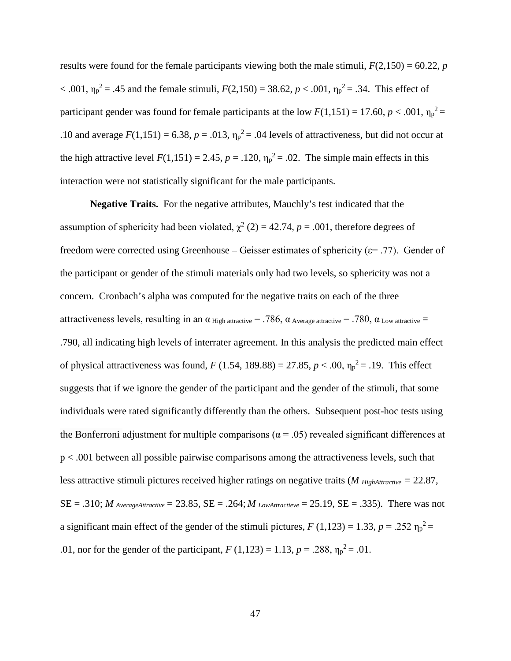results were found for the female participants viewing both the male stimuli,  $F(2,150) = 60.22$ , *p* < .001,  $η<sub>p</sub><sup>2</sup> = .45$  and the female stimuli,  $F(2,150) = 38.62$ ,  $p < .001$ ,  $η<sub>p</sub><sup>2</sup> = .34$ . This effect of participant gender was found for female participants at the low  $F(1,151) = 17.60, p < .001, \eta_p^2 =$ .10 and average  $F(1,151) = 6.38$ ,  $p = .013$ ,  $\eta_p^2 = .04$  levels of attractiveness, but did not occur at the high attractive level  $F(1,151) = 2.45$ ,  $p = .120$ ,  $\eta_p^2 = .02$ . The simple main effects in this interaction were not statistically significant for the male participants.

**Negative Traits.** For the negative attributes, Mauchly's test indicated that the assumption of sphericity had been violated,  $\chi^2$  (2) = 42.74, *p* = .001, therefore degrees of freedom were corrected using Greenhouse – Geisser estimates of sphericity ( $\varepsilon$ = .77). Gender of the participant or gender of the stimuli materials only had two levels, so sphericity was not a concern. Cronbach's alpha was computed for the negative traits on each of the three attractiveness levels, resulting in an  $\alpha$  High attractive = .786,  $\alpha$  Average attractive = .780,  $\alpha$  Low attractive = .790, all indicating high levels of interrater agreement. In this analysis the predicted main effect of physical attractiveness was found,  $F(1.54, 189.88) = 27.85, p < .00, \eta_p^2 = .19$ . This effect suggests that if we ignore the gender of the participant and the gender of the stimuli, that some individuals were rated significantly differently than the others. Subsequent post-hoc tests using the Bonferroni adjustment for multiple comparisons ( $\alpha$  = .05) revealed significant differences at p < .001 between all possible pairwise comparisons among the attractiveness levels, such that less attractive stimuli pictures received higher ratings on negative traits (*M HighAttractive =* 22.87,  $SE = .310$ ; *M* AverageAttractive = 23.85,  $SE = .264$ ; *M* LowAttractieve = 25.19,  $SE = .335$ ). There was not a significant main effect of the gender of the stimuli pictures,  $F(1,123) = 1.33$ ,  $p = .252$   $\eta_p^2 =$ .01, nor for the gender of the participant,  $F(1,123) = 1.13$ ,  $p = .288$ ,  $\eta_p^2 = .01$ .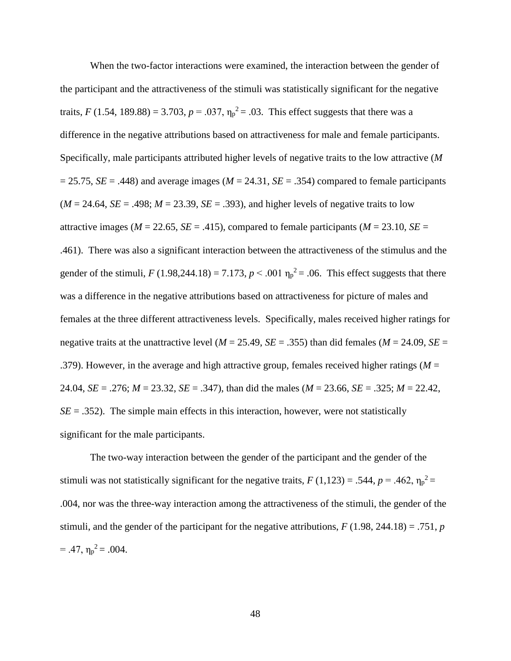When the two-factor interactions were examined, the interaction between the gender of the participant and the attractiveness of the stimuli was statistically significant for the negative traits, *F* (1.54, 189.88) = 3.703,  $p = .037$ ,  $\eta_p^2 = .03$ . This effect suggests that there was a difference in the negative attributions based on attractiveness for male and female participants. Specifically, male participants attributed higher levels of negative traits to the low attractive (*M*  $= 25.75$ , *SE* = .448) and average images (*M* = 24.31, *SE* = .354) compared to female participants  $(M = 24.64, SE = .498; M = 23.39, SE = .393)$ , and higher levels of negative traits to low attractive images ( $M = 22.65$ ,  $SE = .415$ ), compared to female participants ( $M = 23.10$ ,  $SE =$ .461). There was also a significant interaction between the attractiveness of the stimulus and the gender of the stimuli,  $F(1.98,244.18) = 7.173$ ,  $p < .001$   $\eta_p^2 = .06$ . This effect suggests that there was a difference in the negative attributions based on attractiveness for picture of males and females at the three different attractiveness levels. Specifically, males received higher ratings for negative traits at the unattractive level ( $M = 25.49$ ,  $SE = .355$ ) than did females ( $M = 24.09$ ,  $SE =$ .379). However, in the average and high attractive group, females received higher ratings (*M* = 24.04, *SE* = .276; *M* = 23.32, *SE* = .347), than did the males (*M* = 23.66, *SE* = .325; *M* = 22.42,  $SE = .352$ ). The simple main effects in this interaction, however, were not statistically significant for the male participants.

The two-way interaction between the gender of the participant and the gender of the stimuli was not statistically significant for the negative traits,  $F(1,123) = .544$ ,  $p = .462$ ,  $\eta_p^2 =$ .004, nor was the three-way interaction among the attractiveness of the stimuli, the gender of the stimuli, and the gender of the participant for the negative attributions,  $F(1.98, 244.18) = .751$ , *p*  $= .47, \eta_p^2 = .004.$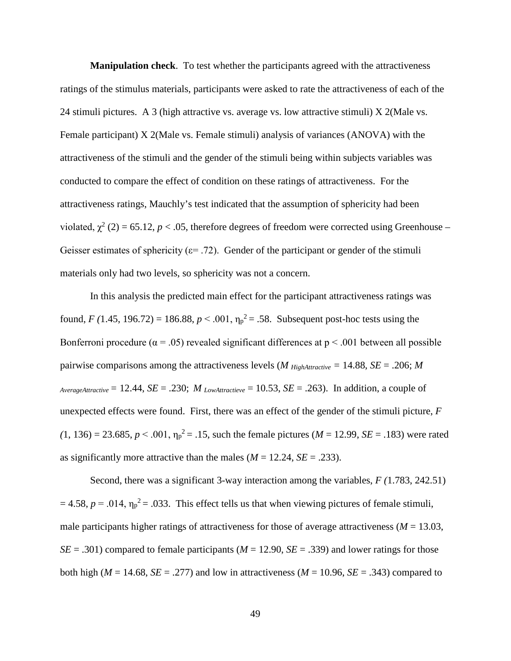**Manipulation check**. To test whether the participants agreed with the attractiveness ratings of the stimulus materials, participants were asked to rate the attractiveness of each of the 24 stimuli pictures. A 3 (high attractive vs. average vs. low attractive stimuli) X 2(Male vs. Female participant) X 2(Male vs. Female stimuli) analysis of variances (ANOVA) with the attractiveness of the stimuli and the gender of the stimuli being within subjects variables was conducted to compare the effect of condition on these ratings of attractiveness. For the attractiveness ratings, Mauchly's test indicated that the assumption of sphericity had been violated,  $\chi^2$  (2) = 65.12, *p* < .05, therefore degrees of freedom were corrected using Greenhouse – Geisser estimates of sphericity ( $\varepsilon$ = .72). Gender of the participant or gender of the stimuli materials only had two levels, so sphericity was not a concern.

In this analysis the predicted main effect for the participant attractiveness ratings was found, *F* (1.45, 196.72) = 186.88,  $p < .001$ ,  $\eta_p^2 = .58$ . Subsequent post-hoc tests using the Bonferroni procedure ( $\alpha = .05$ ) revealed significant differences at  $p < .001$  between all possible pairwise comparisons among the attractiveness levels (*M HighAttractive* = 14.88, *SE* = .206; *M*  $AverageAttractive = 12.44$ ,  $SE = .230$ ;  $M_{LowAttractive} = 10.53$ ,  $SE = .263$ ). In addition, a couple of unexpected effects were found. First, there was an effect of the gender of the stimuli picture, *F*   $(1, 136) = 23.685, p < .001, \eta_p^2 = .15$ , such the female pictures (*M* = 12.99, *SE* = .183) were rated as significantly more attractive than the males  $(M = 12.24, SE = .233)$ .

Second, there was a significant 3-way interaction among the variables, *F (*1.783, 242.51)  $= 4.58$ ,  $p = .014$ ,  $\eta_p^2 = .033$ . This effect tells us that when viewing pictures of female stimuli, male participants higher ratings of attractiveness for those of average attractiveness ( $M = 13.03$ ,  $SE = .301$ ) compared to female participants ( $M = 12.90$ ,  $SE = .339$ ) and lower ratings for those both high ( $M = 14.68$ ,  $SE = .277$ ) and low in attractiveness ( $M = 10.96$ ,  $SE = .343$ ) compared to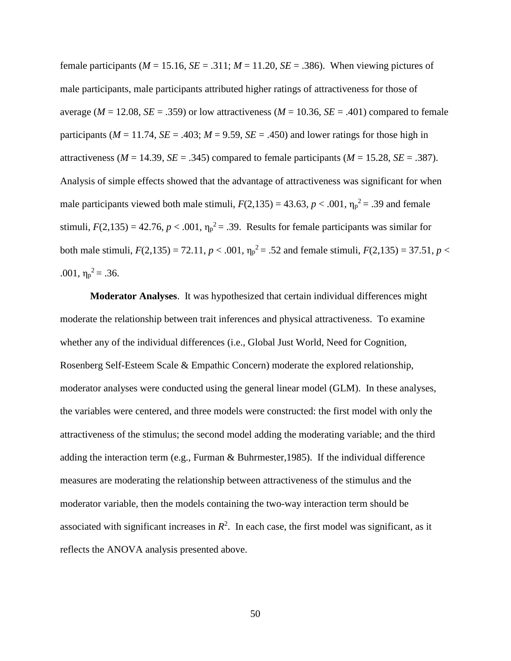female participants ( $M = 15.16$ ,  $SE = .311$ ;  $M = 11.20$ ,  $SE = .386$ ). When viewing pictures of male participants, male participants attributed higher ratings of attractiveness for those of average ( $M = 12.08$ ,  $SE = .359$ ) or low attractiveness ( $M = 10.36$ ,  $SE = .401$ ) compared to female participants ( $M = 11.74$ ,  $SE = .403$ ;  $M = 9.59$ ,  $SE = .450$ ) and lower ratings for those high in attractiveness ( $M = 14.39$ ,  $SE = .345$ ) compared to female participants ( $M = 15.28$ ,  $SE = .387$ ). Analysis of simple effects showed that the advantage of attractiveness was significant for when male participants viewed both male stimuli,  $F(2,135) = 43.63, p < .001, \eta_p^2 = .39$  and female stimuli,  $F(2,135) = 42.76$ ,  $p < .001$ ,  $\eta_p^2 = .39$ . Results for female participants was similar for both male stimuli,  $F(2,135) = 72.11$ ,  $p < .001$ ,  $\eta_p^2 = .52$  and female stimuli,  $F(2,135) = 37.51$ ,  $p <$ .001,  $\eta_p^2 = .36$ .

**Moderator Analyses**. It was hypothesized that certain individual differences might moderate the relationship between trait inferences and physical attractiveness. To examine whether any of the individual differences (i.e., Global Just World, Need for Cognition, Rosenberg Self-Esteem Scale & Empathic Concern) moderate the explored relationship, moderator analyses were conducted using the general linear model (GLM). In these analyses, the variables were centered, and three models were constructed: the first model with only the attractiveness of the stimulus; the second model adding the moderating variable; and the third adding the interaction term (e.g., Furman & Buhrmester,1985). If the individual difference measures are moderating the relationship between attractiveness of the stimulus and the moderator variable, then the models containing the two-way interaction term should be associated with significant increases in  $R<sup>2</sup>$ . In each case, the first model was significant, as it reflects the ANOVA analysis presented above.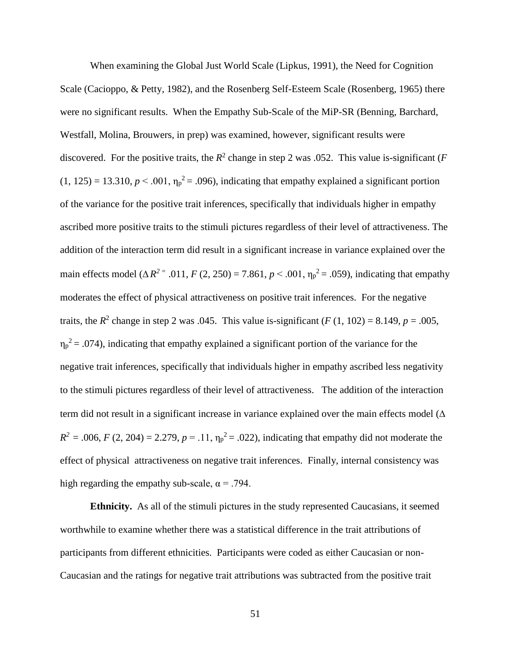When examining the Global Just World Scale (Lipkus, 1991), the Need for Cognition Scale (Cacioppo, & Petty, 1982), and the Rosenberg Self-Esteem Scale (Rosenberg, 1965) there were no significant results. When the Empathy Sub-Scale of the MiP-SR (Benning, Barchard, Westfall, Molina, Brouwers, in prep) was examined, however, significant results were discovered. For the positive traits, the  $R^2$  change in step 2 was .052. This value is-significant (*F*  $(1, 125) = 13.310, p < .001, \eta_p^2 = .096$ , indicating that empathy explained a significant portion of the variance for the positive trait inferences, specifically that individuals higher in empathy ascribed more positive traits to the stimuli pictures regardless of their level of attractiveness. The addition of the interaction term did result in a significant increase in variance explained over the main effects model ( $\Delta R^2$ <sup>=</sup> .011, *F* (2, 250) = 7.861, *p* < .001,  $\eta_p^2$  = .059), indicating that empathy moderates the effect of physical attractiveness on positive trait inferences. For the negative traits, the  $R^2$  change in step 2 was .045. This value is-significant ( $F(1, 102) = 8.149$ ,  $p = .005$ ,  $\eta_p^2$  = .074), indicating that empathy explained a significant portion of the variance for the negative trait inferences, specifically that individuals higher in empathy ascribed less negativity to the stimuli pictures regardless of their level of attractiveness. The addition of the interaction term did not result in a significant increase in variance explained over the main effects model ( $\Delta$  $R^2 = 0.006$ , *F* (2, 204) = 2.279, *p* = .11,  $\eta_p^2 = 0.022$ ), indicating that empathy did not moderate the effect of physical attractiveness on negative trait inferences. Finally, internal consistency was high regarding the empathy sub-scale,  $\alpha = .794$ .

**Ethnicity.** As all of the stimuli pictures in the study represented Caucasians, it seemed worthwhile to examine whether there was a statistical difference in the trait attributions of participants from different ethnicities. Participants were coded as either Caucasian or non-Caucasian and the ratings for negative trait attributions was subtracted from the positive trait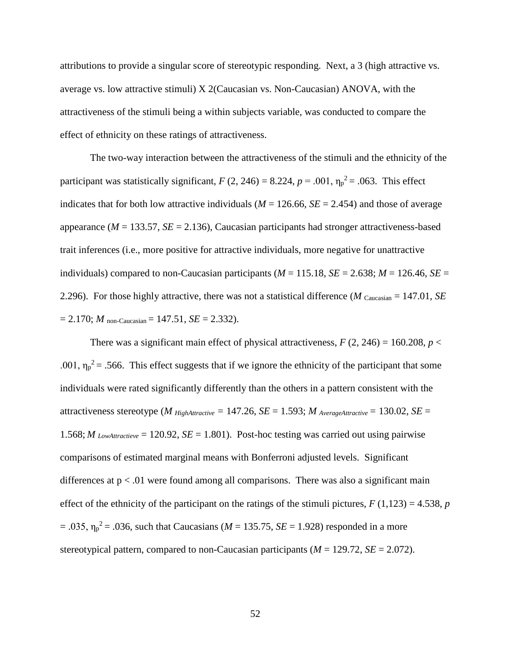attributions to provide a singular score of stereotypic responding. Next, a 3 (high attractive vs. average vs. low attractive stimuli) X 2(Caucasian vs. Non-Caucasian) ANOVA, with the attractiveness of the stimuli being a within subjects variable, was conducted to compare the effect of ethnicity on these ratings of attractiveness.

The two-way interaction between the attractiveness of the stimuli and the ethnicity of the participant was statistically significant,  $F(2, 246) = 8.224$ ,  $p = .001$ ,  $\eta_p^2 = .063$ . This effect indicates that for both low attractive individuals ( $M = 126.66$ ,  $SE = 2.454$ ) and those of average appearance ( $M = 133.57$ ,  $SE = 2.136$ ), Caucasian participants had stronger attractiveness-based trait inferences (i.e., more positive for attractive individuals, more negative for unattractive individuals) compared to non-Caucasian participants ( $M = 115.18$ ,  $SE = 2.638$ ;  $M = 126.46$ ,  $SE =$ 2.296). For those highly attractive, there was not a statistical difference (*M* Caucasian = 147.01, *SE*  $= 2.170$ ; *M* non-Caucasian = 147.51, *SE* = 2.332).

There was a significant main effect of physical attractiveness,  $F(2, 246) = 160.208$ ,  $p <$ .001,  $\eta_p^2$  = .566. This effect suggests that if we ignore the ethnicity of the participant that some individuals were rated significantly differently than the others in a pattern consistent with the attractiveness stereotype (*M HighAttractive* = 147.26, *SE* = 1.593; *M* AverageAttractive = 130.02, *SE* = 1.568; *M LowAttractieve* = 120.92, *SE* = 1.801). Post-hoc testing was carried out using pairwise comparisons of estimated marginal means with Bonferroni adjusted levels. Significant differences at  $p < 0.01$  were found among all comparisons. There was also a significant main effect of the ethnicity of the participant on the ratings of the stimuli pictures,  $F(1,123) = 4.538$ , *p*  $= .035$ ,  $\eta_{p}^{2} = .036$ , such that Caucasians (*M* = 135.75, *SE* = 1.928) responded in a more stereotypical pattern, compared to non-Caucasian participants (*M* = 129.72, *SE* = 2.072).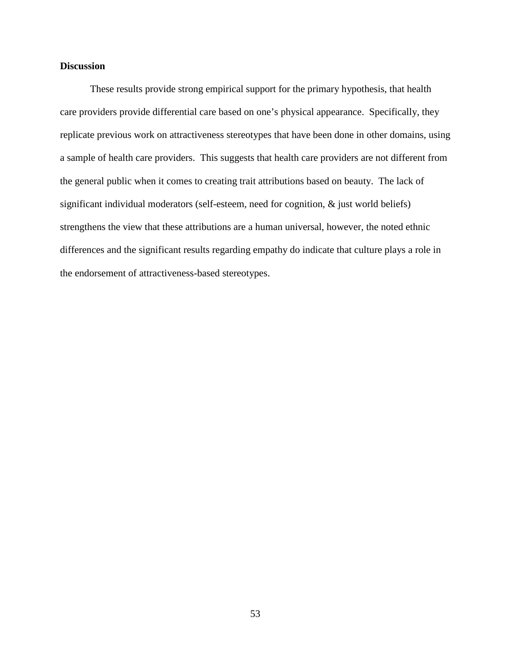## **Discussion**

These results provide strong empirical support for the primary hypothesis, that health care providers provide differential care based on one's physical appearance. Specifically, they replicate previous work on attractiveness stereotypes that have been done in other domains, using a sample of health care providers. This suggests that health care providers are not different from the general public when it comes to creating trait attributions based on beauty. The lack of significant individual moderators (self-esteem, need for cognition, & just world beliefs) strengthens the view that these attributions are a human universal, however, the noted ethnic differences and the significant results regarding empathy do indicate that culture plays a role in the endorsement of attractiveness-based stereotypes.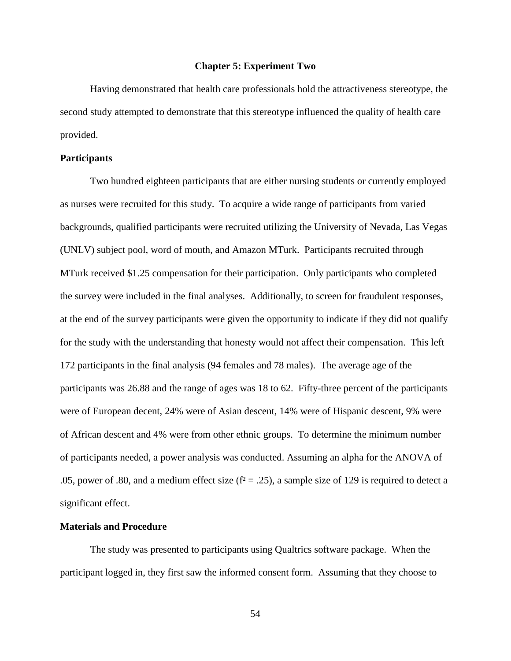#### **Chapter 5: Experiment Two**

Having demonstrated that health care professionals hold the attractiveness stereotype, the second study attempted to demonstrate that this stereotype influenced the quality of health care provided.

## **Participants**

Two hundred eighteen participants that are either nursing students or currently employed as nurses were recruited for this study. To acquire a wide range of participants from varied backgrounds, qualified participants were recruited utilizing the University of Nevada, Las Vegas (UNLV) subject pool, word of mouth, and Amazon MTurk. Participants recruited through MTurk received \$1.25 compensation for their participation. Only participants who completed the survey were included in the final analyses. Additionally, to screen for fraudulent responses, at the end of the survey participants were given the opportunity to indicate if they did not qualify for the study with the understanding that honesty would not affect their compensation. This left 172 participants in the final analysis (94 females and 78 males). The average age of the participants was 26.88 and the range of ages was 18 to 62. Fifty-three percent of the participants were of European decent, 24% were of Asian descent, 14% were of Hispanic descent, 9% were of African descent and 4% were from other ethnic groups. To determine the minimum number of participants needed, a power analysis was conducted. Assuming an alpha for the ANOVA of .05, power of .80, and a medium effect size ( $f^2 = .25$ ), a sample size of 129 is required to detect a significant effect.

## **Materials and Procedure**

The study was presented to participants using Qualtrics software package. When the participant logged in, they first saw the informed consent form. Assuming that they choose to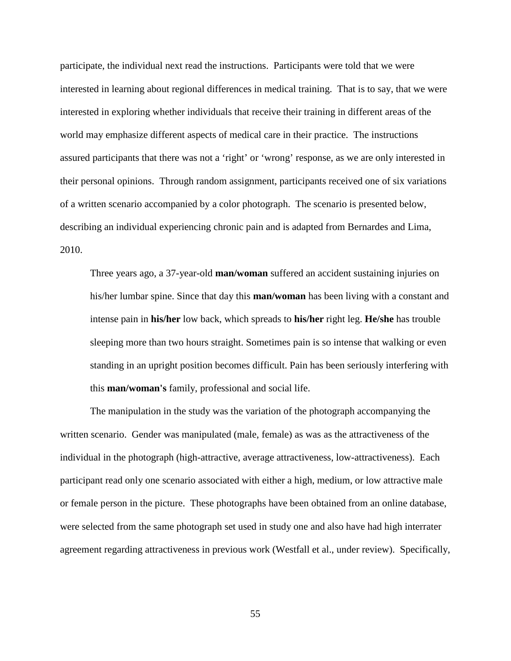participate, the individual next read the instructions. Participants were told that we were interested in learning about regional differences in medical training. That is to say, that we were interested in exploring whether individuals that receive their training in different areas of the world may emphasize different aspects of medical care in their practice. The instructions assured participants that there was not a 'right' or 'wrong' response, as we are only interested in their personal opinions. Through random assignment, participants received one of six variations of a written scenario accompanied by a color photograph. The scenario is presented below, describing an individual experiencing chronic pain and is adapted from Bernardes and Lima, 2010.

Three years ago, a 37-year-old **man/woman** suffered an accident sustaining injuries on his/her lumbar spine. Since that day this **man/woman** has been living with a constant and intense pain in **his/her** low back, which spreads to **his/her** right leg. **He/she** has trouble sleeping more than two hours straight. Sometimes pain is so intense that walking or even standing in an upright position becomes difficult. Pain has been seriously interfering with this **man/woman's** family, professional and social life.

The manipulation in the study was the variation of the photograph accompanying the written scenario. Gender was manipulated (male, female) as was as the attractiveness of the individual in the photograph (high-attractive, average attractiveness, low-attractiveness). Each participant read only one scenario associated with either a high, medium, or low attractive male or female person in the picture. These photographs have been obtained from an online database, were selected from the same photograph set used in study one and also have had high interrater agreement regarding attractiveness in previous work (Westfall et al., under review). Specifically,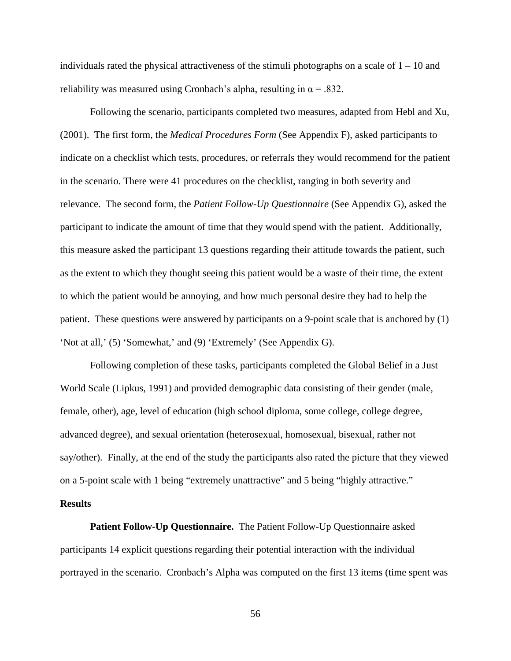individuals rated the physical attractiveness of the stimuli photographs on a scale of  $1 - 10$  and reliability was measured using Cronbach's alpha, resulting in  $\alpha = .832$ .

Following the scenario, participants completed two measures, adapted from Hebl and Xu, (2001). The first form, the *Medical Procedures Form* (See Appendix F), asked participants to indicate on a checklist which tests, procedures, or referrals they would recommend for the patient in the scenario. There were 41 procedures on the checklist, ranging in both severity and relevance. The second form, the *Patient Follow-Up Questionnaire* (See Appendix G), asked the participant to indicate the amount of time that they would spend with the patient. Additionally, this measure asked the participant 13 questions regarding their attitude towards the patient, such as the extent to which they thought seeing this patient would be a waste of their time, the extent to which the patient would be annoying, and how much personal desire they had to help the patient. These questions were answered by participants on a 9-point scale that is anchored by (1) 'Not at all,' (5) 'Somewhat,' and (9) 'Extremely' (See Appendix G).

Following completion of these tasks, participants completed the Global Belief in a Just World Scale (Lipkus, 1991) and provided demographic data consisting of their gender (male, female, other), age, level of education (high school diploma, some college, college degree, advanced degree), and sexual orientation (heterosexual, homosexual, bisexual, rather not say/other). Finally, at the end of the study the participants also rated the picture that they viewed on a 5-point scale with 1 being "extremely unattractive" and 5 being "highly attractive."

# **Results**

**Patient Follow-Up Questionnaire.** The Patient Follow-Up Questionnaire asked participants 14 explicit questions regarding their potential interaction with the individual portrayed in the scenario. Cronbach's Alpha was computed on the first 13 items (time spent was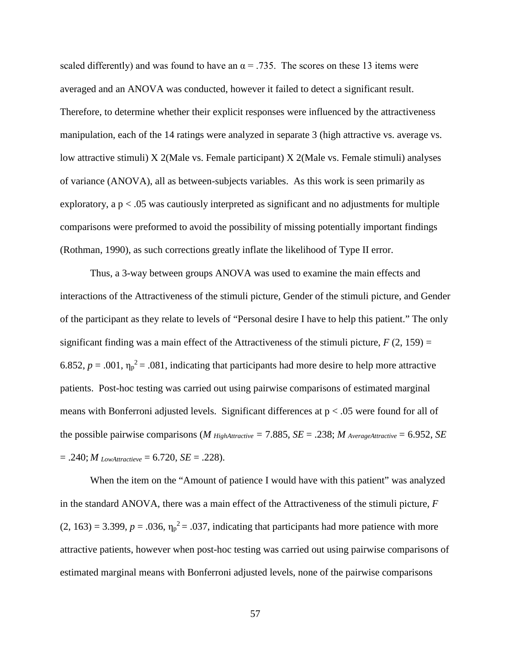scaled differently) and was found to have an  $\alpha = .735$ . The scores on these 13 items were averaged and an ANOVA was conducted, however it failed to detect a significant result. Therefore, to determine whether their explicit responses were influenced by the attractiveness manipulation, each of the 14 ratings were analyzed in separate 3 (high attractive vs. average vs. low attractive stimuli) X 2(Male vs. Female participant) X 2(Male vs. Female stimuli) analyses of variance (ANOVA), all as between-subjects variables. As this work is seen primarily as exploratory, a  $p < 0.05$  was cautiously interpreted as significant and no adjustments for multiple comparisons were preformed to avoid the possibility of missing potentially important findings (Rothman, 1990), as such corrections greatly inflate the likelihood of Type II error.

Thus, a 3-way between groups ANOVA was used to examine the main effects and interactions of the Attractiveness of the stimuli picture, Gender of the stimuli picture, and Gender of the participant as they relate to levels of "Personal desire I have to help this patient." The only significant finding was a main effect of the Attractiveness of the stimuli picture,  $F(2, 159) =$ 6.852,  $p = .001$ ,  $\eta_p^2 = .081$ , indicating that participants had more desire to help more attractive patients. Post-hoc testing was carried out using pairwise comparisons of estimated marginal means with Bonferroni adjusted levels. Significant differences at p < .05 were found for all of the possible pairwise comparisons (*M*  $_{HighAttribute} = 7.885$ ,  $SE = .238$ ;  $M_{AverageAttribute} = 6.952$ ,  $SE$  $= .240$ ; *M* LowAttractieve  $= 6.720$ , *SE*  $= .228$ ).

When the item on the "Amount of patience I would have with this patient" was analyzed in the standard ANOVA, there was a main effect of the Attractiveness of the stimuli picture, *F*  $(2, 163) = 3.399$ ,  $p = .036$ ,  $\eta_p^2 = .037$ , indicating that participants had more patience with more attractive patients, however when post-hoc testing was carried out using pairwise comparisons of estimated marginal means with Bonferroni adjusted levels, none of the pairwise comparisons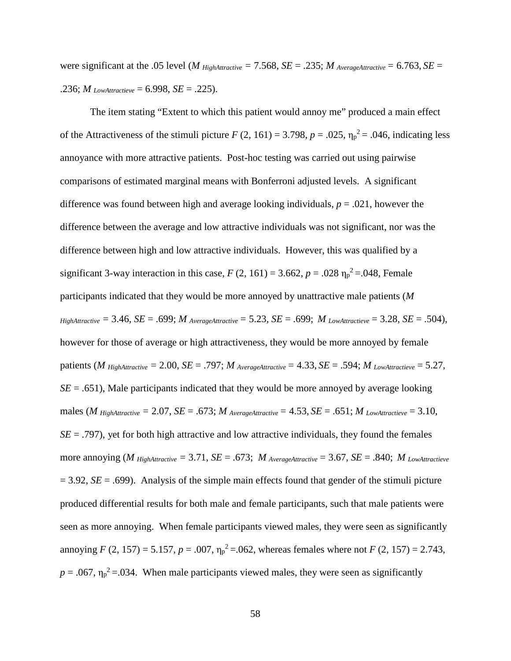were significant at the .05 level (*M HighAttractive* = 7.568, *SE* = .235; *M* AverageAttractive = 6.763, *SE* = .236; *M* LowAttractieve = 6.998, *SE* = .225).

The item stating "Extent to which this patient would annoy me" produced a main effect of the Attractiveness of the stimuli picture  $F(2, 161) = 3.798$ ,  $p = .025$ ,  $\eta_p^2 = .046$ , indicating less annoyance with more attractive patients. Post-hoc testing was carried out using pairwise comparisons of estimated marginal means with Bonferroni adjusted levels. A significant difference was found between high and average looking individuals, *p* = .021, however the difference between the average and low attractive individuals was not significant, nor was the difference between high and low attractive individuals. However, this was qualified by a significant 3-way interaction in this case,  $F(2, 161) = 3.662$ ,  $p = .028$   $\eta_p^2 = .048$ , Female participants indicated that they would be more annoyed by unattractive male patients (*M*   $H$ *ighAttractive* = 3.46, *SE* = .699; *M*  $_{\text{AverageAttractive}}$  = 5.23, *SE* = .699; *M*  $_{\text{LowAttractive}}$  = 3.28, *SE* = .504), however for those of average or high attractiveness, they would be more annoyed by female patients (*M* HighAttractive = 2.00, *SE* = .797; *M* AverageAttractive = 4.33, *SE* = .594; *M* LowAttractieve = 5.27, *SE* = .651), Male participants indicated that they would be more annoyed by average looking males (*M* HighAttractive = 2.07,  $SE = .673$ ; *M* AverageAttractive = 4.53,  $SE = .651$ ; *M* LowAttractieve = 3.10,  $SE = .797$ , yet for both high attractive and low attractive individuals, they found the females more annoying (*M* HighAttractive = 3.71, *SE* = .673; *M* AverageAttractive = 3.67, *SE* = .840; *M* LowAttractieve  $= 3.92$ , *SE* = .699). Analysis of the simple main effects found that gender of the stimuli picture produced differential results for both male and female participants, such that male patients were seen as more annoying. When female participants viewed males, they were seen as significantly annoying *F* (2, 157) = 5.157,  $p = .007$ ,  $\eta_p^2 = .062$ , whereas females where not *F* (2, 157) = 2.743,  $p = .067$ ,  $\eta_p^2 = .034$ . When male participants viewed males, they were seen as significantly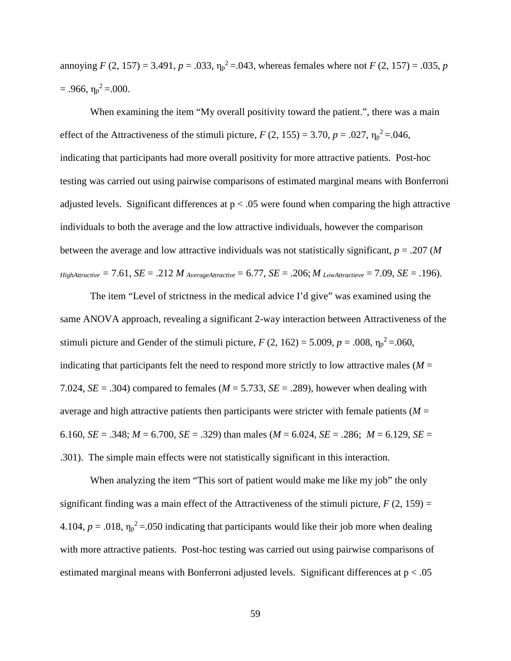annoying  $F(2, 157) = 3.491$ ,  $p = .033$ ,  $\eta_p^2 = .043$ , whereas females where not  $F(2, 157) = .035$ ,  $p$  $= .966, \eta_p^2 = .000.$ 

When examining the item "My overall positivity toward the patient.", there was a main effect of the Attractiveness of the stimuli picture,  $F(2, 155) = 3.70$ ,  $p = .027$ ,  $\eta_p^2 = .046$ , indicating that participants had more overall positivity for more attractive patients. Post-hoc testing was carried out using pairwise comparisons of estimated marginal means with Bonferroni adjusted levels. Significant differences at  $p < .05$  were found when comparing the high attractive individuals to both the average and the low attractive individuals, however the comparison between the average and low attractive individuals was not statistically significant, *p* = .207 (*M*   $HighAttractive = 7.61$ ,  $SE = .212 M_{AverageAttractive} = 6.77$ ,  $SE = .206$ ;  $M_{LowAttractive} = 7.09$ ,  $SE = .196$ ).

The item "Level of strictness in the medical advice I'd give" was examined using the same ANOVA approach, revealing a significant 2-way interaction between Attractiveness of the stimuli picture and Gender of the stimuli picture,  $F(2, 162) = 5.009$ ,  $p = .008$ ,  $\eta_p^2 = .060$ , indicating that participants felt the need to respond more strictly to low attractive males ( $M =$ 7.024,  $SE = .304$ ) compared to females ( $M = 5.733$ ,  $SE = .289$ ), however when dealing with average and high attractive patients then participants were stricter with female patients ( $M =$ 6.160, *SE* = .348; *M* = 6.700, *SE* = .329) than males (*M* = 6.024, *SE* = .286; *M* = 6.129, *SE* = .301). The simple main effects were not statistically significant in this interaction.

When analyzing the item "This sort of patient would make me like my job" the only significant finding was a main effect of the Attractiveness of the stimuli picture,  $F(2, 159) =$ 4.104,  $p = .018$ ,  $\eta_p^2 = .050$  indicating that participants would like their job more when dealing with more attractive patients. Post-hoc testing was carried out using pairwise comparisons of estimated marginal means with Bonferroni adjusted levels. Significant differences at p < .05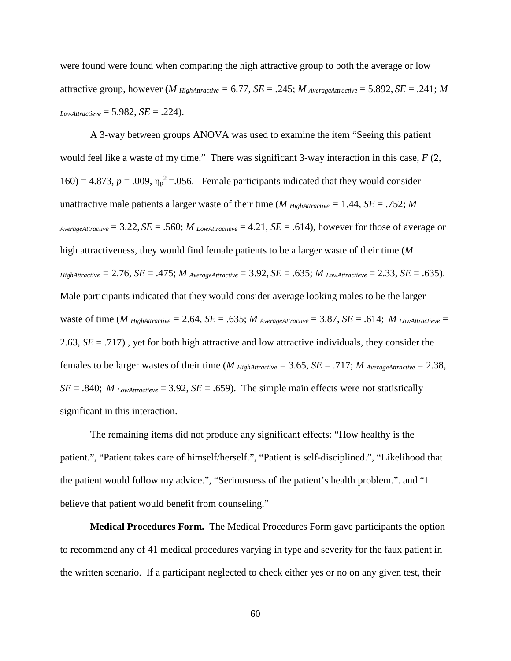were found were found when comparing the high attractive group to both the average or low attractive group, however (*M* HighAttractive = 6.77, *SE* = .245; *M* AverageAttractive = 5.892, *SE* = .241; *M LowAttractieve* = 5.982, *SE* = .224).

A 3-way between groups ANOVA was used to examine the item "Seeing this patient would feel like a waste of my time." There was significant 3-way interaction in this case, *F* (2,  $160$ ) = 4.873,  $p = .009$ ,  $\eta_p^2 = .056$ . Female participants indicated that they would consider unattractive male patients a larger waste of their time (*M*  $_{HighAttribute} = 1.44$ , *SE* = .752; *M AverageAttractive* = 3.22, *SE* = .560; *M LowAttractieve* = 4.21, *SE* = .614), however for those of average or high attractiveness, they would find female patients to be a larger waste of their time (*M*   $HighAttractive = 2.76$ ,  $SE = .475$ ;  $M$   $AverageAttractive = 3.92$ ,  $SE = .635$ ;  $M$   $LowAttractive = 2.33$ ,  $SE = .635$ ). Male participants indicated that they would consider average looking males to be the larger waste of time ( $M$  HighAttractive = 2.64,  $SE = .635$ ;  $M$  AverageAttractive = 3.87,  $SE = .614$ ;  $M$  LowAttractieve = 2.63, *SE* = .717) , yet for both high attractive and low attractive individuals, they consider the females to be larger wastes of their time (*M*  $H_{IghA\text{}tractive} = 3.65$ , *SE* = .717; *M*  $_{A\nu\text{}eragedA\text{}tractive} = 2.38$ ,  $SE = .840$ ; *M* LowAttractieve = 3.92,  $SE = .659$ ). The simple main effects were not statistically significant in this interaction.

The remaining items did not produce any significant effects: "How healthy is the patient.", "Patient takes care of himself/herself.", "Patient is self-disciplined.", "Likelihood that the patient would follow my advice.", "Seriousness of the patient's health problem.". and "I believe that patient would benefit from counseling."

**Medical Procedures Form.** The Medical Procedures Form gave participants the option to recommend any of 41 medical procedures varying in type and severity for the faux patient in the written scenario. If a participant neglected to check either yes or no on any given test, their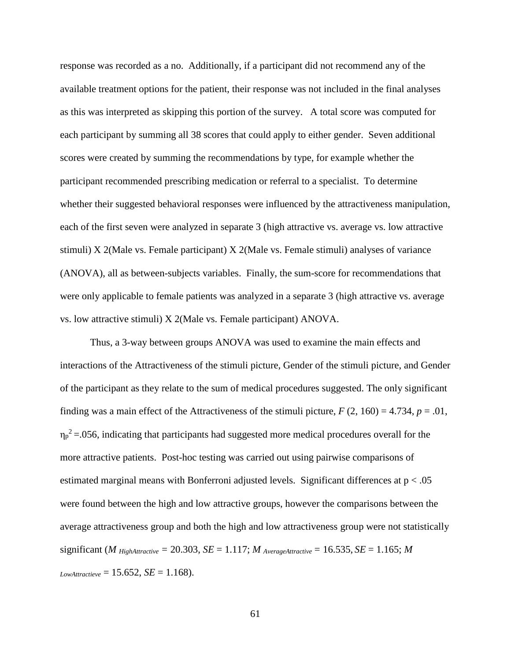response was recorded as a no. Additionally, if a participant did not recommend any of the available treatment options for the patient, their response was not included in the final analyses as this was interpreted as skipping this portion of the survey. A total score was computed for each participant by summing all 38 scores that could apply to either gender. Seven additional scores were created by summing the recommendations by type, for example whether the participant recommended prescribing medication or referral to a specialist. To determine whether their suggested behavioral responses were influenced by the attractiveness manipulation, each of the first seven were analyzed in separate 3 (high attractive vs. average vs. low attractive stimuli) X 2(Male vs. Female participant) X 2(Male vs. Female stimuli) analyses of variance (ANOVA), all as between-subjects variables. Finally, the sum-score for recommendations that were only applicable to female patients was analyzed in a separate 3 (high attractive vs. average vs. low attractive stimuli) X 2(Male vs. Female participant) ANOVA.

Thus, a 3-way between groups ANOVA was used to examine the main effects and interactions of the Attractiveness of the stimuli picture, Gender of the stimuli picture, and Gender of the participant as they relate to the sum of medical procedures suggested. The only significant finding was a main effect of the Attractiveness of the stimuli picture,  $F(2, 160) = 4.734$ ,  $p = .01$ ,  $\eta_p^2$  = 056, indicating that participants had suggested more medical procedures overall for the more attractive patients. Post-hoc testing was carried out using pairwise comparisons of estimated marginal means with Bonferroni adjusted levels. Significant differences at  $p < .05$ were found between the high and low attractive groups, however the comparisons between the average attractiveness group and both the high and low attractiveness group were not statistically significant (*M*  $_{HighAttribute} = 20.303$ ,  $SE = 1.117$ ;  $M_{AverageAttribute} = 16.535$ ,  $SE = 1.165$ ;  $M$  $L_{\text{owAttractieve}} = 15.652, SE = 1.168$ .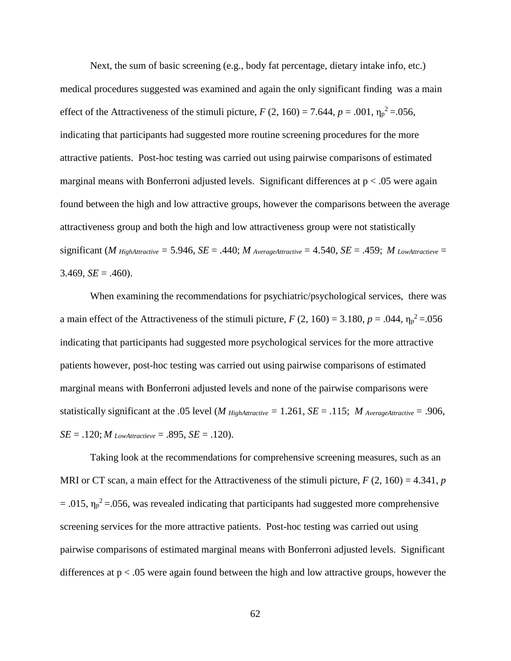Next, the sum of basic screening (e.g., body fat percentage, dietary intake info, etc.) medical procedures suggested was examined and again the only significant finding was a main effect of the Attractiveness of the stimuli picture,  $F(2, 160) = 7.644$ ,  $p = .001$ ,  $\eta_p^2 = .056$ , indicating that participants had suggested more routine screening procedures for the more attractive patients. Post-hoc testing was carried out using pairwise comparisons of estimated marginal means with Bonferroni adjusted levels. Significant differences at  $p < 0.05$  were again found between the high and low attractive groups, however the comparisons between the average attractiveness group and both the high and low attractiveness group were not statistically significant (*M* HighAttractive = 5.946,  $SE = .440$ ; *M* AverageAttractive = 4.540,  $SE = .459$ ; *M* LowAttractieve = 3.469,  $SE = .460$ ).

When examining the recommendations for psychiatric/psychological services, there was a main effect of the Attractiveness of the stimuli picture,  $F(2, 160) = 3.180$ ,  $p = .044$ ,  $\eta_p^2 = .056$ indicating that participants had suggested more psychological services for the more attractive patients however, post-hoc testing was carried out using pairwise comparisons of estimated marginal means with Bonferroni adjusted levels and none of the pairwise comparisons were statistically significant at the .05 level (*M HighAttractive* = 1.261, *SE* = .115; *M* AverageAttractive = .906, *SE* = .120; *M LowAttractieve* = .895, *SE* = .120).

Taking look at the recommendations for comprehensive screening measures, such as an MRI or CT scan, a main effect for the Attractiveness of the stimuli picture,  $F(2, 160) = 4.341$ , *p*  $= .015$ ,  $\eta_p^2 = .056$ , was revealed indicating that participants had suggested more comprehensive screening services for the more attractive patients. Post-hoc testing was carried out using pairwise comparisons of estimated marginal means with Bonferroni adjusted levels. Significant differences at  $p < 0.05$  were again found between the high and low attractive groups, however the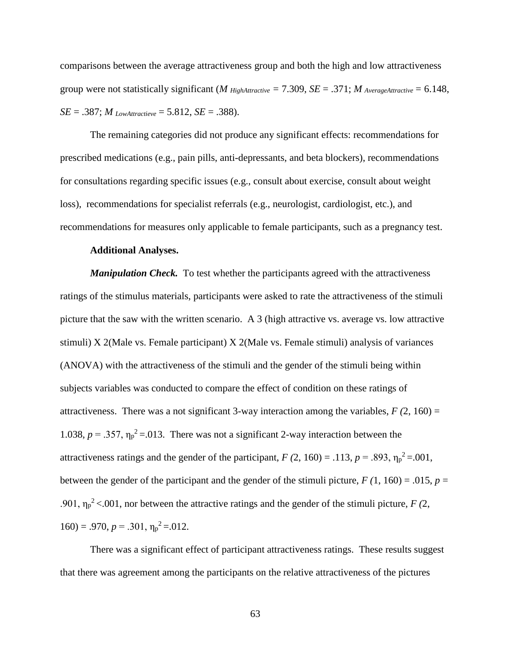comparisons between the average attractiveness group and both the high and low attractiveness group were not statistically significant (*M*  $H_{light attractive} = 7.309$ ,  $SE = .371$ ; *M*  $_{AverageAttribute} = 6.148$ , *SE* = .387; *M* LowAttractieve = 5.812, *SE* = .388).

The remaining categories did not produce any significant effects: recommendations for prescribed medications (e.g., pain pills, anti-depressants, and beta blockers), recommendations for consultations regarding specific issues (e.g., consult about exercise, consult about weight loss), recommendations for specialist referrals (e.g., neurologist, cardiologist, etc.), and recommendations for measures only applicable to female participants, such as a pregnancy test.

## **Additional Analyses.**

*Manipulation Check.* To test whether the participants agreed with the attractiveness ratings of the stimulus materials, participants were asked to rate the attractiveness of the stimuli picture that the saw with the written scenario. A 3 (high attractive vs. average vs. low attractive stimuli) X 2(Male vs. Female participant) X 2(Male vs. Female stimuli) analysis of variances (ANOVA) with the attractiveness of the stimuli and the gender of the stimuli being within subjects variables was conducted to compare the effect of condition on these ratings of attractiveness. There was a not significant 3-way interaction among the variables,  $F(2, 160) =$ 1.038,  $p = .357$ ,  $\eta_p^2 = .013$ . There was not a significant 2-way interaction between the attractiveness ratings and the gender of the participant,  $F(2, 160) = .113$ ,  $p = .893$ ,  $\eta_p^2 = .001$ , between the gender of the participant and the gender of the stimuli picture,  $F(1, 160) = .015$ ,  $p =$ .901,  $\eta_p^2 < .001$ , nor between the attractive ratings and the gender of the stimuli picture, *F* (2,  $160$ ) = .970,  $p = .301$ ,  $\eta_p^2 = .012$ .

There was a significant effect of participant attractiveness ratings. These results suggest that there was agreement among the participants on the relative attractiveness of the pictures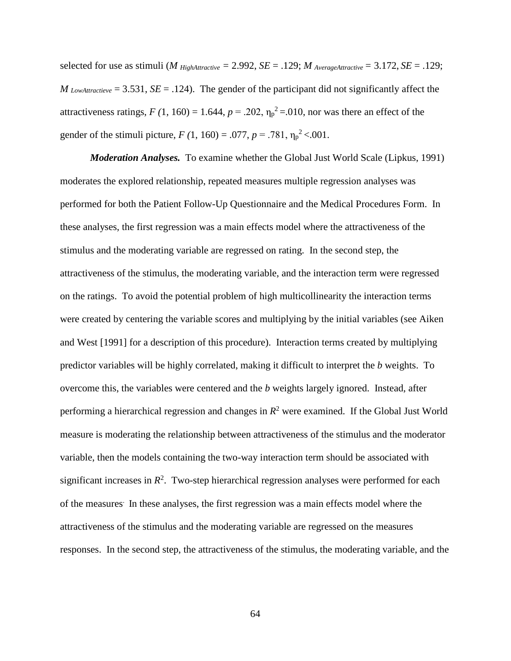selected for use as stimuli (*M HighAttractive*  $= 2.992$ , *SE*  $= .129$ ; *M* AverageAttractive  $= 3.172$ , *SE*  $= .129$ ; *M* LowAttractieve = 3.531, *SE* = .124). The gender of the participant did not significantly affect the attractiveness ratings,  $F(1, 160) = 1.644$ ,  $p = .202$ ,  $\eta_p^2 = .010$ , nor was there an effect of the gender of the stimuli picture,  $F(1, 160) = .077$ ,  $p = .781$ ,  $\eta_p^2 < .001$ .

*Moderation Analyses.* To examine whether the Global Just World Scale (Lipkus, 1991) moderates the explored relationship, repeated measures multiple regression analyses was performed for both the Patient Follow-Up Questionnaire and the Medical Procedures Form. In these analyses, the first regression was a main effects model where the attractiveness of the stimulus and the moderating variable are regressed on rating. In the second step, the attractiveness of the stimulus, the moderating variable, and the interaction term were regressed on the ratings. To avoid the potential problem of high multicollinearity the interaction terms were created by centering the variable scores and multiplying by the initial variables (see Aiken and West [1991] for a description of this procedure). Interaction terms created by multiplying predictor variables will be highly correlated, making it difficult to interpret the *b* weights. To overcome this, the variables were centered and the *b* weights largely ignored. Instead, after performing a hierarchical regression and changes in  $R^2$  were examined. If the Global Just World measure is moderating the relationship between attractiveness of the stimulus and the moderator variable, then the models containing the two-way interaction term should be associated with significant increases in  $R^2$ . Two-step hierarchical regression analyses were performed for each of the measures. In these analyses, the first regression was a main effects model where the attractiveness of the stimulus and the moderating variable are regressed on the measures responses. In the second step, the attractiveness of the stimulus, the moderating variable, and the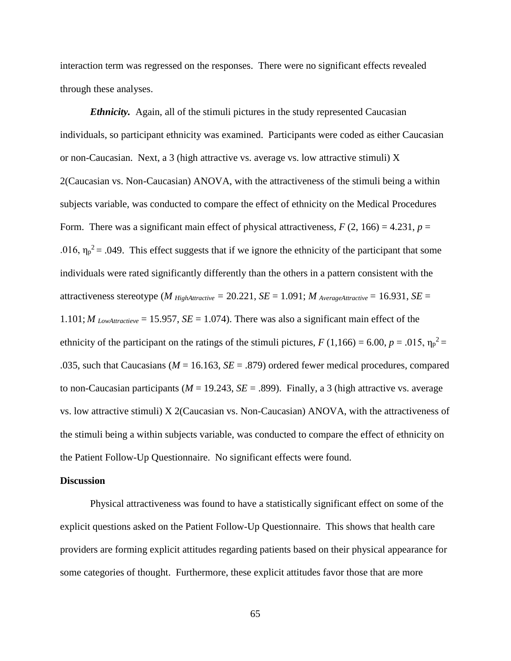interaction term was regressed on the responses. There were no significant effects revealed through these analyses.

*Ethnicity.* Again, all of the stimuli pictures in the study represented Caucasian individuals, so participant ethnicity was examined. Participants were coded as either Caucasian or non-Caucasian. Next, a 3 (high attractive vs. average vs. low attractive stimuli)  $X$ 2(Caucasian vs. Non-Caucasian) ANOVA, with the attractiveness of the stimuli being a within subjects variable, was conducted to compare the effect of ethnicity on the Medical Procedures Form. There was a significant main effect of physical attractiveness,  $F(2, 166) = 4.231$ ,  $p =$ .016,  $\eta_p^2$  = .049. This effect suggests that if we ignore the ethnicity of the participant that some individuals were rated significantly differently than the others in a pattern consistent with the attractiveness stereotype (*M HighAttractive* = 20.221, *SE* = 1.091; *M* AverageAttractive = 16.931, *SE* =  $1.101$ ; *M* LowAttractieve = 15.957, *SE* = 1.074). There was also a significant main effect of the ethnicity of the participant on the ratings of the stimuli pictures,  $F(1,166) = 6.00, p = .015, \eta_p^2 =$ .035, such that Caucasians (*M* = 16.163, *SE* = .879) ordered fewer medical procedures, compared to non-Caucasian participants ( $M = 19.243$ ,  $SE = .899$ ). Finally, a 3 (high attractive vs. average vs. low attractive stimuli) X 2(Caucasian vs. Non-Caucasian) ANOVA, with the attractiveness of the stimuli being a within subjects variable, was conducted to compare the effect of ethnicity on the Patient Follow-Up Questionnaire. No significant effects were found.

### **Discussion**

Physical attractiveness was found to have a statistically significant effect on some of the explicit questions asked on the Patient Follow-Up Questionnaire. This shows that health care providers are forming explicit attitudes regarding patients based on their physical appearance for some categories of thought. Furthermore, these explicit attitudes favor those that are more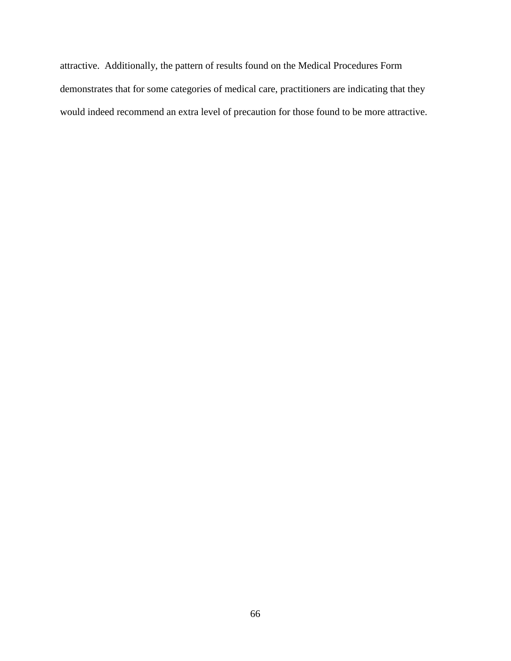attractive. Additionally, the pattern of results found on the Medical Procedures Form demonstrates that for some categories of medical care, practitioners are indicating that they would indeed recommend an extra level of precaution for those found to be more attractive.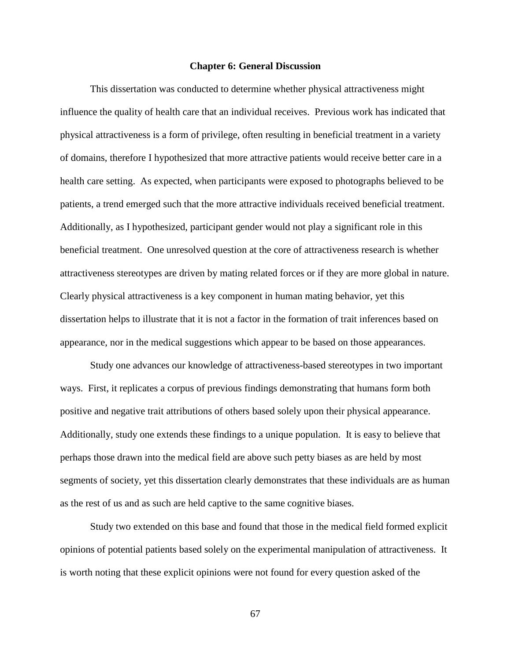### **Chapter 6: General Discussion**

This dissertation was conducted to determine whether physical attractiveness might influence the quality of health care that an individual receives. Previous work has indicated that physical attractiveness is a form of privilege, often resulting in beneficial treatment in a variety of domains, therefore I hypothesized that more attractive patients would receive better care in a health care setting. As expected, when participants were exposed to photographs believed to be patients, a trend emerged such that the more attractive individuals received beneficial treatment. Additionally, as I hypothesized, participant gender would not play a significant role in this beneficial treatment. One unresolved question at the core of attractiveness research is whether attractiveness stereotypes are driven by mating related forces or if they are more global in nature. Clearly physical attractiveness is a key component in human mating behavior, yet this dissertation helps to illustrate that it is not a factor in the formation of trait inferences based on appearance, nor in the medical suggestions which appear to be based on those appearances.

Study one advances our knowledge of attractiveness-based stereotypes in two important ways. First, it replicates a corpus of previous findings demonstrating that humans form both positive and negative trait attributions of others based solely upon their physical appearance. Additionally, study one extends these findings to a unique population. It is easy to believe that perhaps those drawn into the medical field are above such petty biases as are held by most segments of society, yet this dissertation clearly demonstrates that these individuals are as human as the rest of us and as such are held captive to the same cognitive biases.

Study two extended on this base and found that those in the medical field formed explicit opinions of potential patients based solely on the experimental manipulation of attractiveness. It is worth noting that these explicit opinions were not found for every question asked of the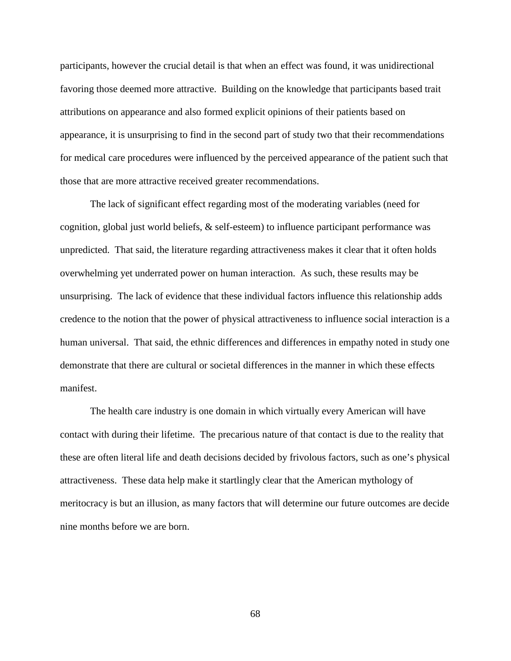participants, however the crucial detail is that when an effect was found, it was unidirectional favoring those deemed more attractive. Building on the knowledge that participants based trait attributions on appearance and also formed explicit opinions of their patients based on appearance, it is unsurprising to find in the second part of study two that their recommendations for medical care procedures were influenced by the perceived appearance of the patient such that those that are more attractive received greater recommendations.

The lack of significant effect regarding most of the moderating variables (need for cognition, global just world beliefs, & self-esteem) to influence participant performance was unpredicted. That said, the literature regarding attractiveness makes it clear that it often holds overwhelming yet underrated power on human interaction. As such, these results may be unsurprising. The lack of evidence that these individual factors influence this relationship adds credence to the notion that the power of physical attractiveness to influence social interaction is a human universal. That said, the ethnic differences and differences in empathy noted in study one demonstrate that there are cultural or societal differences in the manner in which these effects manifest.

The health care industry is one domain in which virtually every American will have contact with during their lifetime. The precarious nature of that contact is due to the reality that these are often literal life and death decisions decided by frivolous factors, such as one's physical attractiveness. These data help make it startlingly clear that the American mythology of meritocracy is but an illusion, as many factors that will determine our future outcomes are decide nine months before we are born.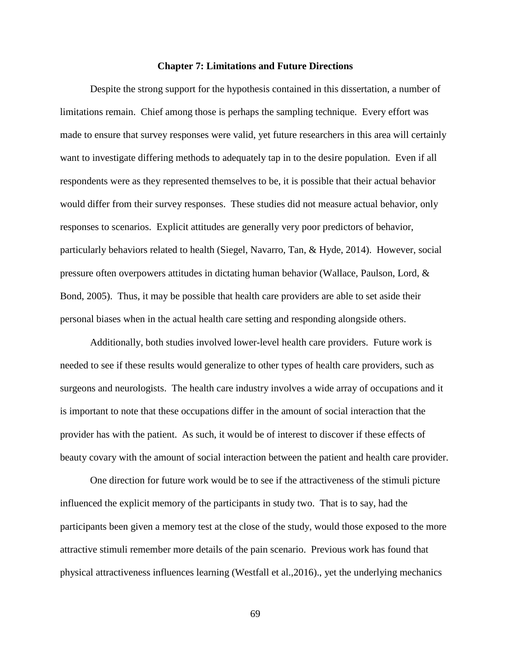### **Chapter 7: Limitations and Future Directions**

Despite the strong support for the hypothesis contained in this dissertation, a number of limitations remain. Chief among those is perhaps the sampling technique. Every effort was made to ensure that survey responses were valid, yet future researchers in this area will certainly want to investigate differing methods to adequately tap in to the desire population. Even if all respondents were as they represented themselves to be, it is possible that their actual behavior would differ from their survey responses. These studies did not measure actual behavior, only responses to scenarios. Explicit attitudes are generally very poor predictors of behavior, particularly behaviors related to health (Siegel, Navarro, Tan, & Hyde, 2014). However, social pressure often overpowers attitudes in dictating human behavior (Wallace, Paulson, Lord, & Bond, 2005). Thus, it may be possible that health care providers are able to set aside their personal biases when in the actual health care setting and responding alongside others.

Additionally, both studies involved lower-level health care providers. Future work is needed to see if these results would generalize to other types of health care providers, such as surgeons and neurologists. The health care industry involves a wide array of occupations and it is important to note that these occupations differ in the amount of social interaction that the provider has with the patient. As such, it would be of interest to discover if these effects of beauty covary with the amount of social interaction between the patient and health care provider.

One direction for future work would be to see if the attractiveness of the stimuli picture influenced the explicit memory of the participants in study two. That is to say, had the participants been given a memory test at the close of the study, would those exposed to the more attractive stimuli remember more details of the pain scenario. Previous work has found that physical attractiveness influences learning (Westfall et al.,2016)., yet the underlying mechanics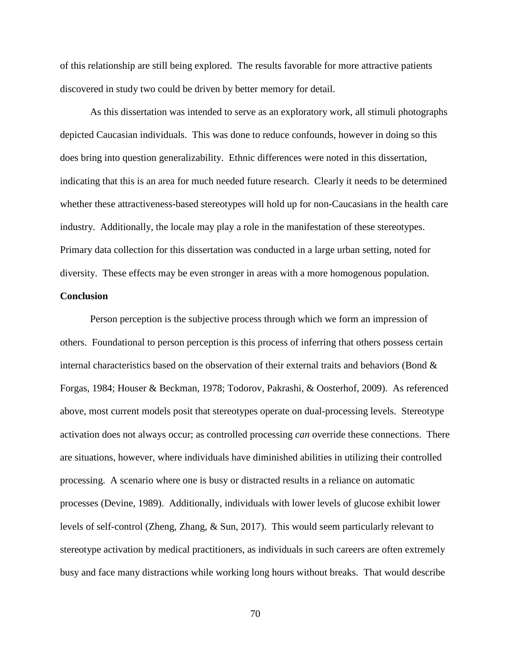of this relationship are still being explored. The results favorable for more attractive patients discovered in study two could be driven by better memory for detail.

As this dissertation was intended to serve as an exploratory work, all stimuli photographs depicted Caucasian individuals. This was done to reduce confounds, however in doing so this does bring into question generalizability. Ethnic differences were noted in this dissertation, indicating that this is an area for much needed future research. Clearly it needs to be determined whether these attractiveness-based stereotypes will hold up for non-Caucasians in the health care industry. Additionally, the locale may play a role in the manifestation of these stereotypes. Primary data collection for this dissertation was conducted in a large urban setting, noted for diversity. These effects may be even stronger in areas with a more homogenous population.

## **Conclusion**

Person perception is the subjective process through which we form an impression of others. Foundational to person perception is this process of inferring that others possess certain internal characteristics based on the observation of their external traits and behaviors (Bond  $\&$ Forgas, 1984; Houser & Beckman, 1978; Todorov, Pakrashi, & Oosterhof, 2009). As referenced above, most current models posit that stereotypes operate on dual-processing levels. Stereotype activation does not always occur; as controlled processing *can* override these connections. There are situations, however, where individuals have diminished abilities in utilizing their controlled processing. A scenario where one is busy or distracted results in a reliance on automatic processes (Devine, 1989). Additionally, individuals with lower levels of glucose exhibit lower levels of self-control (Zheng, Zhang, & Sun, 2017). This would seem particularly relevant to stereotype activation by medical practitioners, as individuals in such careers are often extremely busy and face many distractions while working long hours without breaks. That would describe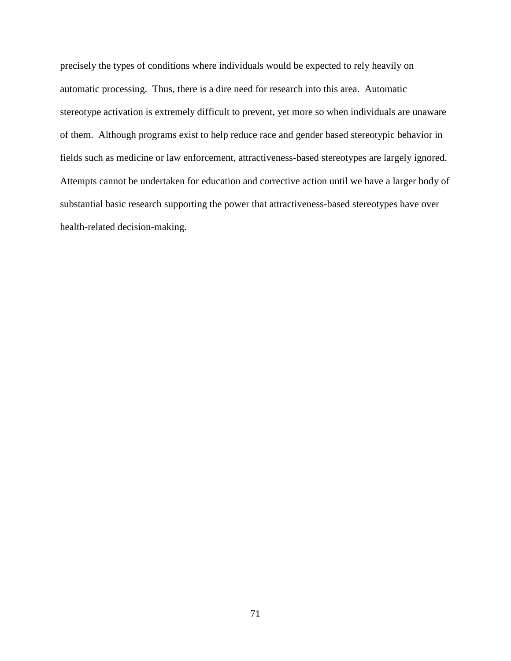precisely the types of conditions where individuals would be expected to rely heavily on automatic processing. Thus, there is a dire need for research into this area. Automatic stereotype activation is extremely difficult to prevent, yet more so when individuals are unaware of them. Although programs exist to help reduce race and gender based stereotypic behavior in fields such as medicine or law enforcement, attractiveness-based stereotypes are largely ignored. Attempts cannot be undertaken for education and corrective action until we have a larger body of substantial basic research supporting the power that attractiveness-based stereotypes have over health-related decision-making.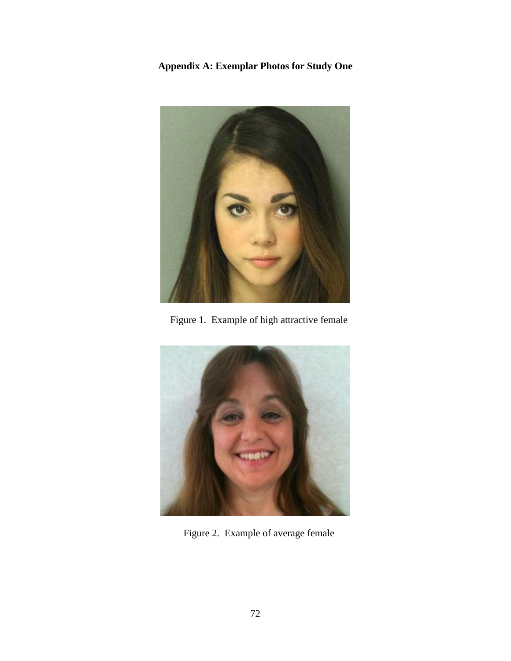**Appendix A: Exemplar Photos for Study One**



Figure 1. Example of high attractive female



Figure 2. Example of average female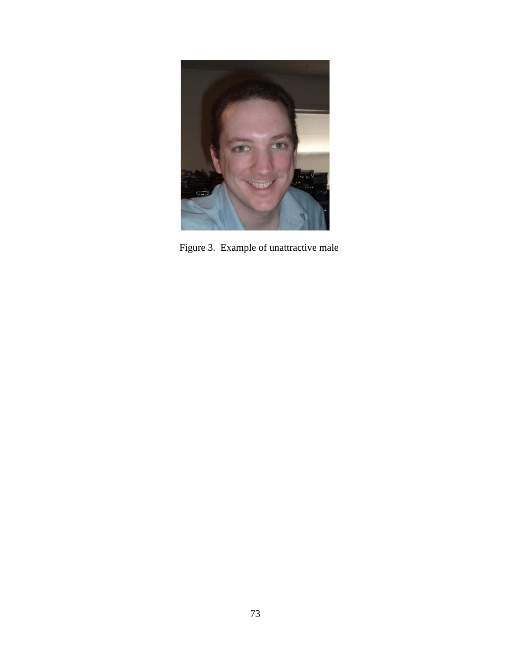

Figure 3. Example of unattractive male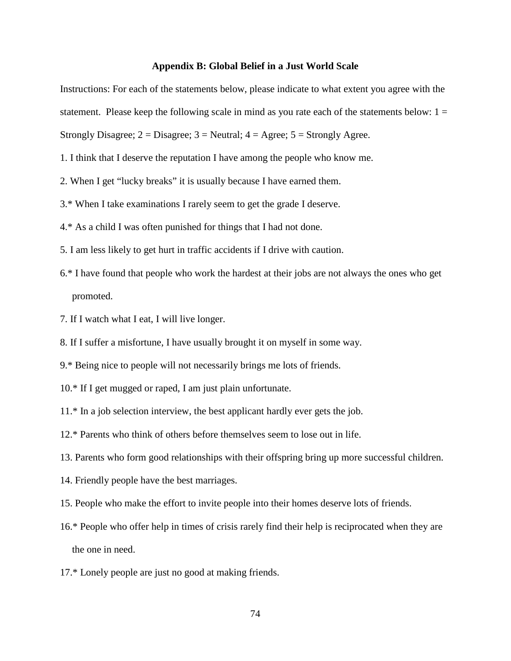### **Appendix B: Global Belief in a Just World Scale**

Instructions: For each of the statements below, please indicate to what extent you agree with the

statement. Please keep the following scale in mind as you rate each of the statements below:  $1 =$ 

Strongly Disagree;  $2 = Disagree$ ;  $3 = Neutral$ ;  $4 = Agree$ ;  $5 = Strongly Agree$ .

- 1. I think that I deserve the reputation I have among the people who know me.
- 2. When I get "lucky breaks" it is usually because I have earned them.
- 3.\* When I take examinations I rarely seem to get the grade I deserve.
- 4.\* As a child I was often punished for things that I had not done.
- 5. I am less likely to get hurt in traffic accidents if I drive with caution.
- 6.\* I have found that people who work the hardest at their jobs are not always the ones who get promoted.
- 7. If I watch what I eat, I will live longer.
- 8. If I suffer a misfortune, I have usually brought it on myself in some way.
- 9.\* Being nice to people will not necessarily brings me lots of friends.
- 10.\* If I get mugged or raped, I am just plain unfortunate.
- 11.\* In a job selection interview, the best applicant hardly ever gets the job.
- 12.\* Parents who think of others before themselves seem to lose out in life.
- 13. Parents who form good relationships with their offspring bring up more successful children.
- 14. Friendly people have the best marriages.
- 15. People who make the effort to invite people into their homes deserve lots of friends.
- 16.\* People who offer help in times of crisis rarely find their help is reciprocated when they are the one in need.
- 17.\* Lonely people are just no good at making friends.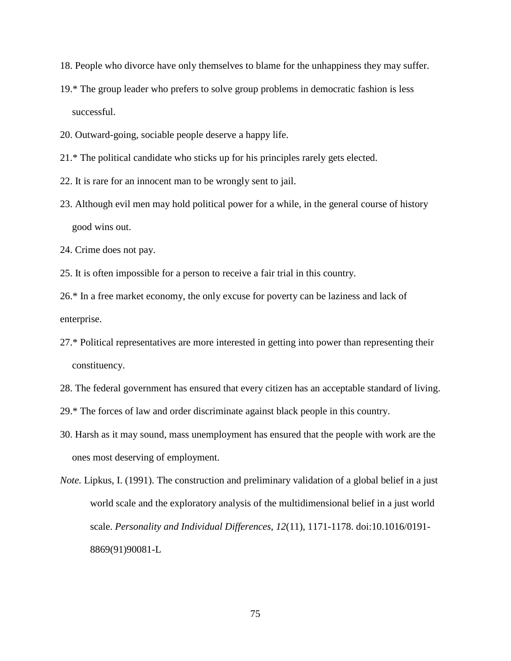- 18. People who divorce have only themselves to blame for the unhappiness they may suffer.
- 19.\* The group leader who prefers to solve group problems in democratic fashion is less successful.
- 20. Outward-going, sociable people deserve a happy life.
- 21.\* The political candidate who sticks up for his principles rarely gets elected.
- 22. It is rare for an innocent man to be wrongly sent to jail.
- 23. Although evil men may hold political power for a while, in the general course of history good wins out.
- 24. Crime does not pay.
- 25. It is often impossible for a person to receive a fair trial in this country.
- 26.\* In a free market economy, the only excuse for poverty can be laziness and lack of enterprise.
- 27.\* Political representatives are more interested in getting into power than representing their constituency.
- 28. The federal government has ensured that every citizen has an acceptable standard of living.
- 29.\* The forces of law and order discriminate against black people in this country.
- 30. Harsh as it may sound, mass unemployment has ensured that the people with work are the ones most deserving of employment.
- *Note.* Lipkus, I. (1991). The construction and preliminary validation of a global belief in a just world scale and the exploratory analysis of the multidimensional belief in a just world scale. *Personality and Individual Differences*, *12*(11), 1171-1178. doi:10.1016/0191- 8869(91)90081-L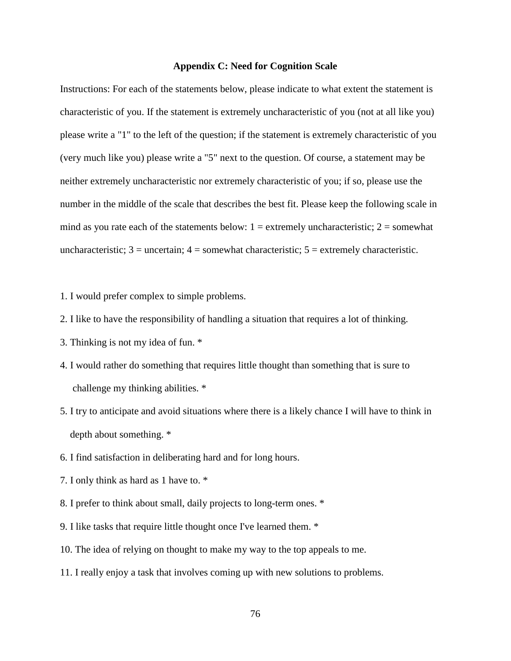### **Appendix C: Need for Cognition Scale**

Instructions: For each of the statements below, please indicate to what extent the statement is characteristic of you. If the statement is extremely uncharacteristic of you (not at all like you) please write a "1" to the left of the question; if the statement is extremely characteristic of you (very much like you) please write a "5" next to the question. Of course, a statement may be neither extremely uncharacteristic nor extremely characteristic of you; if so, please use the number in the middle of the scale that describes the best fit. Please keep the following scale in mind as you rate each of the statements below:  $1 =$  extremely uncharacteristic;  $2 =$  somewhat uncharacteristic;  $3 =$  uncertain;  $4 =$  somewhat characteristic;  $5 =$  extremely characteristic.

1. I would prefer complex to simple problems.

- 2. I like to have the responsibility of handling a situation that requires a lot of thinking.
- 3. Thinking is not my idea of fun. \*
- 4. I would rather do something that requires little thought than something that is sure to challenge my thinking abilities. \*
- 5. I try to anticipate and avoid situations where there is a likely chance I will have to think in depth about something. \*
- 6. I find satisfaction in deliberating hard and for long hours.
- 7. I only think as hard as 1 have to. \*
- 8. I prefer to think about small, daily projects to long-term ones. \*
- 9. I like tasks that require little thought once I've learned them. \*
- 10. The idea of relying on thought to make my way to the top appeals to me.
- 11. I really enjoy a task that involves coming up with new solutions to problems.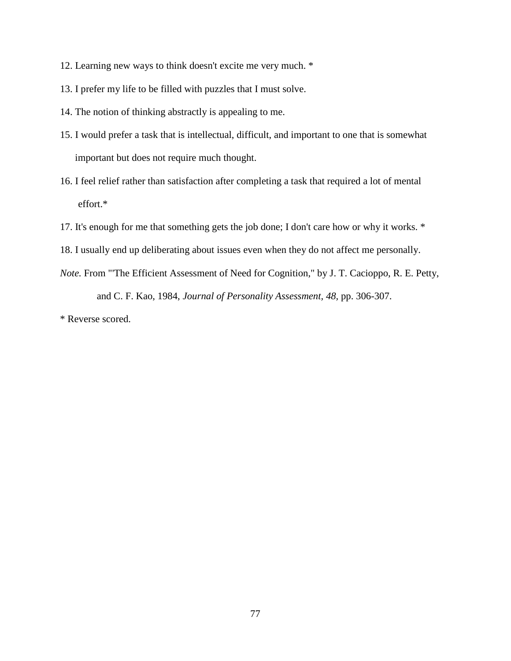- 12. Learning new ways to think doesn't excite me very much. \*
- 13. I prefer my life to be filled with puzzles that I must solve.
- 14. The notion of thinking abstractly is appealing to me.
- 15. I would prefer a task that is intellectual, difficult, and important to one that is somewhat important but does not require much thought.
- 16. I feel relief rather than satisfaction after completing a task that required a lot of mental effort.\*
- 17. It's enough for me that something gets the job done; I don't care how or why it works. \*
- 18. I usually end up deliberating about issues even when they do not affect me personally.
- *Note.* From "'The Efficient Assessment of Need for Cognition," by J. T. Cacioppo, R. E. Petty, and C. F. Kao, 1984, *Journal of Personality Assessment, 48,* pp. 306-307.

\* Reverse scored.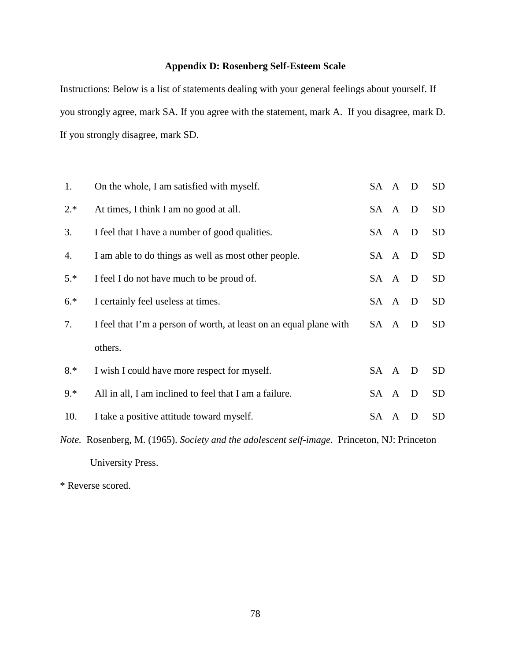# **Appendix D: Rosenberg Self-Esteem Scale**

Instructions: Below is a list of statements dealing with your general feelings about yourself. If you strongly agree, mark SA. If you agree with the statement, mark A. If you disagree, mark D. If you strongly disagree, mark SD.

| 1.    | On the whole, I am satisfied with myself.                                                                  | SA A D |  |              | SD              |  |  |
|-------|------------------------------------------------------------------------------------------------------------|--------|--|--------------|-----------------|--|--|
| $2.*$ | At times, I think I am no good at all.                                                                     | SA A D |  |              | <b>SD</b>       |  |  |
| 3.    | I feel that I have a number of good qualities.                                                             | SA A   |  | D            | <b>SD</b>       |  |  |
| 4.    | I am able to do things as well as most other people.                                                       | SA A   |  | $\mathbf{D}$ | <b>SD</b>       |  |  |
| $5.*$ | I feel I do not have much to be proud of.                                                                  | SA A D |  |              | <b>SD</b>       |  |  |
| $6.*$ | I certainly feel useless at times.                                                                         | SA A   |  | $\mathbf{D}$ | <b>SD</b>       |  |  |
| 7.    | I feel that I'm a person of worth, at least on an equal plane with                                         | SA A   |  | D            | SD <sub>.</sub> |  |  |
|       | others.                                                                                                    |        |  |              |                 |  |  |
| 8.*   | I wish I could have more respect for myself.                                                               | SA A   |  | D            | <b>SD</b>       |  |  |
| $9.*$ | All in all, I am inclined to feel that I am a failure.                                                     | SA A   |  | $\mathbf{D}$ | <b>SD</b>       |  |  |
| 10.   | I take a positive attitude toward myself.                                                                  | SA A   |  | D            | <b>SD</b>       |  |  |
|       | <i>Note.</i> Rosenberg, M. (1965). <i>Society and the adolescent self-image</i> . Princeton, NJ: Princeton |        |  |              |                 |  |  |

University Press.

\* Reverse scored.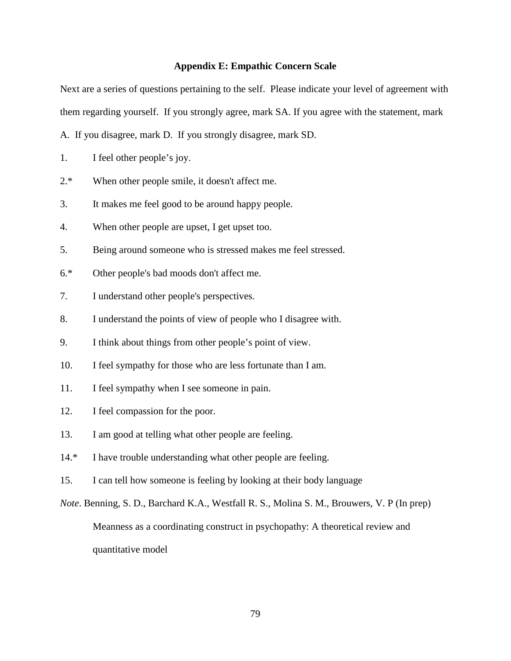### **Appendix E: Empathic Concern Scale**

Next are a series of questions pertaining to the self. Please indicate your level of agreement with them regarding yourself. If you strongly agree, mark SA. If you agree with the statement, mark

A. If you disagree, mark D. If you strongly disagree, mark SD.

- 1. I feel other people's joy.
- 2.\* When other people smile, it doesn't affect me.
- 3. It makes me feel good to be around happy people.
- 4. When other people are upset, I get upset too.
- 5. Being around someone who is stressed makes me feel stressed.
- 6.\* Other people's bad moods don't affect me.
- 7. I understand other people's perspectives.
- 8. I understand the points of view of people who I disagree with.
- 9. I think about things from other people's point of view.
- 10. I feel sympathy for those who are less fortunate than I am.
- 11. I feel sympathy when I see someone in pain.
- 12. I feel compassion for the poor.
- 13. I am good at telling what other people are feeling.
- 14.\* I have trouble understanding what other people are feeling.
- 15. I can tell how someone is feeling by looking at their body language
- *Note*. Benning, S. D., Barchard K.A., Westfall R. S., Molina S. M., Brouwers, V. P (In prep) Meanness as a coordinating construct in psychopathy: A theoretical review and quantitative model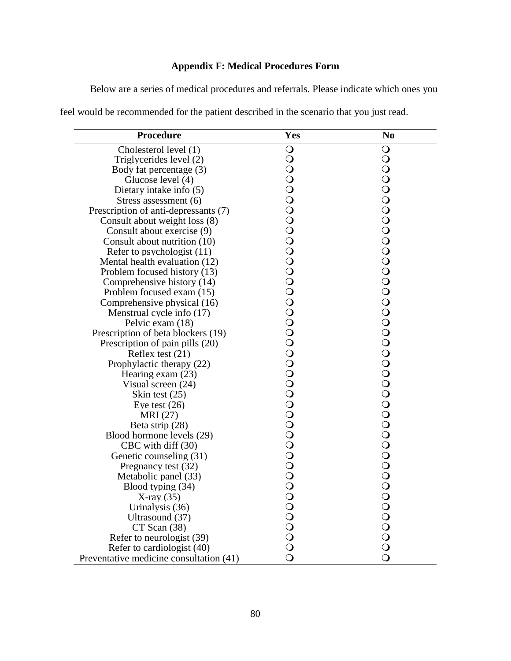# **Appendix F: Medical Procedures Form**

Below are a series of medical procedures and referrals. Please indicate which ones you

|  |  | feel would be recommended for the patient described in the scenario that you just read. |  |
|--|--|-----------------------------------------------------------------------------------------|--|
|--|--|-----------------------------------------------------------------------------------------|--|

| <b>Procedure</b>                        | Yes                | N <sub>o</sub> |
|-----------------------------------------|--------------------|----------------|
| Cholesterol level (1)                   | $\bigcirc$         | $\bigcirc$     |
| Triglycerides level (2)                 | $\bigcirc$         | $\bigcirc$     |
| Body fat percentage (3)                 | $\bigcirc$         |                |
| Glucose level (4)                       | $\overline{O}$     |                |
| Dietary intake info (5)                 | $\overline{O}$     |                |
| Stress assessment (6)                   | $\overline{O}$     |                |
| Prescription of anti-depressants (7)    | $\bar{\circ}$      |                |
| Consult about weight loss (8)           | $\bigcirc$         |                |
| Consult about exercise (9)              | $\overline{O}$     |                |
| Consult about nutrition (10)            | $\overline{O}$     |                |
| Refer to psychologist $(11)$            | $\overline{O}$     |                |
| Mental health evaluation (12)           |                    |                |
| Problem focused history (13)            |                    |                |
| Comprehensive history (14)              | $\overline{O}$     |                |
| Problem focused exam (15)               |                    |                |
| Comprehensive physical (16)             | $\rm\check{O}$     |                |
| Menstrual cycle info (17)               | $\overline{O}$     |                |
| Pelvic exam (18)                        | $\overline{O}$     |                |
| Prescription of beta blockers (19)      | $\overline{O}$     |                |
| Prescription of pain pills (20)         |                    |                |
| Reflex test $(21)$                      | OOOOOO             |                |
| Prophylactic therapy (22)               |                    |                |
| Hearing exam $(23)$                     |                    |                |
| Visual screen (24)                      |                    |                |
| Skin test $(25)$                        |                    |                |
| Eye test $(26)$                         | $\bar{\mathbf{o}}$ |                |
| MRI (27)                                |                    |                |
| Beta strip (28)                         |                    |                |
| Blood hormone levels (29)               |                    |                |
| CBC with diff (30)                      |                    |                |
| Genetic counseling (31)                 | 0000000            |                |
| Pregnancy test (32)                     |                    |                |
| Metabolic panel (33)                    |                    |                |
| Blood typing (34)                       |                    |                |
| $X-ray(35)$                             |                    |                |
| Urinalysis (36)                         |                    |                |
| Ultrasound (37)                         |                    |                |
| $CT$ Scan $(38)$                        | OOOOOO             |                |
| Refer to neurologist (39)               |                    |                |
| Refer to cardiologist (40)              |                    |                |
| Preventative medicine consultation (41) | $\overline{O}$     |                |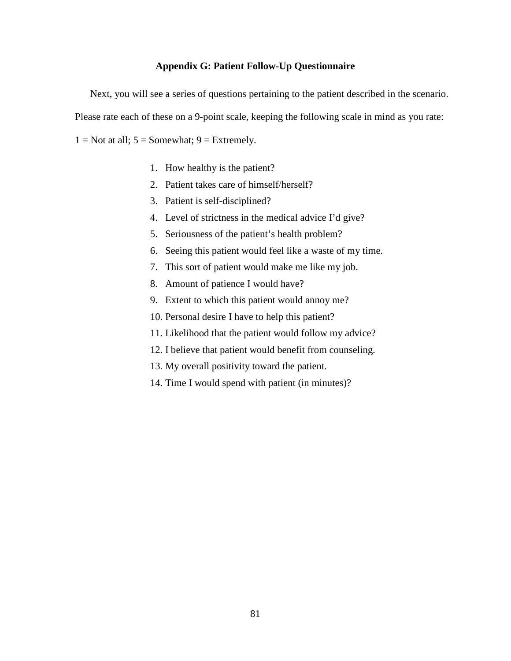### **Appendix G: Patient Follow-Up Questionnaire**

Next, you will see a series of questions pertaining to the patient described in the scenario. Please rate each of these on a 9-point scale, keeping the following scale in mind as you rate:  $1 = Not$  at all;  $5 = Somewhat$ ;  $9 = Extremely$ .

- 1. How healthy is the patient?
- 2. Patient takes care of himself/herself?
- 3. Patient is self-disciplined?
- 4. Level of strictness in the medical advice I'd give?
- 5. Seriousness of the patient's health problem?
- 6. Seeing this patient would feel like a waste of my time.
- 7. This sort of patient would make me like my job.
- 8. Amount of patience I would have?
- 9. Extent to which this patient would annoy me?
- 10. Personal desire I have to help this patient?
- 11. Likelihood that the patient would follow my advice?
- 12. I believe that patient would benefit from counseling.
- 13. My overall positivity toward the patient.
- 14. Time I would spend with patient (in minutes)?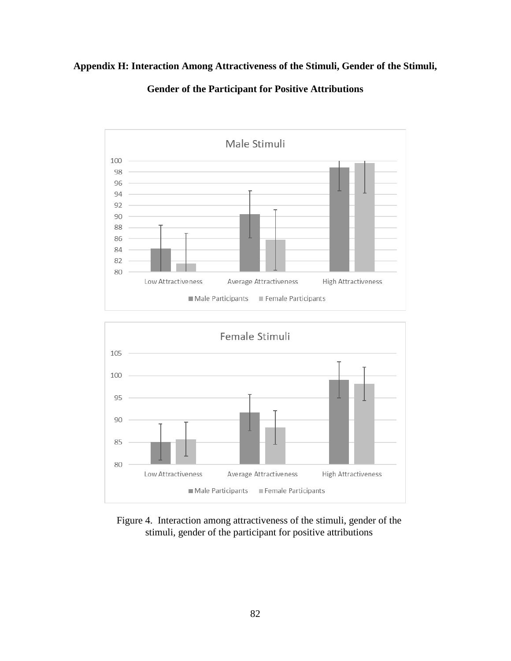# **Appendix H: Interaction Among Attractiveness of the Stimuli, Gender of the Stimuli,**



**Gender of the Participant for Positive Attributions**



Figure 4. Interaction among attractiveness of the stimuli, gender of the stimuli, gender of the participant for positive attributions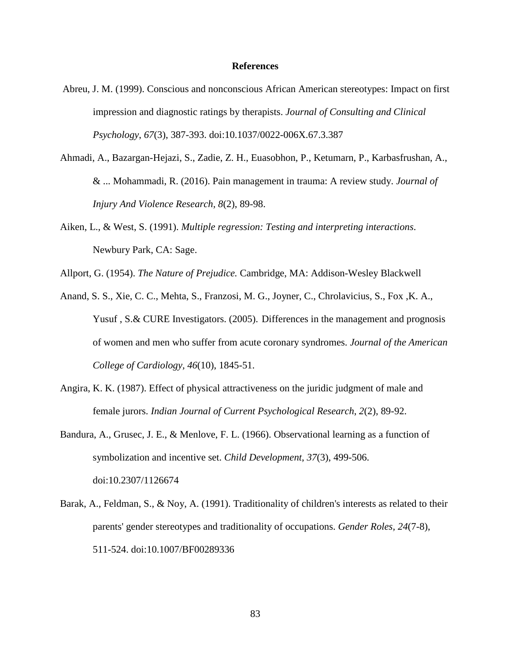### **References**

- Abreu, J. M. (1999). Conscious and nonconscious African American stereotypes: Impact on first impression and diagnostic ratings by therapists. *Journal of Consulting and Clinical Psychology*, *67*(3), 387-393. doi:10.1037/0022-006X.67.3.387
- Ahmadi, A., Bazargan-Hejazi, S., Zadie, Z. H., Euasobhon, P., Ketumarn, P., Karbasfrushan, A., & ... Mohammadi, R. (2016). Pain management in trauma: A review study. *Journal of Injury And Violence Research, 8*(2), 89-98.
- Aiken, L., & West, S. (1991). *Multiple regression: Testing and interpreting interactions*. Newbury Park, CA: Sage.
- Allport, G. (1954). *The Nature of Prejudice.* Cambridge, MA: Addison-Wesley Blackwell
- Anand, S. S., Xie, C. C., Mehta, S., Franzosi, M. G., Joyner, C., Chrolavicius, S., Fox ,K. A., Yusuf , S.& CURE Investigators. (2005). Differences in the management and prognosis of women and men who suffer from acute coronary syndromes. *Journal of the American College of Cardiology, 46*(10), 1845-51.
- Angira, K. K. (1987). Effect of physical attractiveness on the juridic judgment of male and female jurors. *Indian Journal of Current Psychological Research*, *2*(2), 89-92.
- Bandura, A., Grusec, J. E., & Menlove, F. L. (1966). Observational learning as a function of symbolization and incentive set. *Child Development*, *37*(3), 499-506. doi:10.2307/1126674
- Barak, A., Feldman, S., & Noy, A. (1991). Traditionality of children's interests as related to their parents' gender stereotypes and traditionality of occupations. *Gender Roles, 24*(7-8), 511-524. doi:10.1007/BF00289336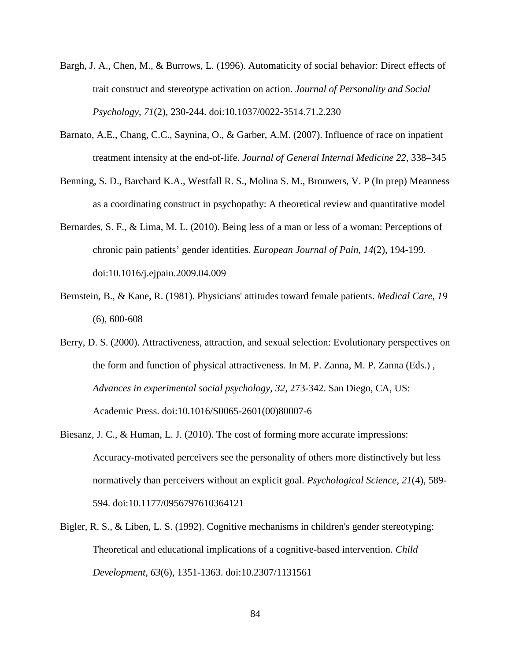- Bargh, J. A., Chen, M., & Burrows, L. (1996). Automaticity of social behavior: Direct effects of trait construct and stereotype activation on action. *Journal of Personality and Social Psychology*, *71*(2), 230-244. doi:10.1037/0022-3514.71.2.230
- Barnato, A.E., Chang, C.C., Saynina, O., & Garber, A.M. (2007). Influence of race on inpatient treatment intensity at the end-of-life. *Journal of General Internal Medicine 22,* 338–345
- Benning, S. D., Barchard K.A., Westfall R. S., Molina S. M., Brouwers, V. P (In prep) Meanness as a coordinating construct in psychopathy: A theoretical review and quantitative model
- Bernardes, S. F., & Lima, M. L. (2010). Being less of a man or less of a woman: Perceptions of chronic pain patients' gender identities. *European Journal of Pain*, *14*(2), 194-199. doi:10.1016/j.ejpain.2009.04.009
- Bernstein, B., & Kane, R. (1981). Physicians' attitudes toward female patients. *Medical Care, 19* (6), 600-608
- Berry, D. S. (2000). Attractiveness, attraction, and sexual selection: Evolutionary perspectives on the form and function of physical attractiveness. In M. P. Zanna, M. P. Zanna (Eds.) , *Advances in experimental social psychology, 32*, 273-342. San Diego, CA, US: Academic Press. doi:10.1016/S0065-2601(00)80007-6
- Biesanz, J. C., & Human, L. J. (2010). The cost of forming more accurate impressions: Accuracy-motivated perceivers see the personality of others more distinctively but less normatively than perceivers without an explicit goal. *Psychological Science*, *21*(4), 589- 594. doi:10.1177/0956797610364121
- Bigler, R. S., & Liben, L. S. (1992). Cognitive mechanisms in children's gender stereotyping: Theoretical and educational implications of a cognitive-based intervention. *Child Development*, *63*(6), 1351-1363. doi:10.2307/1131561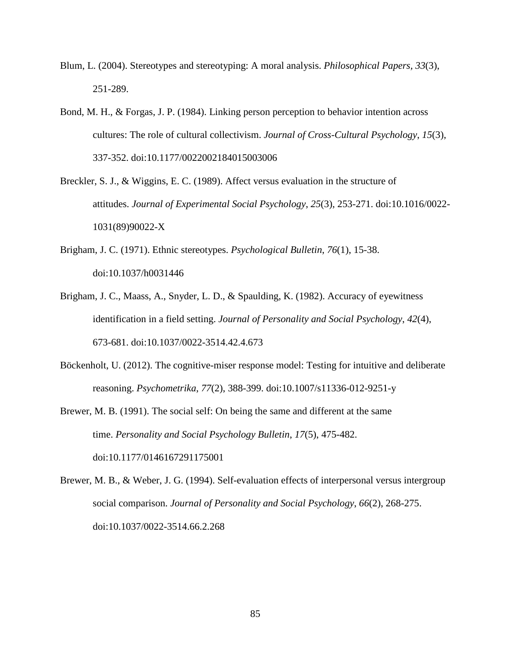- Blum, L. (2004). Stereotypes and stereotyping: A moral analysis. *Philosophical Papers, 33*(3), 251-289.
- Bond, M. H., & Forgas, J. P. (1984). Linking person perception to behavior intention across cultures: The role of cultural collectivism. *Journal of Cross-Cultural Psychology*, *15*(3), 337-352. doi:10.1177/0022002184015003006
- Breckler, S. J., & Wiggins, E. C. (1989). Affect versus evaluation in the structure of attitudes. *Journal of Experimental Social Psychology*, *25*(3), 253-271. doi:10.1016/0022- 1031(89)90022-X
- Brigham, J. C. (1971). Ethnic stereotypes. *Psychological Bulletin*, *76*(1), 15-38. doi:10.1037/h0031446
- Brigham, J. C., Maass, A., Snyder, L. D., & Spaulding, K. (1982). Accuracy of eyewitness identification in a field setting. *Journal of Personality and Social Psychology*, *42*(4), 673-681. doi:10.1037/0022-3514.42.4.673
- Böckenholt, U. (2012). The cognitive-miser response model: Testing for intuitive and deliberate reasoning. *Psychometrika*, *77*(2), 388-399. doi:10.1007/s11336-012-9251-y
- Brewer, M. B. (1991). The social self: On being the same and different at the same time. *Personality and Social Psychology Bulletin*, *17*(5), 475-482. doi:10.1177/0146167291175001
- Brewer, M. B., & Weber, J. G. (1994). Self-evaluation effects of interpersonal versus intergroup social comparison. *Journal of Personality and Social Psychology*, *66*(2), 268-275. doi:10.1037/0022-3514.66.2.268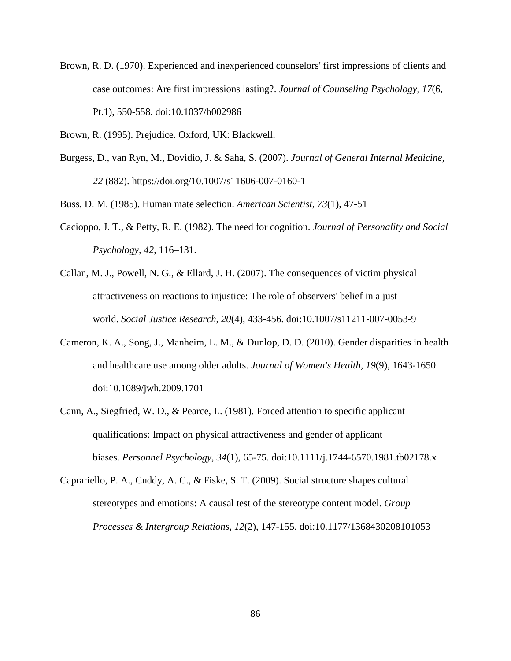- Brown, R. D. (1970). Experienced and inexperienced counselors' first impressions of clients and case outcomes: Are first impressions lasting?. *Journal of Counseling Psychology*, *17*(6, Pt.1), 550-558. doi:10.1037/h002986
- Brown, R. (1995). Prejudice. Oxford, UK: Blackwell.
- Burgess, D., van Ryn, M., Dovidio, J. & Saha, S. (2007). *Journal of General Internal Medicine, 22* (882). https://doi.org/10.1007/s11606-007-0160-1

Buss, D. M. (1985). Human mate selection. *American Scientist*, *73*(1), 47-51

- Cacioppo, J. T., & Petty, R. E. (1982). The need for cognition. *Journal of Personality and Social Psychology, 42*, 116–131.
- Callan, M. J., Powell, N. G., & Ellard, J. H. (2007). The consequences of victim physical attractiveness on reactions to injustice: The role of observers' belief in a just world. *Social Justice Research*, *20*(4), 433-456. doi:10.1007/s11211-007-0053-9
- Cameron, K. A., Song, J., Manheim, L. M., & Dunlop, D. D. (2010). Gender disparities in health and healthcare use among older adults. *Journal of Women's Health, 19*(9), 1643-1650. doi:10.1089/jwh.2009.1701
- Cann, A., Siegfried, W. D., & Pearce, L. (1981). Forced attention to specific applicant qualifications: Impact on physical attractiveness and gender of applicant biases. *Personnel Psychology*, *34*(1), 65-75. doi:10.1111/j.1744-6570.1981.tb02178.x
- Caprariello, P. A., Cuddy, A. C., & Fiske, S. T. (2009). Social structure shapes cultural stereotypes and emotions: A causal test of the stereotype content model. *Group Processes & Intergroup Relations*, *12*(2), 147-155. doi:10.1177/1368430208101053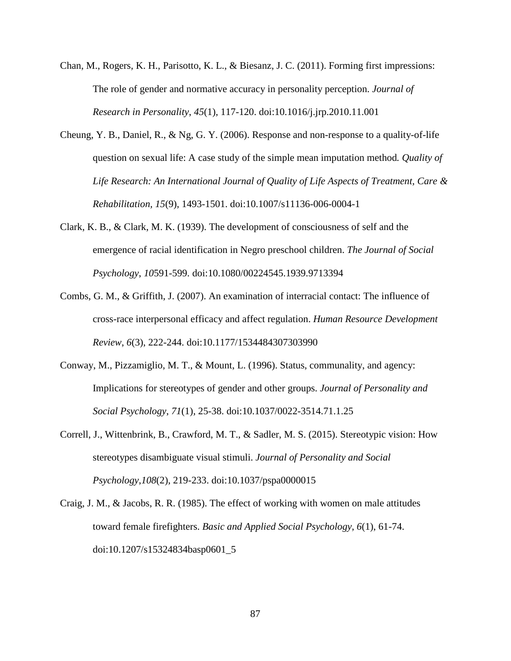- Chan, M., Rogers, K. H., Parisotto, K. L., & Biesanz, J. C. (2011). Forming first impressions: The role of gender and normative accuracy in personality perception. *Journal of Research in Personality*, *45*(1), 117-120. doi:10.1016/j.jrp.2010.11.001
- Cheung, Y. B., Daniel, R., & Ng, G. Y. (2006). Response and non-response to a quality-of-life question on sexual life: A case study of the simple mean imputation method*. Quality of Life Research: An International Journal of Quality of Life Aspects of Treatment, Care & Rehabilitation, 15*(9), 1493-1501. doi:10.1007/s11136-006-0004-1
- Clark, K. B., & Clark, M. K. (1939). The development of consciousness of self and the emergence of racial identification in Negro preschool children. *The Journal of Social Psychology*, *10*591-599. doi:10.1080/00224545.1939.9713394
- Combs, G. M., & Griffith, J. (2007). An examination of interracial contact: The influence of cross-race interpersonal efficacy and affect regulation. *Human Resource Development Review*, *6*(3), 222-244. doi:10.1177/1534484307303990
- Conway, M., Pizzamiglio, M. T., & Mount, L. (1996). Status, communality, and agency: Implications for stereotypes of gender and other groups. *Journal of Personality and Social Psychology*, *71*(1), 25-38. doi:10.1037/0022-3514.71.1.25
- Correll, J., Wittenbrink, B., Crawford, M. T., & Sadler, M. S. (2015). Stereotypic vision: How stereotypes disambiguate visual stimuli. *Journal of Personality and Social Psychology*,*108*(2), 219-233. doi:10.1037/pspa0000015
- Craig, J. M., & Jacobs, R. R. (1985). The effect of working with women on male attitudes toward female firefighters. *Basic and Applied Social Psychology*, *6*(1), 61-74. doi:10.1207/s15324834basp0601\_5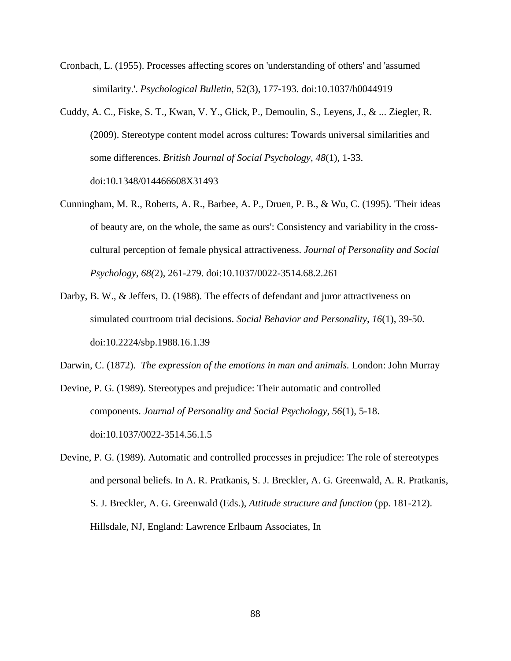- Cronbach, L. (1955). Processes affecting scores on 'understanding of others' and 'assumed similarity.'. *Psychological Bulletin*, 52(3), 177-193. doi:10.1037/h0044919
- Cuddy, A. C., Fiske, S. T., Kwan, V. Y., Glick, P., Demoulin, S., Leyens, J., & ... Ziegler, R. (2009). Stereotype content model across cultures: Towards universal similarities and some differences. *British Journal of Social Psychology*, *48*(1), 1-33. doi:10.1348/014466608X31493
- Cunningham, M. R., Roberts, A. R., Barbee, A. P., Druen, P. B., & Wu, C. (1995). 'Their ideas of beauty are, on the whole, the same as ours': Consistency and variability in the crosscultural perception of female physical attractiveness. *Journal of Personality and Social Psychology, 68(*2), 261-279. doi:10.1037/0022-3514.68.2.261
- Darby, B. W., & Jeffers, D. (1988). The effects of defendant and juror attractiveness on simulated courtroom trial decisions. *Social Behavior and Personality*, *16*(1), 39-50. doi:10.2224/sbp.1988.16.1.39

Darwin, C. (1872). *The expression of the emotions in man and animals.* London: John Murray

Devine, P. G. (1989). Stereotypes and prejudice: Their automatic and controlled components. *Journal of Personality and Social Psychology*, *56*(1), 5-18. doi:10.1037/0022-3514.56.1.5

Devine, P. G. (1989). Automatic and controlled processes in prejudice: The role of stereotypes and personal beliefs. In A. R. Pratkanis, S. J. Breckler, A. G. Greenwald, A. R. Pratkanis, S. J. Breckler, A. G. Greenwald (Eds.), *Attitude structure and function* (pp. 181-212). Hillsdale, NJ, England: Lawrence Erlbaum Associates, In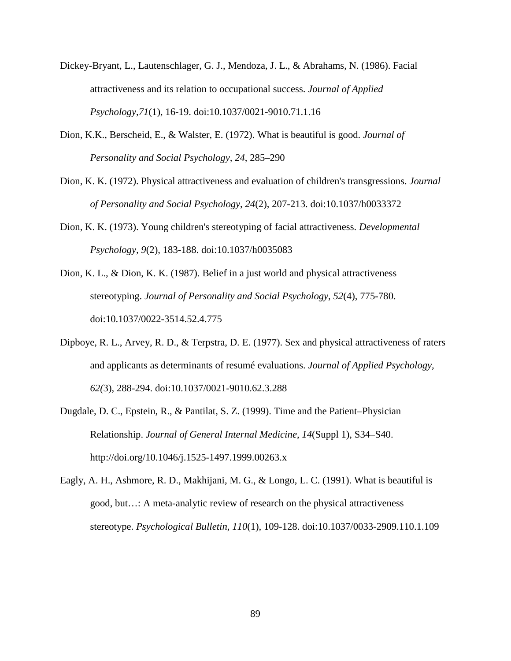- Dickey-Bryant, L., Lautenschlager, G. J., Mendoza, J. L., & Abrahams, N. (1986). Facial attractiveness and its relation to occupational success. *Journal of Applied Psychology*,*71*(1), 16-19. doi:10.1037/0021-9010.71.1.16
- Dion, K.K., Berscheid, E., & Walster, E. (1972). What is beautiful is good. *Journal of Personality and Social Psychology, 24*, 285–290
- Dion, K. K. (1972). Physical attractiveness and evaluation of children's transgressions. *Journal of Personality and Social Psychology*, *24*(2), 207-213. doi:10.1037/h0033372
- Dion, K. K. (1973). Young children's stereotyping of facial attractiveness. *Developmental Psychology, 9*(2), 183-188. doi:10.1037/h0035083
- Dion, K. L., & Dion, K. K. (1987). Belief in a just world and physical attractiveness stereotyping. *Journal of Personality and Social Psychology*, *52*(4), 775-780. doi:10.1037/0022-3514.52.4.775
- Dipboye, R. L., Arvey, R. D., & Terpstra, D. E. (1977). Sex and physical attractiveness of raters and applicants as determinants of resumé evaluations. *Journal of Applied Psychology, 62(*3), 288-294. doi:10.1037/0021-9010.62.3.288
- Dugdale, D. C., Epstein, R., & Pantilat, S. Z. (1999). Time and the Patient–Physician Relationship. *Journal of General Internal Medicine*, *14*(Suppl 1), S34–S40. http://doi.org/10.1046/j.1525-1497.1999.00263.x
- Eagly, A. H., Ashmore, R. D., Makhijani, M. G., & Longo, L. C. (1991). What is beautiful is good, but…: A meta-analytic review of research on the physical attractiveness stereotype. *Psychological Bulletin*, *110*(1), 109-128. doi:10.1037/0033-2909.110.1.109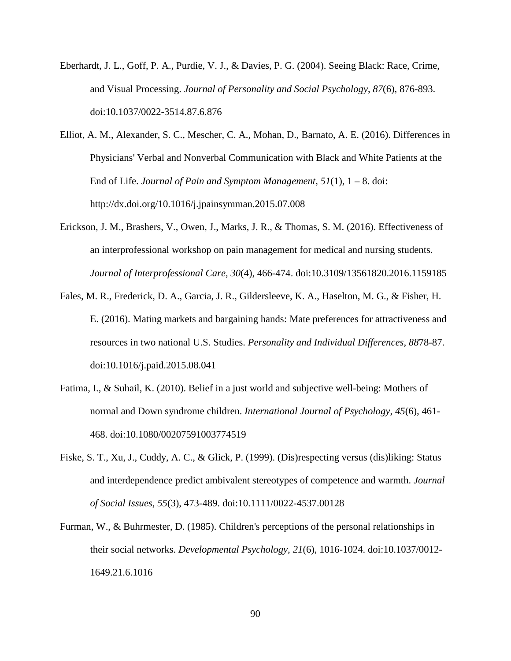- Eberhardt, J. L., Goff, P. A., Purdie, V. J., & Davies, P. G. (2004). Seeing Black: Race, Crime, and Visual Processing. *Journal of Personality and Social Psychology*, *87*(6), 876-893. doi:10.1037/0022-3514.87.6.876
- Elliot, A. M., Alexander, S. C., Mescher, C. A., Mohan, D., Barnato, A. E. (2016). Differences in Physicians' Verbal and Nonverbal Communication with Black and White Patients at the End of Life. *Journal of Pain and Symptom Management, 51*(1), 1 – 8. doi: http://dx.doi.org/10.1016/j.jpainsymman.2015.07.008
- Erickson, J. M., Brashers, V., Owen, J., Marks, J. R., & Thomas, S. M. (2016). Effectiveness of an interprofessional workshop on pain management for medical and nursing students. *Journal of Interprofessional Care, 30*(4), 466-474. doi:10.3109/13561820.2016.1159185
- Fales, M. R., Frederick, D. A., Garcia, J. R., Gildersleeve, K. A., Haselton, M. G., & Fisher, H. E. (2016). Mating markets and bargaining hands: Mate preferences for attractiveness and resources in two national U.S. Studies. *Personality and Individual Differences*, *88*78-87. doi:10.1016/j.paid.2015.08.041
- Fatima, I., & Suhail, K. (2010). Belief in a just world and subjective well-being: Mothers of normal and Down syndrome children. *International Journal of Psychology*, *45*(6), 461- 468. doi:10.1080/00207591003774519
- Fiske, S. T., Xu, J., Cuddy, A. C., & Glick, P. (1999). (Dis)respecting versus (dis)liking: Status and interdependence predict ambivalent stereotypes of competence and warmth. *Journal of Social Issues*, *55*(3), 473-489. doi:10.1111/0022-4537.00128
- Furman, W., & Buhrmester, D. (1985). Children's perceptions of the personal relationships in their social networks. *Developmental Psychology, 21*(6), 1016-1024. doi:10.1037/0012- 1649.21.6.1016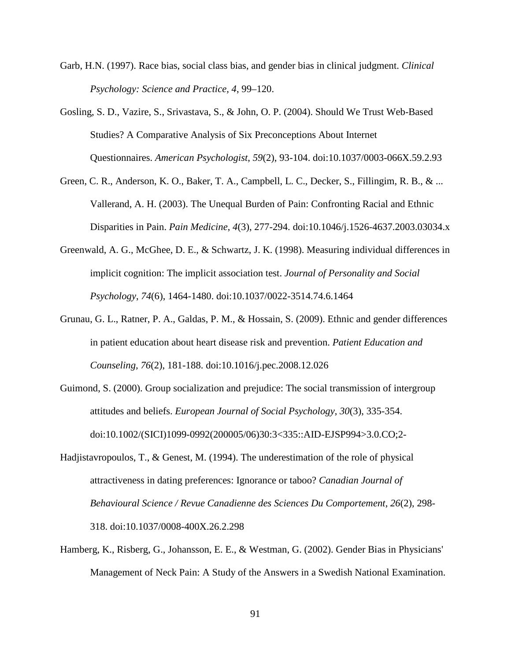- Garb, H.N. (1997). Race bias, social class bias, and gender bias in clinical judgment. *Clinical Psychology: Science and Practice, 4*, 99–120.
- Gosling, S. D., Vazire, S., Srivastava, S., & John, O. P. (2004). Should We Trust Web-Based Studies? A Comparative Analysis of Six Preconceptions About Internet Questionnaires. *American Psychologist*, *59*(2), 93-104. doi:10.1037/0003-066X.59.2.93
- Green, C. R., Anderson, K. O., Baker, T. A., Campbell, L. C., Decker, S., Fillingim, R. B., & ... Vallerand, A. H. (2003). The Unequal Burden of Pain: Confronting Racial and Ethnic Disparities in Pain. *Pain Medicine*, *4*(3), 277-294. doi:10.1046/j.1526-4637.2003.03034.x
- Greenwald, A. G., McGhee, D. E., & Schwartz, J. K. (1998). Measuring individual differences in implicit cognition: The implicit association test. *Journal of Personality and Social Psychology*, *74*(6), 1464-1480. doi:10.1037/0022-3514.74.6.1464
- Grunau, G. L., Ratner, P. A., Galdas, P. M., & Hossain, S. (2009). Ethnic and gender differences in patient education about heart disease risk and prevention. *Patient Education and Counseling, 76*(2), 181-188. doi:10.1016/j.pec.2008.12.026
- Guimond, S. (2000). Group socialization and prejudice: The social transmission of intergroup attitudes and beliefs. *European Journal of Social Psychology*, *30*(3), 335-354. doi:10.1002/(SICI)1099-0992(200005/06)30:3<335::AID-EJSP994>3.0.CO;2-
- Hadjistavropoulos, T., & Genest, M. (1994). The underestimation of the role of physical attractiveness in dating preferences: Ignorance or taboo? *Canadian Journal of Behavioural Science / Revue Canadienne des Sciences Du Comportement, 26*(2), 298- 318. doi:10.1037/0008-400X.26.2.298
- Hamberg, K., Risberg, G., Johansson, E. E., & Westman, G. (2002). Gender Bias in Physicians' Management of Neck Pain: A Study of the Answers in a Swedish National Examination.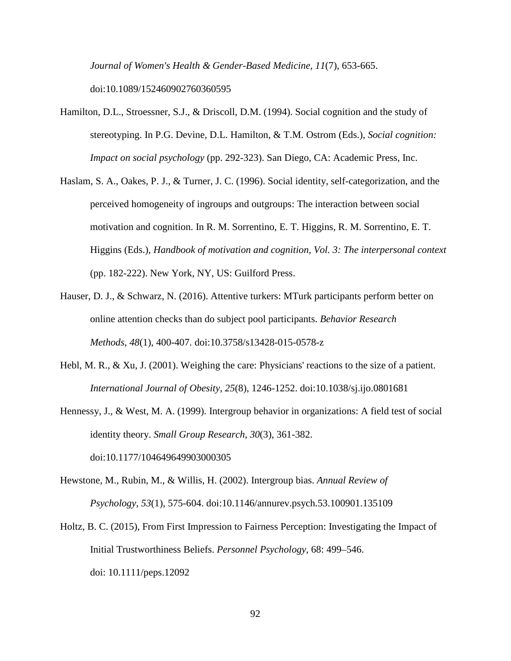*Journal of Women's Health & Gender-Based Medicine*, *11*(7), 653-665. doi:10.1089/152460902760360595

- Hamilton, D.L., Stroessner, S.J., & Driscoll, D.M. (1994). Social cognition and the study of stereotyping. In P.G. Devine, D.L. Hamilton, & T.M. Ostrom (Eds.), *Social cognition: Impact on social psychology* (pp. 292-323). San Diego, CA: Academic Press, Inc.
- Haslam, S. A., Oakes, P. J., & Turner, J. C. (1996). Social identity, self-categorization, and the perceived homogeneity of ingroups and outgroups: The interaction between social motivation and cognition. In R. M. Sorrentino, E. T. Higgins, R. M. Sorrentino, E. T. Higgins (Eds.), *Handbook of motivation and cognition, Vol. 3: The interpersonal context* (pp. 182-222). New York, NY, US: Guilford Press.
- Hauser, D. J., & Schwarz, N. (2016). Attentive turkers: MTurk participants perform better on online attention checks than do subject pool participants. *Behavior Research Methods*, *48*(1), 400-407. doi:10.3758/s13428-015-0578-z
- Hebl, M. R., & Xu, J. (2001). Weighing the care: Physicians' reactions to the size of a patient. *International Journal of Obesity*, *25*(8), 1246-1252. doi:10.1038/sj.ijo.0801681
- Hennessy, J., & West, M. A. (1999). Intergroup behavior in organizations: A field test of social identity theory. *Small Group Research*, *30*(3), 361-382.

doi:10.1177/104649649903000305

- Hewstone, M., Rubin, M., & Willis, H. (2002). Intergroup bias. *Annual Review of Psychology*, *53*(1), 575-604. doi:10.1146/annurev.psych.53.100901.135109
- Holtz, B. C. (2015), From First Impression to Fairness Perception: Investigating the Impact of Initial Trustworthiness Beliefs. *Personnel Psychology,* 68: 499–546. doi: 10.1111/peps.12092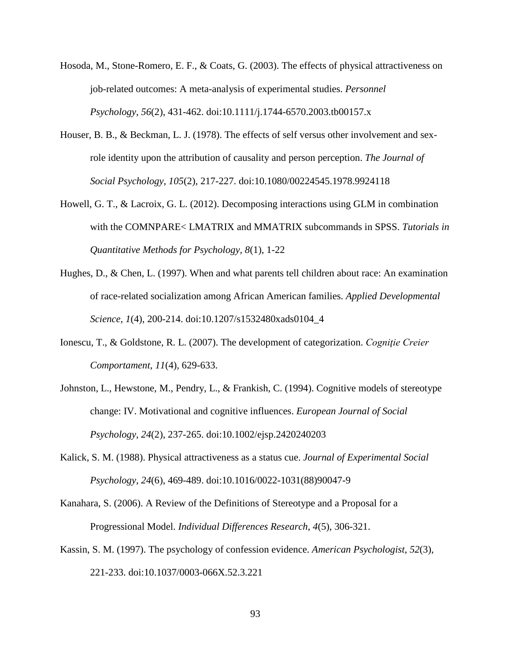- Hosoda, M., Stone-Romero, E. F., & Coats, G. (2003). The effects of physical attractiveness on job-related outcomes: A meta-analysis of experimental studies. *Personnel Psychology*, *56*(2), 431-462. doi:10.1111/j.1744-6570.2003.tb00157.x
- Houser, B. B., & Beckman, L. J. (1978). The effects of self versus other involvement and sexrole identity upon the attribution of causality and person perception. *The Journal of Social Psychology*, *105*(2), 217-227. doi:10.1080/00224545.1978.9924118
- Howell, G. T., & Lacroix, G. L. (2012). Decomposing interactions using GLM in combination with the COMNPARE< LMATRIX and MMATRIX subcommands in SPSS. *Tutorials in Quantitative Methods for Psychology, 8*(1), 1-22
- Hughes, D., & Chen, L. (1997). When and what parents tell children about race: An examination of race-related socialization among African American families. *Applied Developmental Science*, *1*(4), 200-214. doi:10.1207/s1532480xads0104\_4
- Ionescu, T., & Goldstone, R. L. (2007). The development of categorization. *Cogniţie Creier Comportament*, *11*(4), 629-633.
- Johnston, L., Hewstone, M., Pendry, L., & Frankish, C. (1994). Cognitive models of stereotype change: IV. Motivational and cognitive influences. *European Journal of Social Psychology*, *24*(2), 237-265. doi:10.1002/ejsp.2420240203
- Kalick, S. M. (1988). Physical attractiveness as a status cue. *Journal of Experimental Social Psychology*, *24*(6), 469-489. doi:10.1016/0022-1031(88)90047-9
- Kanahara, S. (2006). A Review of the Definitions of Stereotype and a Proposal for a Progressional Model. *Individual Differences Research*, *4*(5), 306-321.
- Kassin, S. M. (1997). The psychology of confession evidence. *American Psychologist*, *52*(3), 221-233. doi:10.1037/0003-066X.52.3.221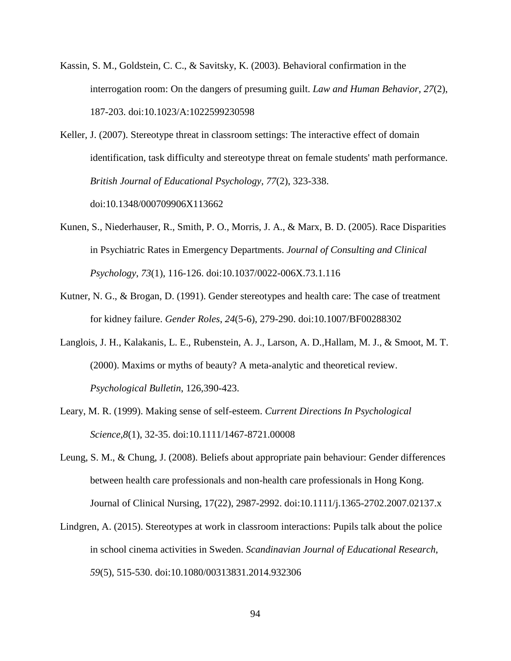- Kassin, S. M., Goldstein, C. C., & Savitsky, K. (2003). Behavioral confirmation in the interrogation room: On the dangers of presuming guilt. *Law and Human Behavior*, *27*(2), 187-203. doi:10.1023/A:1022599230598
- Keller, J. (2007). Stereotype threat in classroom settings: The interactive effect of domain identification, task difficulty and stereotype threat on female students' math performance. *British Journal of Educational Psychology, 77*(2), 323-338. doi:10.1348/000709906X113662
- Kunen, S., Niederhauser, R., Smith, P. O., Morris, J. A., & Marx, B. D. (2005). Race Disparities in Psychiatric Rates in Emergency Departments. *Journal of Consulting and Clinical Psychology*, *73*(1), 116-126. doi:10.1037/0022-006X.73.1.116
- Kutner, N. G., & Brogan, D. (1991). Gender stereotypes and health care: The case of treatment for kidney failure. *Gender Roles*, *24*(5-6), 279-290. doi:10.1007/BF00288302
- Langlois, J. H., Kalakanis, L. E., Rubenstein, A. J., Larson, A. D.,Hallam, M. J., & Smoot, M. T. (2000). Maxims or myths of beauty? A meta-analytic and theoretical review. *Psychological Bulletin*, 126,390-423.
- Leary, M. R. (1999). Making sense of self-esteem. *Current Directions In Psychological Science*,*8*(1), 32-35. doi:10.1111/1467-8721.00008
- Leung, S. M., & Chung, J. (2008). Beliefs about appropriate pain behaviour: Gender differences between health care professionals and non-health care professionals in Hong Kong. Journal of Clinical Nursing, 17(22), 2987-2992. doi:10.1111/j.1365-2702.2007.02137.x
- Lindgren, A. (2015). Stereotypes at work in classroom interactions: Pupils talk about the police in school cinema activities in Sweden. *Scandinavian Journal of Educational Research*, *59*(5), 515-530. doi:10.1080/00313831.2014.932306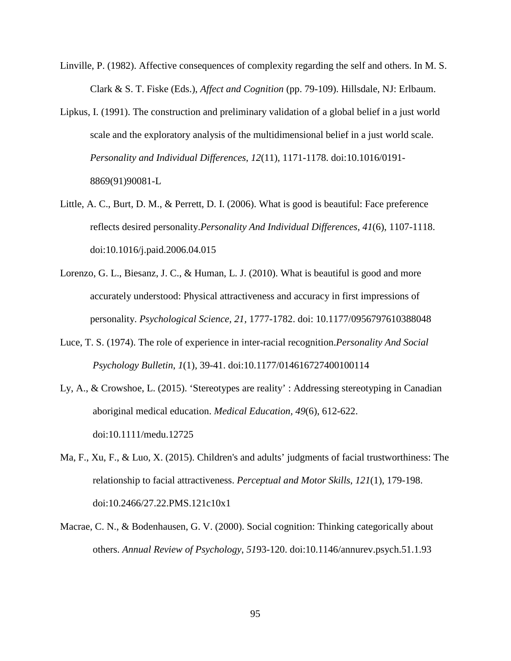- Linville, P. (1982). Affective consequences of complexity regarding the self and others. In M. S. Clark & S. T. Fiske (Eds.), *Affect and Cognition* (pp. 79-109). Hillsdale, NJ: Erlbaum.
- Lipkus, I. (1991). The construction and preliminary validation of a global belief in a just world scale and the exploratory analysis of the multidimensional belief in a just world scale. *Personality and Individual Differences*, *12*(11), 1171-1178. doi:10.1016/0191- 8869(91)90081-L
- Little, A. C., Burt, D. M., & Perrett, D. I. (2006). What is good is beautiful: Face preference reflects desired personality.*Personality And Individual Differences*, *41*(6), 1107-1118. doi:10.1016/j.paid.2006.04.015
- Lorenzo, G. L., Biesanz, J. C., & Human, L. J. (2010). What is beautiful is good and more accurately understood: Physical attractiveness and accuracy in first impressions of personality. *Psychological Science, 21,* 1777-1782. doi: 10.1177/0956797610388048
- Luce, T. S. (1974). The role of experience in inter-racial recognition.*Personality And Social Psychology Bulletin*, *1*(1), 39-41. doi:10.1177/014616727400100114
- Ly, A., & Crowshoe, L. (2015). 'Stereotypes are reality' : Addressing stereotyping in Canadian aboriginal medical education. *Medical Education, 49*(6), 612-622. doi:10.1111/medu.12725
- Ma, F., Xu, F., & Luo, X. (2015). Children's and adults' judgments of facial trustworthiness: The relationship to facial attractiveness. *Perceptual and Motor Skills*, *121*(1), 179-198. doi:10.2466/27.22.PMS.121c10x1
- Macrae, C. N., & Bodenhausen, G. V. (2000). Social cognition: Thinking categorically about others. *Annual Review of Psychology*, *51*93-120. doi:10.1146/annurev.psych.51.1.93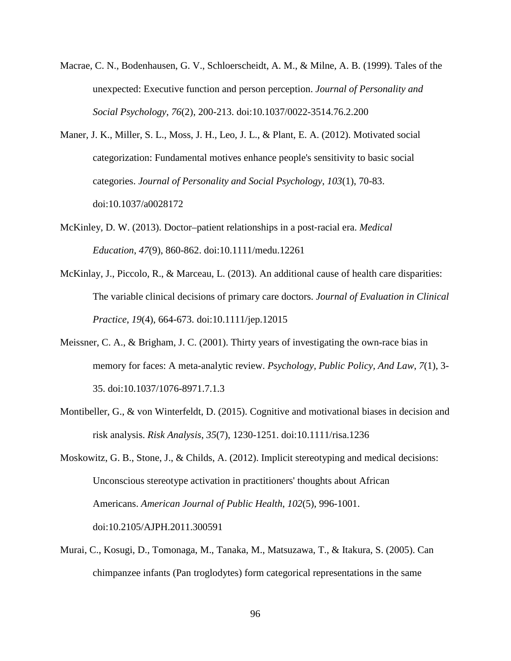- Macrae, C. N., Bodenhausen, G. V., Schloerscheidt, A. M., & Milne, A. B. (1999). Tales of the unexpected: Executive function and person perception. *Journal of Personality and Social Psychology*, *76*(2), 200-213. doi:10.1037/0022-3514.76.2.200
- Maner, J. K., Miller, S. L., Moss, J. H., Leo, J. L., & Plant, E. A. (2012). Motivated social categorization: Fundamental motives enhance people's sensitivity to basic social categories. *Journal of Personality and Social Psychology*, *103*(1), 70-83. doi:10.1037/a0028172
- McKinley, D. W. (2013). Doctor–patient relationships in a post‐racial era. *Medical Education*, *47*(9), 860-862. doi:10.1111/medu.12261
- McKinlay, J., Piccolo, R., & Marceau, L. (2013). An additional cause of health care disparities: The variable clinical decisions of primary care doctors. *Journal of Evaluation in Clinical Practice*, *19*(4), 664-673. doi:10.1111/jep.12015
- Meissner, C. A., & Brigham, J. C. (2001). Thirty years of investigating the own-race bias in memory for faces: A meta-analytic review. *Psychology, Public Policy, And Law*, *7*(1), 3- 35. doi:10.1037/1076-8971.7.1.3
- Montibeller, G., & von Winterfeldt, D. (2015). Cognitive and motivational biases in decision and risk analysis. *Risk Analysis*, *35*(7), 1230-1251. doi:10.1111/risa.1236
- Moskowitz, G. B., Stone, J., & Childs, A. (2012). Implicit stereotyping and medical decisions: Unconscious stereotype activation in practitioners' thoughts about African Americans. *American Journal of Public Health*, *102*(5), 996-1001. doi:10.2105/AJPH.2011.300591
- Murai, C., Kosugi, D., Tomonaga, M., Tanaka, M., Matsuzawa, T., & Itakura, S. (2005). Can chimpanzee infants (Pan troglodytes) form categorical representations in the same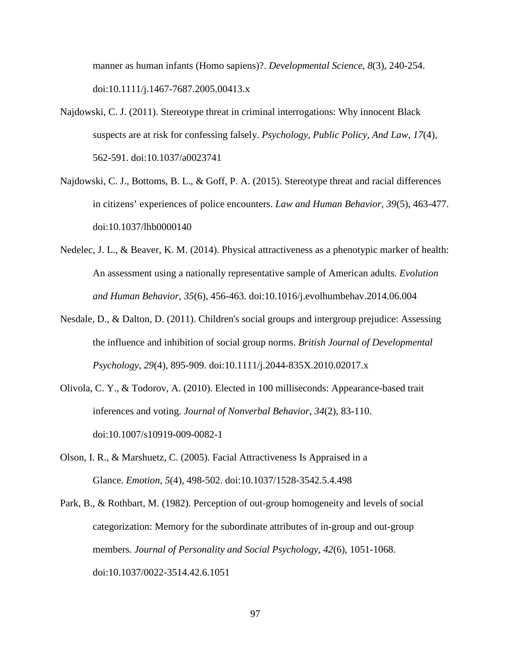manner as human infants (Homo sapiens)?. *Developmental Science*, *8*(3), 240-254. doi:10.1111/j.1467-7687.2005.00413.x

- Najdowski, C. J. (2011). Stereotype threat in criminal interrogations: Why innocent Black suspects are at risk for confessing falsely. *Psychology, Public Policy, And Law*, *17*(4), 562-591. doi:10.1037/a0023741
- Najdowski, C. J., Bottoms, B. L., & Goff, P. A. (2015). Stereotype threat and racial differences in citizens' experiences of police encounters. *Law and Human Behavior*, *39*(5), 463-477. doi:10.1037/lhb0000140
- Nedelec, J. L., & Beaver, K. M. (2014). Physical attractiveness as a phenotypic marker of health: An assessment using a nationally representative sample of American adults. *Evolution and Human Behavior, 35*(6), 456-463. doi:10.1016/j.evolhumbehav.2014.06.004
- Nesdale, D., & Dalton, D. (2011). Children's social groups and intergroup prejudice: Assessing the influence and inhibition of social group norms. *British Journal of Developmental Psychology*, *29*(4), 895-909. doi:10.1111/j.2044-835X.2010.02017.x
- Olivola, C. Y., & Todorov, A. (2010). Elected in 100 milliseconds: Appearance-based trait inferences and voting. *Journal of Nonverbal Behavior*, *34*(2), 83-110. doi:10.1007/s10919-009-0082-1
- Olson, I. R., & Marshuetz, C. (2005). Facial Attractiveness Is Appraised in a Glance. *Emotion*, *5*(4), 498-502. doi:10.1037/1528-3542.5.4.498
- Park, B., & Rothbart, M. (1982). Perception of out-group homogeneity and levels of social categorization: Memory for the subordinate attributes of in-group and out-group members. *Journal of Personality and Social Psychology*, *42*(6), 1051-1068. doi:10.1037/0022-3514.42.6.1051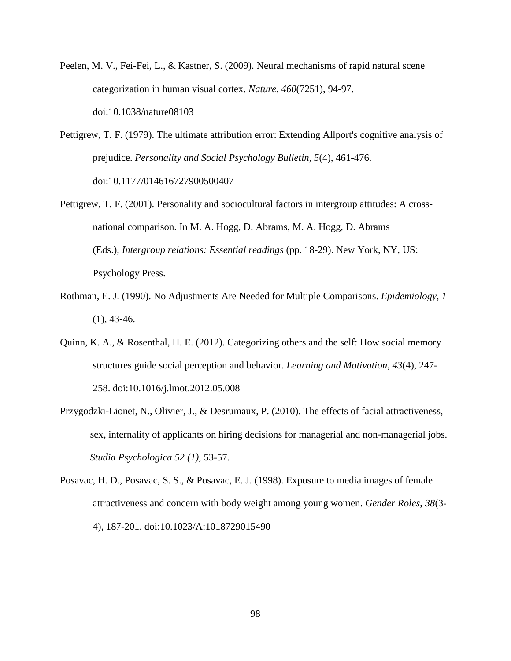- Peelen, M. V., Fei-Fei, L., & Kastner, S. (2009). Neural mechanisms of rapid natural scene categorization in human visual cortex. *Nature*, *460*(7251), 94-97. doi:10.1038/nature08103
- Pettigrew, T. F. (1979). The ultimate attribution error: Extending Allport's cognitive analysis of prejudice. *Personality and Social Psychology Bulletin*, *5*(4), 461-476. doi:10.1177/014616727900500407
- Pettigrew, T. F. (2001). Personality and sociocultural factors in intergroup attitudes: A crossnational comparison. In M. A. Hogg, D. Abrams, M. A. Hogg, D. Abrams (Eds.), *Intergroup relations: Essential readings* (pp. 18-29). New York, NY, US: Psychology Press.
- Rothman, E. J. (1990). No Adjustments Are Needed for Multiple Comparisons. *Epidemiology, 1*  $(1), 43-46.$
- Quinn, K. A., & Rosenthal, H. E. (2012). Categorizing others and the self: How social memory structures guide social perception and behavior. *Learning and Motivation*, *43*(4), 247- 258. doi:10.1016/j.lmot.2012.05.008
- Przygodzki-Lionet, N., Olivier, J., & Desrumaux, P. (2010). The effects of facial attractiveness, sex, internality of applicants on hiring decisions for managerial and non-managerial jobs. *Studia Psychologica 52 (1),* 53-57.
- Posavac, H. D., Posavac, S. S., & Posavac, E. J. (1998). Exposure to media images of female attractiveness and concern with body weight among young women. *Gender Roles*, *38*(3- 4), 187-201. doi:10.1023/A:1018729015490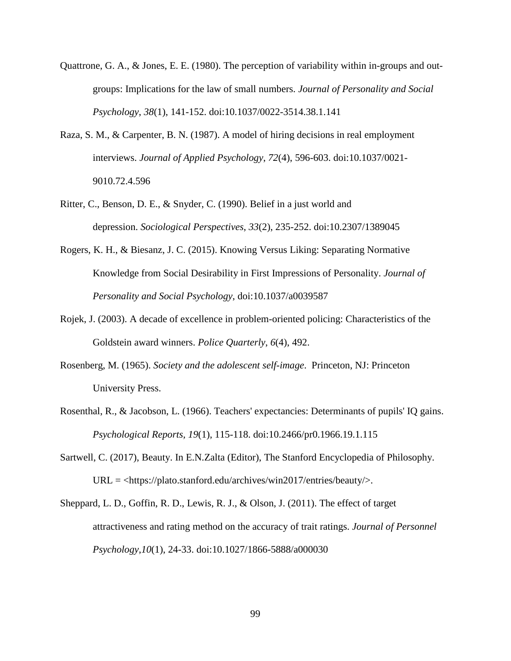- Quattrone, G. A., & Jones, E. E. (1980). The perception of variability within in-groups and outgroups: Implications for the law of small numbers. *Journal of Personality and Social Psychology*, *38*(1), 141-152. doi:10.1037/0022-3514.38.1.141
- Raza, S. M., & Carpenter, B. N. (1987). A model of hiring decisions in real employment interviews. *Journal of Applied Psychology*, *72*(4), 596-603. doi:10.1037/0021- 9010.72.4.596
- Ritter, C., Benson, D. E., & Snyder, C. (1990). Belief in a just world and depression. *Sociological Perspectives*, *33*(2), 235-252. doi:10.2307/1389045
- Rogers, K. H., & Biesanz, J. C. (2015). Knowing Versus Liking: Separating Normative Knowledge from Social Desirability in First Impressions of Personality. *Journal of Personality and Social Psychology*, doi:10.1037/a0039587
- Rojek, J. (2003). A decade of excellence in problem-oriented policing: Characteristics of the Goldstein award winners. *Police Quarterly*, *6*(4), 492.
- Rosenberg, M. (1965). *Society and the adolescent self-image*. Princeton, NJ: Princeton University Press.
- Rosenthal, R., & Jacobson, L. (1966). Teachers' expectancies: Determinants of pupils' IQ gains. *Psychological Reports, 19*(1), 115-118. doi:10.2466/pr0.1966.19.1.115
- Sartwell, C. (2017), Beauty. In E.N.Zalta (Editor), The Stanford Encyclopedia of Philosophy. URL = <https://plato.stanford.edu/archives/win2017/entries/beauty/>.
- Sheppard, L. D., Goffin, R. D., Lewis, R. J., & Olson, J. (2011). The effect of target attractiveness and rating method on the accuracy of trait ratings. *Journal of Personnel Psychology*,*10*(1), 24-33. doi:10.1027/1866-5888/a000030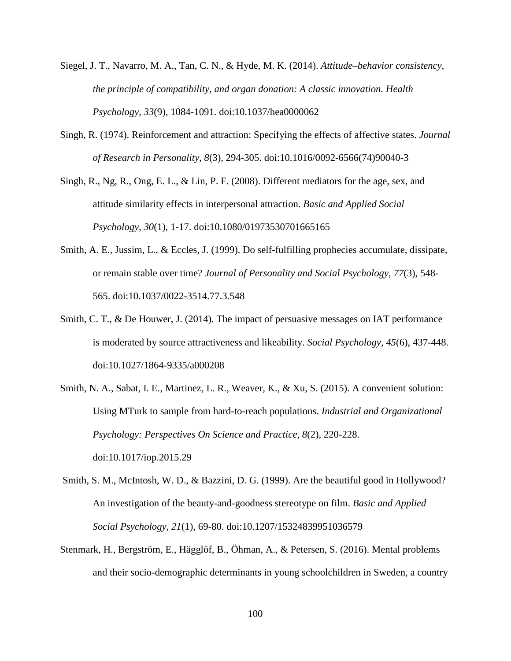- Siegel, J. T., Navarro, M. A., Tan, C. N., & Hyde, M. K. (2014). *Attitude–behavior consistency, the principle of compatibility, and organ donation: A classic innovation. Health Psychology, 33*(9), 1084-1091. doi:10.1037/hea0000062
- Singh, R. (1974). Reinforcement and attraction: Specifying the effects of affective states. *Journal of Research in Personality*, *8*(3), 294-305. doi:10.1016/0092-6566(74)90040-3
- Singh, R., Ng, R., Ong, E. L., & Lin, P. F. (2008). Different mediators for the age, sex, and attitude similarity effects in interpersonal attraction. *Basic and Applied Social Psychology*, *30*(1), 1-17. doi:10.1080/01973530701665165
- Smith, A. E., Jussim, L., & Eccles, J. (1999). Do self-fulfilling prophecies accumulate, dissipate, or remain stable over time? *Journal of Personality and Social Psychology, 77*(3), 548- 565. doi:10.1037/0022-3514.77.3.548
- Smith, C. T., & De Houwer, J. (2014). The impact of persuasive messages on IAT performance is moderated by source attractiveness and likeability. *Social Psychology*, *45*(6), 437-448. doi:10.1027/1864-9335/a000208
- Smith, N. A., Sabat, I. E., Martinez, L. R., Weaver, K., & Xu, S. (2015). A convenient solution: Using MTurk to sample from hard-to-reach populations. *Industrial and Organizational Psychology: Perspectives On Science and Practice*, *8*(2), 220-228. doi:10.1017/iop.2015.29
- Smith, S. M., McIntosh, W. D., & Bazzini, D. G. (1999). Are the beautiful good in Hollywood? An investigation of the beauty-and-goodness stereotype on film. *Basic and Applied Social Psychology*, *21*(1), 69-80. doi:10.1207/15324839951036579
- Stenmark, H., Bergström, E., Hägglöf, B., Öhman, A., & Petersen, S. (2016). Mental problems and their socio-demographic determinants in young schoolchildren in Sweden, a country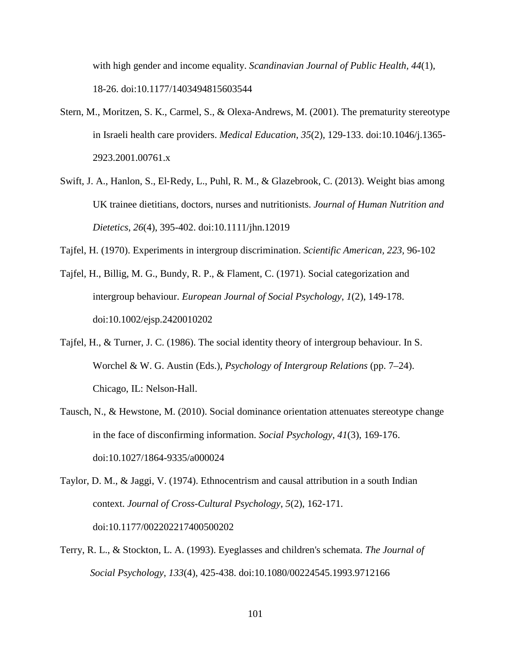with high gender and income equality. *Scandinavian Journal of Public Health, 44*(1), 18-26. doi:10.1177/1403494815603544

- Stern, M., Moritzen, S. K., Carmel, S., & Olexa-Andrews, M. (2001). The prematurity stereotype in Israeli health care providers. *Medical Education*, *35*(2), 129-133. doi:10.1046/j.1365- 2923.2001.00761.x
- Swift, J. A., Hanlon, S., El‐Redy, L., Puhl, R. M., & Glazebrook, C. (2013). Weight bias among UK trainee dietitians, doctors, nurses and nutritionists. *Journal of Human Nutrition and Dietetics*, *26*(4), 395-402. doi:10.1111/jhn.12019
- Tajfel, H. (1970). Experiments in intergroup discrimination. *Scientific American, 223,* 96-102
- Tajfel, H., Billig, M. G., Bundy, R. P., & Flament, C. (1971). Social categorization and intergroup behaviour. *European Journal of Social Psychology*, *1*(2), 149-178. doi:10.1002/ejsp.2420010202
- Tajfel, H., & Turner, J. C. (1986). The social identity theory of intergroup behaviour. In S. Worchel & W. G. Austin (Eds.), *Psychology of Intergroup Relations* (pp. 7–24). Chicago, IL: Nelson-Hall.
- Tausch, N., & Hewstone, M. (2010). Social dominance orientation attenuates stereotype change in the face of disconfirming information. *Social Psychology*, *41*(3), 169-176. doi:10.1027/1864-9335/a000024

Taylor, D. M., & Jaggi, V. (1974). Ethnocentrism and causal attribution in a south Indian context. *Journal of Cross-Cultural Psychology*, *5*(2), 162-171. doi:10.1177/002202217400500202

Terry, R. L., & Stockton, L. A. (1993). Eyeglasses and children's schemata. *The Journal of Social Psychology*, *133*(4), 425-438. doi:10.1080/00224545.1993.9712166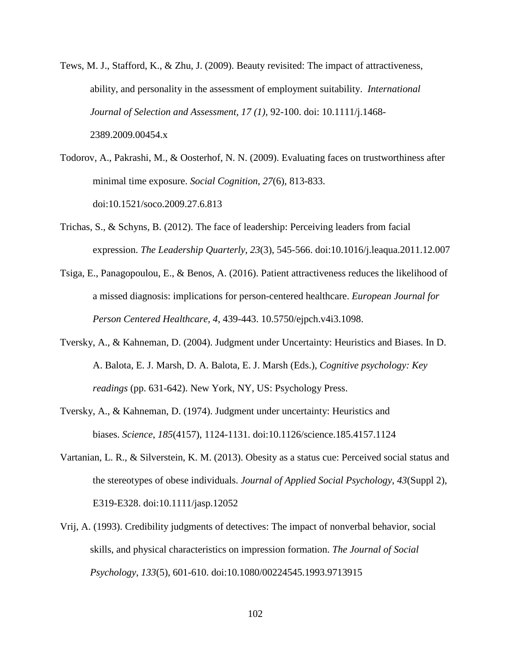- Tews, M. J., Stafford, K., & Zhu, J. (2009). Beauty revisited: The impact of attractiveness, ability, and personality in the assessment of employment suitability. *International Journal of Selection and Assessment, 17 (1),* 92-100. doi: 10.1111/j.1468- 2389.2009.00454.x
- Todorov, A., Pakrashi, M., & Oosterhof, N. N. (2009). Evaluating faces on trustworthiness after minimal time exposure. *Social Cognition*, *27*(6), 813-833. doi:10.1521/soco.2009.27.6.813
- Trichas, S., & Schyns, B. (2012). The face of leadership: Perceiving leaders from facial expression. *The Leadership Quarterly*, *23*(3), 545-566. doi:10.1016/j.leaqua.2011.12.007
- Tsiga, E., Panagopoulou, E., & Benos, A. (2016). Patient attractiveness reduces the likelihood of a missed diagnosis: implications for person-centered healthcare. *European Journal for Person Centered Healthcare, 4*, 439-443. 10.5750/ejpch.v4i3.1098.
- Tversky, A., & Kahneman, D. (2004). Judgment under Uncertainty: Heuristics and Biases. In D. A. Balota, E. J. Marsh, D. A. Balota, E. J. Marsh (Eds.), *Cognitive psychology: Key readings* (pp. 631-642). New York, NY, US: Psychology Press.
- Tversky, A., & Kahneman, D. (1974). Judgment under uncertainty: Heuristics and biases. *Science*, *185*(4157), 1124-1131. doi:10.1126/science.185.4157.1124
- Vartanian, L. R., & Silverstein, K. M. (2013). Obesity as a status cue: Perceived social status and the stereotypes of obese individuals. *Journal of Applied Social Psychology*, *43*(Suppl 2), E319-E328. doi:10.1111/jasp.12052
- Vrij, A. (1993). Credibility judgments of detectives: The impact of nonverbal behavior, social skills, and physical characteristics on impression formation. *The Journal of Social Psychology*, *133*(5), 601-610. doi:10.1080/00224545.1993.9713915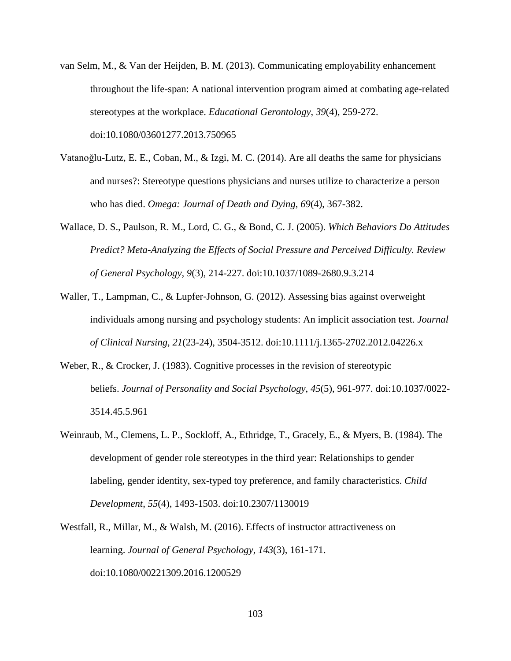- van Selm, M., & Van der Heijden, B. M. (2013). Communicating employability enhancement throughout the life-span: A national intervention program aimed at combating age-related stereotypes at the workplace. *Educational Gerontology*, *39*(4), 259-272. doi:10.1080/03601277.2013.750965
- Vatanoğlu-Lutz, E. E., Coban, M., & Izgi, M. C. (2014). Are all deaths the same for physicians and nurses?: Stereotype questions physicians and nurses utilize to characterize a person who has died. *Omega: Journal of Death and Dying*, *69*(4), 367-382.
- Wallace, D. S., Paulson, R. M., Lord, C. G., & Bond, C. J. (2005). *Which Behaviors Do Attitudes Predict? Meta-Analyzing the Effects of Social Pressure and Perceived Difficulty. Review of General Psychology, 9*(3), 214-227. doi:10.1037/1089-2680.9.3.214
- Waller, T., Lampman, C., & Lupfer‐Johnson, G. (2012). Assessing bias against overweight individuals among nursing and psychology students: An implicit association test. *Journal of Clinical Nursing*, *21*(23-24), 3504-3512. doi:10.1111/j.1365-2702.2012.04226.x
- Weber, R., & Crocker, J. (1983). Cognitive processes in the revision of stereotypic beliefs. *Journal of Personality and Social Psychology*, *45*(5), 961-977. doi:10.1037/0022- 3514.45.5.961
- Weinraub, M., Clemens, L. P., Sockloff, A., Ethridge, T., Gracely, E., & Myers, B. (1984). The development of gender role stereotypes in the third year: Relationships to gender labeling, gender identity, sex-typed toy preference, and family characteristics. *Child Development*, *55*(4), 1493-1503. doi:10.2307/1130019
- Westfall, R., Millar, M., & Walsh, M. (2016). Effects of instructor attractiveness on learning. *Journal of General Psychology*, *143*(3), 161-171. doi:10.1080/00221309.2016.1200529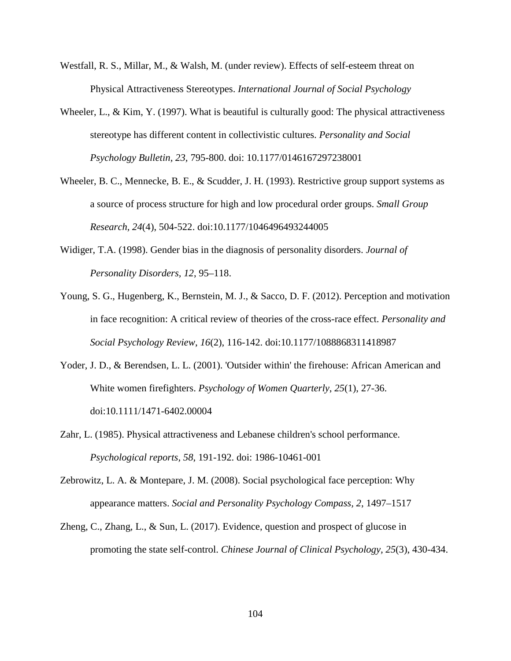- Westfall, R. S., Millar, M., & Walsh, M. (under review). Effects of self-esteem threat on Physical Attractiveness Stereotypes. *International Journal of Social Psychology*
- Wheeler, L., & Kim, Y. (1997). What is beautiful is culturally good: The physical attractiveness stereotype has different content in collectivistic cultures. *Personality and Social Psychology Bulletin, 23,* 795-800. doi: 10.1177/0146167297238001
- Wheeler, B. C., Mennecke, B. E., & Scudder, J. H. (1993). Restrictive group support systems as a source of process structure for high and low procedural order groups. *Small Group Research, 24*(4), 504-522. doi:10.1177/1046496493244005
- Widiger, T.A. (1998). Gender bias in the diagnosis of personality disorders. *Journal of Personality Disorders, 12*, 95–118.
- Young, S. G., Hugenberg, K., Bernstein, M. J., & Sacco, D. F. (2012). Perception and motivation in face recognition: A critical review of theories of the cross-race effect. *Personality and Social Psychology Review*, *16*(2), 116-142. doi:10.1177/1088868311418987
- Yoder, J. D., & Berendsen, L. L. (2001). 'Outsider within' the firehouse: African American and White women firefighters. *Psychology of Women Quarterly*, *25*(1), 27-36. doi:10.1111/1471-6402.00004
- Zahr, L. (1985). Physical attractiveness and Lebanese children's school performance. *Psychological reports, 58*, 191-192. doi: 1986-10461-001
- Zebrowitz, L. A. & Montepare, J. M. (2008). Social psychological face perception: Why appearance matters. *Social and Personality Psychology Compass, 2*, 1497–1517
- Zheng, C., Zhang, L., & Sun, L. (2017). Evidence, question and prospect of glucose in promoting the state self-control. *Chinese Journal of Clinical Psychology, 25*(3), 430-434.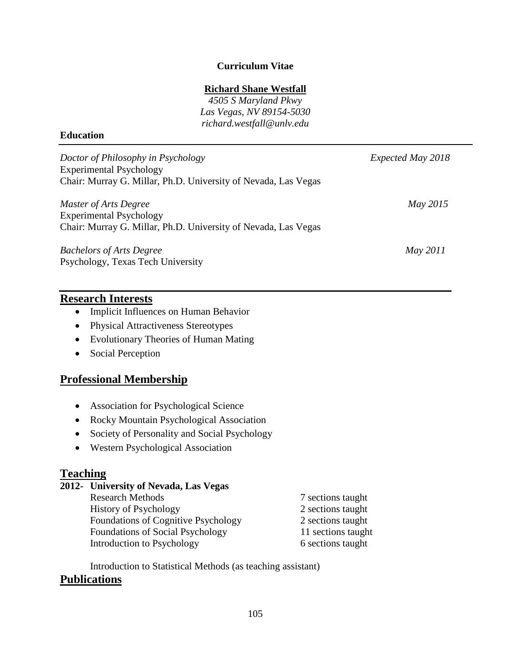### **Curriculum Vitae**

### **Richard Shane Westfall**

*4505 S Maryland Pkwy Las Vegas, NV 89154-5030 richard.westfall@unlv.edu*

#### **Education**

| Doctor of Philosophy in Psychology                             | Expected May 2018 |
|----------------------------------------------------------------|-------------------|
| <b>Experimental Psychology</b>                                 |                   |
| Chair: Murray G. Millar, Ph.D. University of Nevada, Las Vegas |                   |
| Master of Arts Degree                                          | May 2015          |
| <b>Experimental Psychology</b>                                 |                   |
| Chair: Murray G. Millar, Ph.D. University of Nevada, Las Vegas |                   |
| <b>Bachelors of Arts Degree</b>                                | May 2011          |
| Psychology, Texas Tech University                              |                   |

### **Research Interests**

- Implicit Influences on Human Behavior
- Physical Attractiveness Stereotypes
- Evolutionary Theories of Human Mating
- Social Perception

## **Professional Membership**

- Association for Psychological Science
- Rocky Mountain Psychological Association
- Society of Personality and Social Psychology
- Western Psychological Association

## **Teaching**

## **2012- University of Nevada, Las Vegas**

| <b>Research Methods</b>             | 7 sections taught  |
|-------------------------------------|--------------------|
| <b>History of Psychology</b>        | 2 sections taught  |
| Foundations of Cognitive Psychology | 2 sections taught  |
| Foundations of Social Psychology    | 11 sections taught |
| Introduction to Psychology          | 6 sections taught  |

Introduction to Statistical Methods (as teaching assistant)

# **Publications**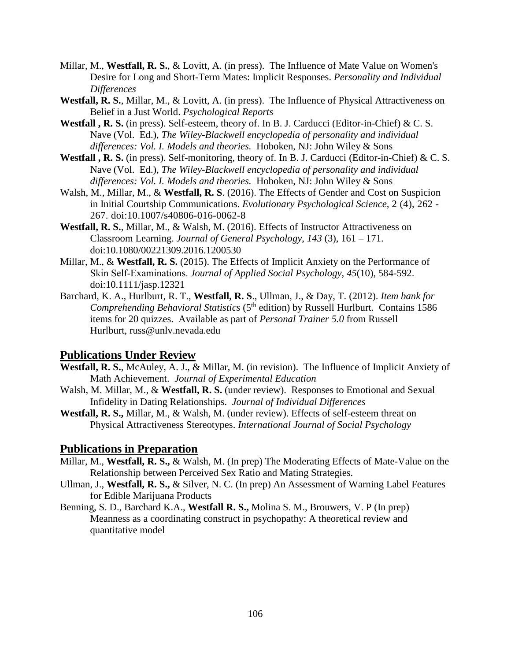- Millar, M., **Westfall, R. S.**, & Lovitt, A. (in press). The Influence of Mate Value on Women's Desire for Long and Short-Term Mates: Implicit Responses. *Personality and Individual Differences*
- **Westfall, R. S.**, Millar, M., & Lovitt, A. (in press). The Influence of Physical Attractiveness on Belief in a Just World. *Psychological Reports*
- **Westfall , R. S.** (in press). Self-esteem, theory of. In B. J. Carducci (Editor-in-Chief) & C. S. Nave (Vol. Ed.), *The Wiley-Blackwell encyclopedia of personality and individual differences: Vol. I. Models and theories.* Hoboken, NJ: John Wiley & Sons
- **Westfall , R. S.** (in press). Self-monitoring, theory of. In B. J. Carducci (Editor-in-Chief) & C. S. Nave (Vol. Ed.), *The Wiley-Blackwell encyclopedia of personality and individual differences: Vol. I. Models and theories.* Hoboken, NJ: John Wiley & Sons
- Walsh, M., Millar, M., & **Westfall, R. S**. (2016). The Effects of Gender and Cost on Suspicion in Initial Courtship Communications. *Evolutionary Psychological Science,* 2 (4), 262 - 267. doi:10.1007/s40806-016-0062-8
- **Westfall, R. S.**, Millar, M., & Walsh, M. (2016). Effects of Instructor Attractiveness on Classroom Learning. *Journal of General Psychology*, *143* (3), 161 – 171. doi:10.1080/00221309.2016.1200530
- Millar, M., & **Westfall, R. S.** (2015). The Effects of Implicit Anxiety on the Performance of Skin Self‐Examinations. *Journal of Applied Social Psychology*, *45*(10), 584-592. doi:10.1111/jasp.12321
- Barchard, K. A., Hurlburt, R. T., **Westfall, R. S**., Ullman, J., & Day, T. (2012). *Item bank for Comprehending Behavioral Statistics* (5<sup>th</sup> edition) by Russell Hurlburt. Contains 1586 items for 20 quizzes. Available as part of *Personal Trainer 5.0* from Russell Hurlburt, russ@unlv.nevada.edu

# **Publications Under Review**

- **Westfall, R. S.**, McAuley, A. J., & Millar, M. (in revision). The Influence of Implicit Anxiety of Math Achievement. *Journal of Experimental Education*
- Walsh, M. Millar, M., & **Westfall, R. S.** (under review). Responses to Emotional and Sexual Infidelity in Dating Relationships. *Journal of Individual Differences*
- **Westfall, R. S.,** Millar, M., & Walsh, M. (under review). Effects of self-esteem threat on Physical Attractiveness Stereotypes. *International Journal of Social Psychology*

## **Publications in Preparation**

- Millar, M., **Westfall, R. S.,** & Walsh, M. (In prep) The Moderating Effects of Mate-Value on the Relationship between Perceived Sex Ratio and Mating Strategies.
- Ullman, J., **Westfall, R. S.,** & Silver, N. C. (In prep) An Assessment of Warning Label Features for Edible Marijuana Products
- Benning, S. D., Barchard K.A., **Westfall R. S.,** Molina S. M., Brouwers, V. P (In prep) Meanness as a coordinating construct in psychopathy: A theoretical review and quantitative model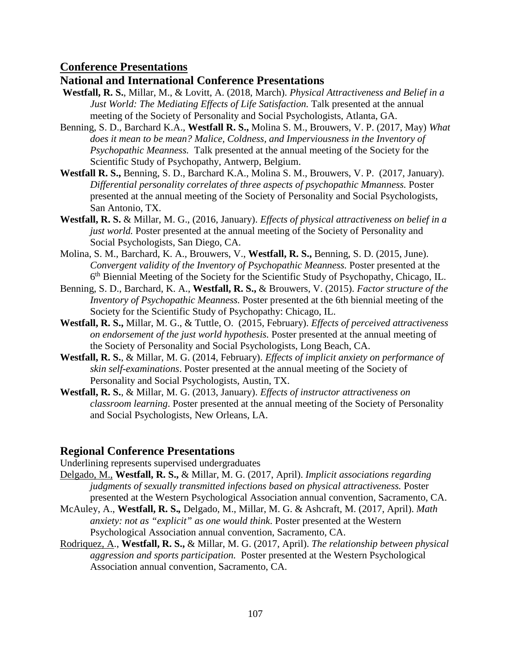### **Conference Presentations**

### **National and International Conference Presentations**

- **Westfall, R. S.**, Millar, M., & Lovitt, A. (2018, March). *Physical Attractiveness and Belief in a Just World: The Mediating Effects of Life Satisfaction.* Talk presented at the annual meeting of the Society of Personality and Social Psychologists, Atlanta, GA.
- Benning, S. D., Barchard K.A., **Westfall R. S.,** Molina S. M., Brouwers, V. P. (2017, May) *What*  does it mean to be mean? Malice, Coldness, and Imperviousness in the Inventory of *Psychopathic Meanness.* Talk presented at the annual meeting of the Society for the Scientific Study of Psychopathy, Antwerp, Belgium.
- **Westfall R. S.,** Benning, S. D., Barchard K.A., Molina S. M., Brouwers, V. P. (2017, January). *Differential personality correlates of three aspects of psychopathic Mmanness.* Poster presented at the annual meeting of the Society of Personality and Social Psychologists, San Antonio, TX.
- **Westfall, R. S.** & Millar, M. G., (2016, January). *Effects of physical attractiveness on belief in a just world.* Poster presented at the annual meeting of the Society of Personality and Social Psychologists, San Diego, CA.
- Molina, S. M., Barchard, K. A., Brouwers, V., **Westfall, R. S.,** Benning, S. D. (2015, June). *Convergent validity of the Inventory of Psychopathic Meanness.* Poster presented at the 6th Biennial Meeting of the Society for the Scientific Study of Psychopathy, Chicago, IL.
- Benning, S. D., Barchard, K. A., **Westfall, R. S.,** & Brouwers, V. (2015). *Factor structure of the Inventory of Psychopathic Meanness.* Poster presented at the 6th biennial meeting of the Society for the Scientific Study of Psychopathy: Chicago, IL.
- **Westfall, R. S.,** Millar, M. G., & Tuttle, O. (2015, February). *Effects of perceived attractiveness on endorsement of the just world hypothesis.* Poster presented at the annual meeting of the Society of Personality and Social Psychologists, Long Beach, CA.
- **Westfall, R. S.**, & Millar, M. G. (2014, February). *Effects of implicit anxiety on performance of skin self-examinations*. Poster presented at the annual meeting of the Society of Personality and Social Psychologists, Austin, TX.
- **Westfall, R. S.**, & Millar, M. G. (2013, January). *Effects of instructor attractiveness on classroom learning*. Poster presented at the annual meeting of the Society of Personality and Social Psychologists, New Orleans, LA.

## **Regional Conference Presentations**

Underlining represents supervised undergraduates

- Delgado, M., **Westfall, R. S.,** & Millar, M. G. (2017, April). *Implicit associations regarding judgments of sexually transmitted infections based on physical attractiveness.* Poster presented at the Western Psychological Association annual convention, Sacramento, CA.
- McAuley, A., **Westfall, R. S.***,* Delgado, M., Millar, M. G. & Ashcraft, M. (2017, April). *Math anxiety: not as "explicit" as one would think*. Poster presented at the Western Psychological Association annual convention, Sacramento, CA.
- Rodriquez, A., **Westfall, R. S.,** & Millar, M. G. (2017, April). *The relationship between physical aggression and sports participation.* Poster presented at the Western Psychological Association annual convention, Sacramento, CA.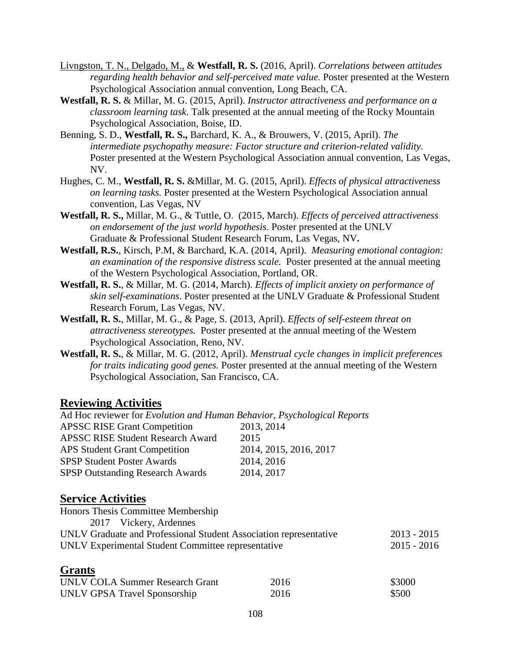- Livngston, T. N., Delgado, M., & **Westfall, R. S.** (2016, April). *Correlations between attitudes regarding health behavior and self-perceived mate value.* Poster presented at the Western Psychological Association annual convention, Long Beach, CA.
- **Westfall, R. S.** & Millar, M. G. (2015, April). *Instructor attractiveness and performance on a classroom learning task*. Talk presented at the annual meeting of the Rocky Mountain Psychological Association, Boise, ID.
- Benning, S. D., **Westfall, R. S.,** Barchard, K. A., & Brouwers, V. (2015, April). *The intermediate psychopathy measure: Factor structure and criterion-related validity*. Poster presented at the Western Psychological Association annual convention, Las Vegas, NV.
- Hughes, C. M., **Westfall, R. S.** &Millar, M. G. (2015, April). *Effects of physical attractiveness on learning tasks.* Poster presented at the Western Psychological Association annual convention, Las Vegas, NV
- **Westfall, R. S.,** Millar, M. G., & Tuttle, O. (2015, March). *Effects of perceived attractiveness on endorsement of the just world hypothesis*. Poster presented at the UNLV Graduate & Professional Student Research Forum, Las Vegas, NV**.**
- **Westfall, R.S.**, Kirsch, P.M, & Barchard, K.A. (2014, April). *Measuring emotional contagion: an examination of the responsive distress scale.* Poster presented at the annual meeting of the Western Psychological Association, Portland, OR.
- **Westfall, R. S.**, & Millar, M. G. (2014, March). *Effects of implicit anxiety on performance of skin self-examinations*. Poster presented at the UNLV Graduate & Professional Student Research Forum, Las Vegas, NV.
- **Westfall, R. S.**, Millar, M. G., & Page, S. (2013, April). *Effects of self-esteem threat on attractiveness stereotypes.* Poster presented at the annual meeting of the Western Psychological Association, Reno, NV.
- **Westfall, R. S.**, & Millar, M. G. (2012, April). *Menstrual cycle changes in implicit preferences for traits indicating good genes.* Poster presented at the annual meeting of the Western Psychological Association, San Francisco, CA.

## **Reviewing Activities**

| Ad Hoc reviewer for <i>Evolution and Human Behavior</i> , <i>Psychological Reports</i> |        |
|----------------------------------------------------------------------------------------|--------|
| 2013, 2014                                                                             |        |
| 2015                                                                                   |        |
| 2014, 2015, 2016, 2017                                                                 |        |
| 2014, 2016                                                                             |        |
| 2014, 2017                                                                             |        |
|                                                                                        |        |
|                                                                                        |        |
|                                                                                        |        |
| UNLV Graduate and Professional Student Association representative                      |        |
| UNLV Experimental Student Committee representative                                     |        |
|                                                                                        |        |
| 2016                                                                                   | \$3000 |
| 2016                                                                                   | \$500  |
|                                                                                        |        |